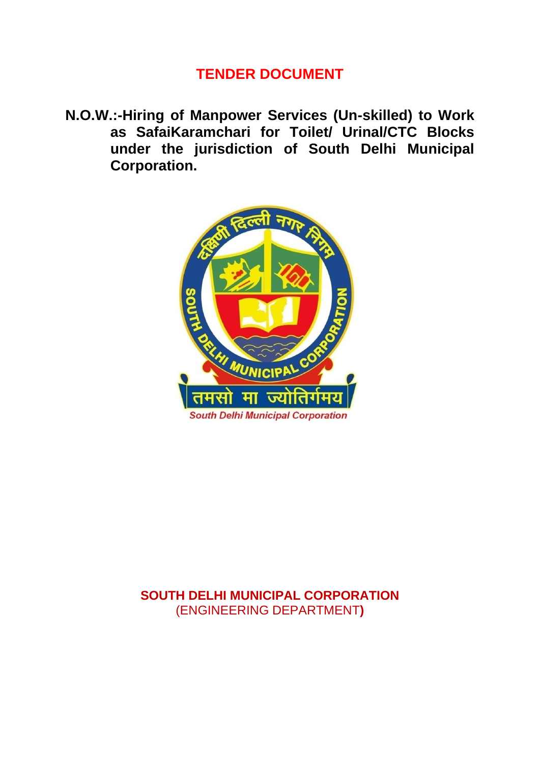### **TENDER DOCUMENT**

**N.O.W.:-Hiring of Manpower Services (Un-skilled) to Work as SafaiKaramchari for Toilet/ Urinal/CTC Blocks under the jurisdiction of South Delhi Municipal Corporation.**



### **SOUTH DELHI MUNICIPAL CORPORATION** (ENGINEERING DEPARTMENT**)**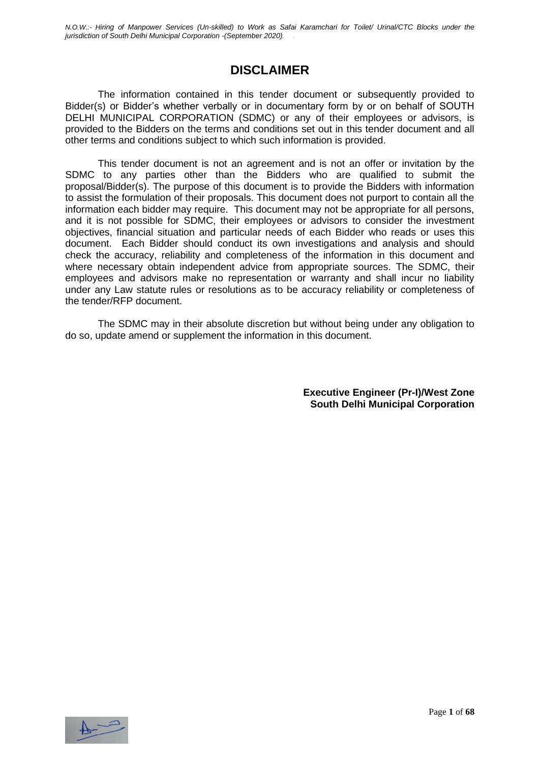### **DISCLAIMER**

The information contained in this tender document or subsequently provided to Bidder(s) or Bidder's whether verbally or in documentary form by or on behalf of SOUTH DELHI MUNICIPAL CORPORATION (SDMC) or any of their employees or advisors, is provided to the Bidders on the terms and conditions set out in this tender document and all other terms and conditions subject to which such information is provided.

This tender document is not an agreement and is not an offer or invitation by the SDMC to any parties other than the Bidders who are qualified to submit the proposal/Bidder(s). The purpose of this document is to provide the Bidders with information to assist the formulation of their proposals. This document does not purport to contain all the information each bidder may require. This document may not be appropriate for all persons, and it is not possible for SDMC, their employees or advisors to consider the investment objectives, financial situation and particular needs of each Bidder who reads or uses this document. Each Bidder should conduct its own investigations and analysis and should check the accuracy, reliability and completeness of the information in this document and where necessary obtain independent advice from appropriate sources. The SDMC, their employees and advisors make no representation or warranty and shall incur no liability under any Law statute rules or resolutions as to be accuracy reliability or completeness of the tender/RFP document.

The SDMC may in their absolute discretion but without being under any obligation to do so, update amend or supplement the information in this document.

> **Executive Engineer (Pr-I)/West Zone South Delhi Municipal Corporation**

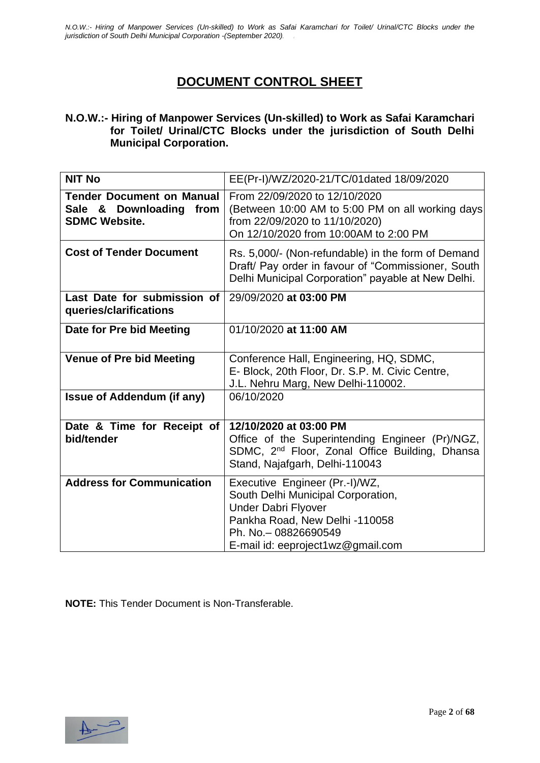### **DOCUMENT CONTROL SHEET**

#### **N.O.W.:- Hiring of Manpower Services (Un-skilled) to Work as Safai Karamchari for Toilet/ Urinal/CTC Blocks under the jurisdiction of South Delhi Municipal Corporation.**

| <b>NIT No</b>                                                                          | EE(Pr-I)/WZ/2020-21/TC/01dated 18/09/2020                                                                                                                                                          |
|----------------------------------------------------------------------------------------|----------------------------------------------------------------------------------------------------------------------------------------------------------------------------------------------------|
| <b>Tender Document on Manual</b><br>Sale & Downloading<br>from<br><b>SDMC Website.</b> | From 22/09/2020 to 12/10/2020<br>(Between 10:00 AM to 5:00 PM on all working days<br>from 22/09/2020 to 11/10/2020)<br>On 12/10/2020 from 10:00AM to 2:00 PM                                       |
| <b>Cost of Tender Document</b>                                                         | Rs. 5,000/- (Non-refundable) in the form of Demand<br>Draft/ Pay order in favour of "Commissioner, South<br>Delhi Municipal Corporation" payable at New Delhi.                                     |
| Last Date for submission of<br>queries/clarifications                                  | 29/09/2020 at 03:00 PM                                                                                                                                                                             |
| Date for Pre bid Meeting                                                               | 01/10/2020 at 11:00 AM                                                                                                                                                                             |
| <b>Venue of Pre bid Meeting</b>                                                        | Conference Hall, Engineering, HQ, SDMC,<br>E- Block, 20th Floor, Dr. S.P. M. Civic Centre,<br>J.L. Nehru Marg, New Delhi-110002.                                                                   |
| <b>Issue of Addendum (if any)</b>                                                      | 06/10/2020                                                                                                                                                                                         |
| Date & Time for Receipt of<br>bid/tender                                               | 12/10/2020 at 03:00 PM<br>Office of the Superintending Engineer (Pr)/NGZ,<br>SDMC, 2 <sup>nd</sup> Floor, Zonal Office Building, Dhansa<br>Stand, Najafgarh, Delhi-110043                          |
| <b>Address for Communication</b>                                                       | Executive Engineer (Pr.-I)/WZ,<br>South Delhi Municipal Corporation,<br><b>Under Dabri Flyover</b><br>Pankha Road, New Delhi -110058<br>Ph. No. - 08826690549<br>E-mail id: eeproject1wz@gmail.com |

**NOTE:** This Tender Document is Non-Transferable.

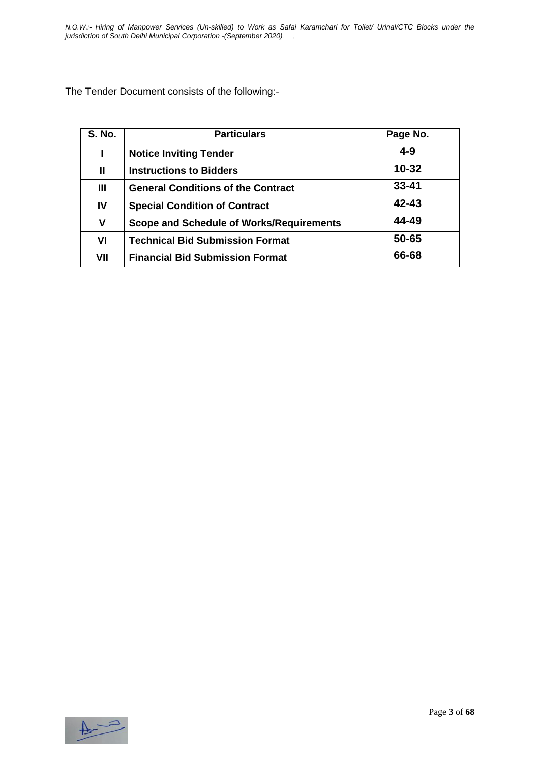The Tender Document consists of the following:-

| <b>S. No.</b> | <b>Particulars</b>                              | Page No.  |
|---------------|-------------------------------------------------|-----------|
|               | <b>Notice Inviting Tender</b>                   | $4 - 9$   |
| Ш             | <b>Instructions to Bidders</b>                  | $10 - 32$ |
| Ш             | <b>General Conditions of the Contract</b>       | $33 - 41$ |
| IV            | <b>Special Condition of Contract</b>            | 42-43     |
| v             | <b>Scope and Schedule of Works/Requirements</b> | 44-49     |
| VI            | <b>Technical Bid Submission Format</b>          | 50-65     |
| VII           | <b>Financial Bid Submission Format</b>          | 66-68     |

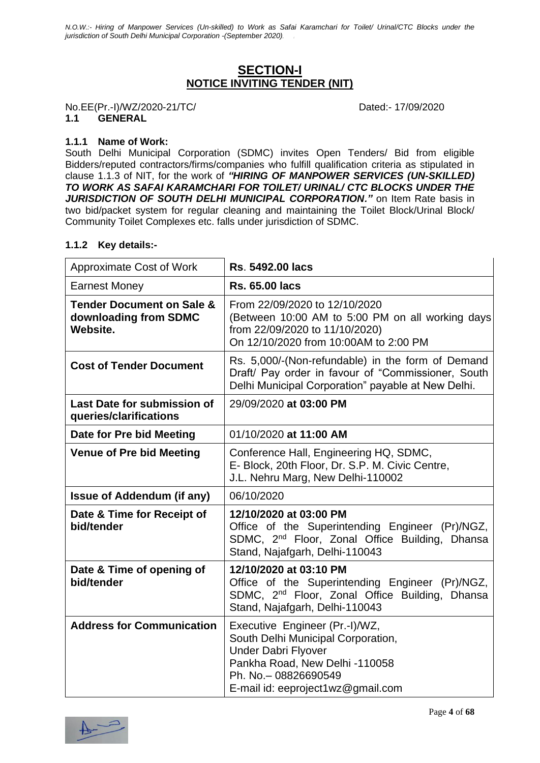### **SECTION-I NOTICE INVITING TENDER (NIT)**

No.EE(Pr.-I)/WZ/2020-21/TC/ Dated:- 17/09/2020

#### **1.1 GENERAL**

#### **1.1.1 Name of Work:**

South Delhi Municipal Corporation (SDMC) invites Open Tenders/ Bid from eligible Bidders/reputed contractors/firms/companies who fulfill qualification criteria as stipulated in clause 1.1.3 of NIT, for the work of *"HIRING OF MANPOWER SERVICES (UN-SKILLED) TO WORK AS SAFAI KARAMCHARI FOR TOILET/ URINAL/ CTC BLOCKS UNDER THE JURISDICTION OF SOUTH DELHI MUNICIPAL CORPORATION."* on Item Rate basis in two bid/packet system for regular cleaning and maintaining the Toilet Block/Urinal Block/ Community Toilet Complexes etc. falls under jurisdiction of SDMC.

#### **1.1.2 Key details:-**

| Approximate Cost of Work                                                  | <b>Rs. 5492.00 lacs</b>                                                                                                                                                                            |
|---------------------------------------------------------------------------|----------------------------------------------------------------------------------------------------------------------------------------------------------------------------------------------------|
| <b>Earnest Money</b>                                                      | <b>Rs. 65.00 lacs</b>                                                                                                                                                                              |
| <b>Tender Document on Sale &amp;</b><br>downloading from SDMC<br>Website. | From 22/09/2020 to 12/10/2020<br>(Between 10:00 AM to 5:00 PM on all working days<br>from 22/09/2020 to 11/10/2020)<br>On 12/10/2020 from 10:00AM to 2:00 PM                                       |
| <b>Cost of Tender Document</b>                                            | Rs. 5,000/-(Non-refundable) in the form of Demand<br>Draft/ Pay order in favour of "Commissioner, South<br>Delhi Municipal Corporation" payable at New Delhi.                                      |
| <b>Last Date for submission of</b><br>queries/clarifications              | 29/09/2020 at 03:00 PM                                                                                                                                                                             |
| Date for Pre bid Meeting                                                  | 01/10/2020 at 11:00 AM                                                                                                                                                                             |
| <b>Venue of Pre bid Meeting</b>                                           | Conference Hall, Engineering HQ, SDMC,<br>E- Block, 20th Floor, Dr. S.P. M. Civic Centre,<br>J.L. Nehru Marg, New Delhi-110002                                                                     |
| <b>Issue of Addendum (if any)</b>                                         | 06/10/2020                                                                                                                                                                                         |
| Date & Time for Receipt of<br>bid/tender                                  | 12/10/2020 at 03:00 PM<br>Office of the Superintending Engineer (Pr)/NGZ,<br>SDMC, 2 <sup>nd</sup> Floor, Zonal Office Building, Dhansa<br>Stand, Najafgarh, Delhi-110043                          |
| Date & Time of opening of<br>bid/tender                                   | 12/10/2020 at 03:10 PM<br>Office of the Superintending Engineer (Pr)/NGZ,<br>SDMC, 2 <sup>nd</sup> Floor, Zonal Office Building, Dhansa<br>Stand, Najafgarh, Delhi-110043                          |
| <b>Address for Communication</b>                                          | Executive Engineer (Pr.-I)/WZ,<br>South Delhi Municipal Corporation,<br><b>Under Dabri Flyover</b><br>Pankha Road, New Delhi -110058<br>Ph. No. - 08826690549<br>E-mail id: eeproject1wz@gmail.com |

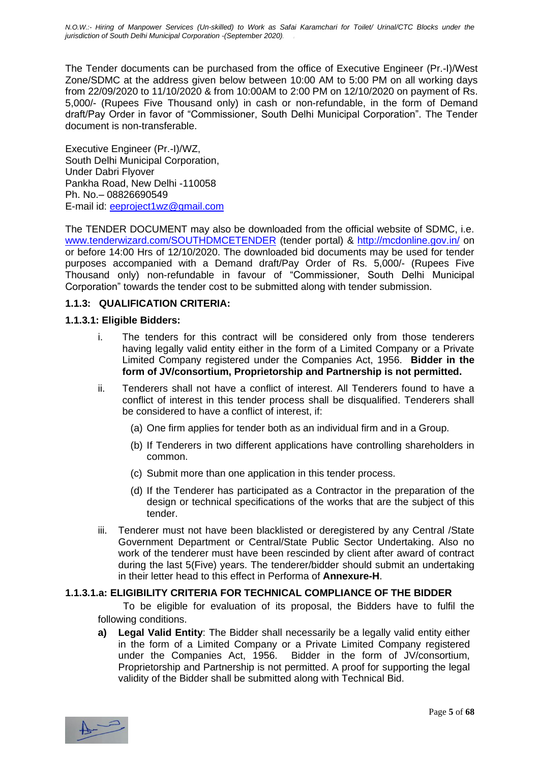The Tender documents can be purchased from the office of Executive Engineer (Pr.-I)/West Zone/SDMC at the address given below between 10:00 AM to 5:00 PM on all working days from 22/09/2020 to 11/10/2020 & from 10:00AM to 2:00 PM on 12/10/2020 on payment of Rs. 5,000/- (Rupees Five Thousand only) in cash or non-refundable, in the form of Demand draft/Pay Order in favor of "Commissioner, South Delhi Municipal Corporation". The Tender document is non-transferable.

Executive Engineer (Pr.-I)/WZ, South Delhi Municipal Corporation, Under Dabri Flyover Pankha Road, New Delhi -110058 Ph. No.– 08826690549 E-mail id: [eeproject1wz@gmail.com](mailto:eeproject1wz@gmail.com)

The TENDER DOCUMENT may also be downloaded from the official website of SDMC, i.e. [www.tenderwizard.com/SOUTHDMCETENDER](http://www.tenderwizard.com/SOUTHDMCETENDER) (tender portal) &<http://mcdonline.gov.in/> on or before 14:00 Hrs of 12/10/2020. The downloaded bid documents may be used for tender purposes accompanied with a Demand draft/Pay Order of Rs. 5,000/- (Rupees Five Thousand only) non-refundable in favour of "Commissioner, South Delhi Municipal Corporation" towards the tender cost to be submitted along with tender submission.

#### **1.1.3: QUALIFICATION CRITERIA:**

#### **1.1.3.1: Eligible Bidders:**

- i. The tenders for this contract will be considered only from those tenderers having legally valid entity either in the form of a Limited Company or a Private Limited Company registered under the Companies Act, 1956. **Bidder in the form of JV/consortium, Proprietorship and Partnership is not permitted.**
- ii. Tenderers shall not have a conflict of interest. All Tenderers found to have a conflict of interest in this tender process shall be disqualified. Tenderers shall be considered to have a conflict of interest, if:
	- (a) One firm applies for tender both as an individual firm and in a Group.
	- (b) If Tenderers in two different applications have controlling shareholders in common.
	- (c) Submit more than one application in this tender process.
	- (d) If the Tenderer has participated as a Contractor in the preparation of the design or technical specifications of the works that are the subject of this tender.
- iii. Tenderer must not have been blacklisted or deregistered by any Central /State Government Department or Central/State Public Sector Undertaking. Also no work of the tenderer must have been rescinded by client after award of contract during the last 5(Five) years. The tenderer/bidder should submit an undertaking in their letter head to this effect in Performa of **Annexure-H**.

#### **1.1.3.1.a: ELIGIBILITY CRITERIA FOR TECHNICAL COMPLIANCE OF THE BIDDER**

To be eligible for evaluation of its proposal, the Bidders have to fulfil the following conditions.

**a) Legal Valid Entity**: The Bidder shall necessarily be a legally valid entity either in the form of a Limited Company or a Private Limited Company registered under the Companies Act, 1956. Bidder in the form of JV/consortium, Proprietorship and Partnership is not permitted. A proof for supporting the legal validity of the Bidder shall be submitted along with Technical Bid.

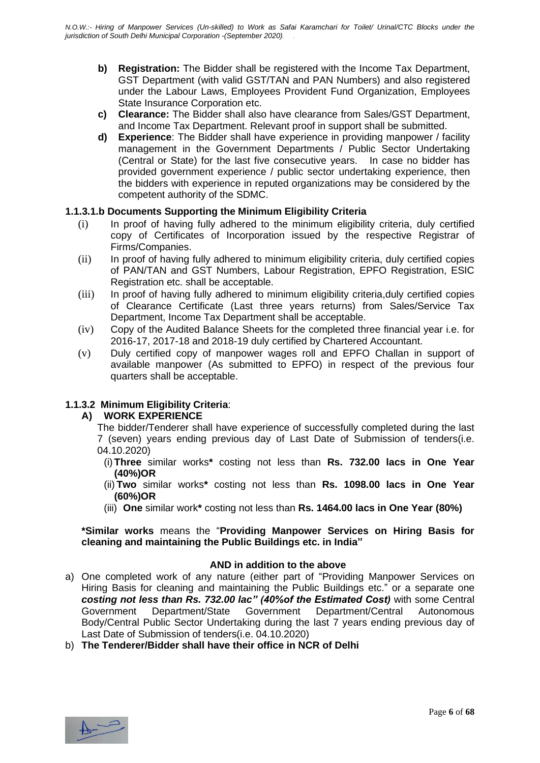- **b) Registration:** The Bidder shall be registered with the Income Tax Department, GST Department (with valid GST/TAN and PAN Numbers) and also registered under the Labour Laws, Employees Provident Fund Organization, Employees State Insurance Corporation etc.
- **c) Clearance:** The Bidder shall also have clearance from Sales/GST Department, and Income Tax Department. Relevant proof in support shall be submitted.
- **d) Experience**: The Bidder shall have experience in providing manpower / facility management in the Government Departments / Public Sector Undertaking (Central or State) for the last five consecutive years. In case no bidder has provided government experience / public sector undertaking experience, then the bidders with experience in reputed organizations may be considered by the competent authority of the SDMC.

#### **1.1.3.1.b Documents Supporting the Minimum Eligibility Criteria**

- (i) In proof of having fully adhered to the minimum eligibility criteria, duly certified copy of Certificates of Incorporation issued by the respective Registrar of Firms/Companies.
- (ii) In proof of having fully adhered to minimum eligibility criteria, duly certified copies of PAN/TAN and GST Numbers, Labour Registration, EPFO Registration, ESIC Registration etc. shall be acceptable.
- (iii) In proof of having fully adhered to minimum eligibility criteria,duly certified copies of Clearance Certificate (Last three years returns) from Sales/Service Tax Department, Income Tax Department shall be acceptable.
- (iv) Copy of the Audited Balance Sheets for the completed three financial year i.e. for 2016-17, 2017-18 and 2018-19 duly certified by Chartered Accountant.
- (v) Duly certified copy of manpower wages roll and EPFO Challan in support of available manpower (As submitted to EPFO) in respect of the previous four quarters shall be acceptable.

#### **1.1.3.2 Minimum Eligibility Criteria**:

#### **A) WORK EXPERIENCE**

The bidder/Tenderer shall have experience of successfully completed during the last 7 (seven) years ending previous day of Last Date of Submission of tenders(i.e. 04.10.2020)

- (i)**Three** similar works**\*** costing not less than **Rs. 732.00 lacs in One Year (40%)OR**
- (ii) **Two** similar works**\*** costing not less than **Rs. 1098.00 lacs in One Year (60%)OR**
- (iii) **One** similar work**\*** costing not less than **Rs. 1464.00 lacs in One Year (80%)**

**\*Similar works** means the "**Providing Manpower Services on Hiring Basis for cleaning and maintaining the Public Buildings etc. in India"**

#### **AND in addition to the above**

a) One completed work of any nature (either part of "Providing Manpower Services on Hiring Basis for cleaning and maintaining the Public Buildings etc." or a separate one *costing not less than Rs. 732.00 lac" (40%of the Estimated Cost)* with some Central Government Department/State Government Department/Central Autonomous Body/Central Public Sector Undertaking during the last 7 years ending previous day of Last Date of Submission of tenders(i.e. 04.10.2020)

b) **The Tenderer/Bidder shall have their office in NCR of Delhi** 

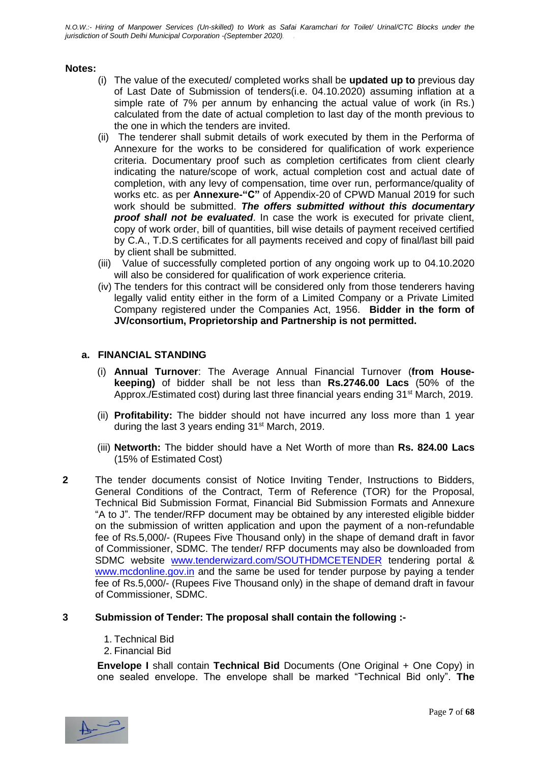#### **Notes:**

- (i) The value of the executed/ completed works shall be **updated up to** previous day of Last Date of Submission of tenders(i.e. 04.10.2020) assuming inflation at a simple rate of 7% per annum by enhancing the actual value of work (in Rs.) calculated from the date of actual completion to last day of the month previous to the one in which the tenders are invited.
- (ii) The tenderer shall submit details of work executed by them in the Performa of Annexure for the works to be considered for qualification of work experience criteria. Documentary proof such as completion certificates from client clearly indicating the nature/scope of work, actual completion cost and actual date of completion, with any levy of compensation, time over run, performance/quality of works etc. as per **Annexure-"C"** of Appendix-20 of CPWD Manual 2019 for such work should be submitted. *The offers submitted without this documentary proof shall not be evaluated*. In case the work is executed for private client, copy of work order, bill of quantities, bill wise details of payment received certified by C.A., T.D.S certificates for all payments received and copy of final/last bill paid by client shall be submitted.
- (iii) Value of successfully completed portion of any ongoing work up to 04.10.2020 will also be considered for qualification of work experience criteria.
- (iv) The tenders for this contract will be considered only from those tenderers having legally valid entity either in the form of a Limited Company or a Private Limited Company registered under the Companies Act, 1956. **Bidder in the form of JV/consortium, Proprietorship and Partnership is not permitted.**

#### **a. FINANCIAL STANDING**

- (i) **Annual Turnover**: The Average Annual Financial Turnover (**from Housekeeping)** of bidder shall be not less than **Rs.2746.00 Lacs** (50% of the Approx./Estimated cost) during last three financial years ending 31st March, 2019.
- (ii) **Profitability:** The bidder should not have incurred any loss more than 1 year during the last 3 years ending 31<sup>st</sup> March, 2019.
- (iii) **Networth:** The bidder should have a Net Worth of more than **Rs. 824.00 Lacs** (15% of Estimated Cost)
- **2** The tender documents consist of Notice Inviting Tender, Instructions to Bidders, General Conditions of the Contract, Term of Reference (TOR) for the Proposal, Technical Bid Submission Format, Financial Bid Submission Formats and Annexure "A to J". The tender/RFP document may be obtained by any interested eligible bidder on the submission of written application and upon the payment of a non-refundable fee of Rs.5,000/- (Rupees Five Thousand only) in the shape of demand draft in favor of Commissioner, SDMC. The tender/ RFP documents may also be downloaded from SDMC website [www.tenderwizard.com/SOUTHDMCETENDER](http://www.tenderwizard.com/SOUTHDMCETENDER) tendering portal & [www.mcdonline.gov.in](http://www.mcdonline.gov.in/) and the same be used for tender purpose by paying a tender fee of Rs.5,000/- (Rupees Five Thousand only) in the shape of demand draft in favour of Commissioner, SDMC.

#### **3 Submission of Tender: The proposal shall contain the following :-**

- 1. Technical Bid
- 2. Financial Bid

**Envelope I** shall contain **Technical Bid** Documents (One Original + One Copy) in one sealed envelope. The envelope shall be marked "Technical Bid only". **The** 

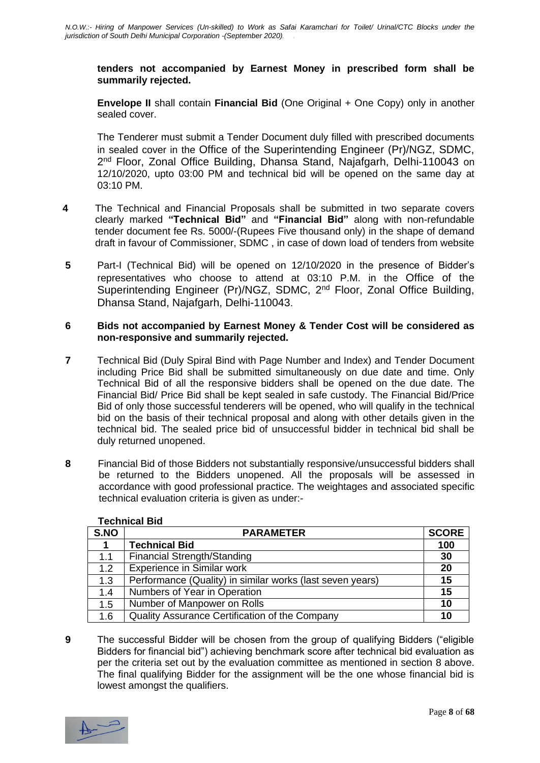#### **tenders not accompanied by Earnest Money in prescribed form shall be summarily rejected.**

**Envelope II** shall contain **Financial Bid** (One Original + One Copy) only in another sealed cover.

The Tenderer must submit a Tender Document duly filled with prescribed documents in sealed cover in the Office of the Superintending Engineer (Pr)/NGZ, SDMC, 2<sup>nd</sup> Floor, Zonal Office Building, Dhansa Stand, Najafgarh, Delhi-110043 on 12/10/2020, upto 03:00 PM and technical bid will be opened on the same day at 03:10 PM.

- **4** The Technical and Financial Proposals shall be submitted in two separate covers clearly marked **"Technical Bid"** and **"Financial Bid"** along with non-refundable tender document fee Rs. 5000/-(Rupees Five thousand only) in the shape of demand draft in favour of Commissioner, SDMC , in case of down load of tenders from website
- **5** Part-I (Technical Bid) will be opened on 12/10/2020 in the presence of Bidder's representatives who choose to attend at 03:10 P.M. in the Office of the Superintending Engineer (Pr)/NGZ, SDMC, 2<sup>nd</sup> Floor, Zonal Office Building, Dhansa Stand, Najafgarh, Delhi-110043.

#### **6 Bids not accompanied by Earnest Money & Tender Cost will be considered as non-responsive and summarily rejected.**

- **7** Technical Bid (Duly Spiral Bind with Page Number and Index) and Tender Document including Price Bid shall be submitted simultaneously on due date and time. Only Technical Bid of all the responsive bidders shall be opened on the due date. The Financial Bid/ Price Bid shall be kept sealed in safe custody. The Financial Bid/Price Bid of only those successful tenderers will be opened, who will qualify in the technical bid on the basis of their technical proposal and along with other details given in the technical bid. The sealed price bid of unsuccessful bidder in technical bid shall be duly returned unopened.
- **8** Financial Bid of those Bidders not substantially responsive/unsuccessful bidders shall be returned to the Bidders unopened. All the proposals will be assessed in accordance with good professional practice. The weightages and associated specific technical evaluation criteria is given as under:-

| S.NO | <b>PARAMETER</b>                                          | <b>SCORE</b> |
|------|-----------------------------------------------------------|--------------|
|      | <b>Technical Bid</b>                                      | 100          |
| 1.1  | Financial Strength/Standing                               | 30           |
| 1.2  | <b>Experience in Similar work</b>                         | 20           |
| 1.3  | Performance (Quality) in similar works (last seven years) | 15           |
| 1.4  | Numbers of Year in Operation                              | 15           |
| 1.5  | Number of Manpower on Rolls                               | 10           |
| 1.6  | Quality Assurance Certification of the Company            | 10           |

#### **Technical Bid**

**9** The successful Bidder will be chosen from the group of qualifying Bidders ("eligible Bidders for financial bid") achieving benchmark score after technical bid evaluation as per the criteria set out by the evaluation committee as mentioned in section 8 above. The final qualifying Bidder for the assignment will be the one whose financial bid is lowest amongst the qualifiers.

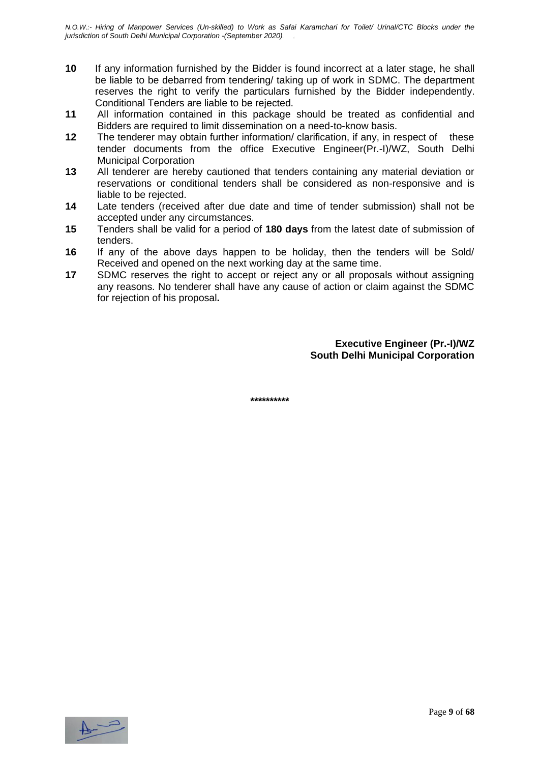- **10** If any information furnished by the Bidder is found incorrect at a later stage, he shall be liable to be debarred from tendering/ taking up of work in SDMC. The department reserves the right to verify the particulars furnished by the Bidder independently. Conditional Tenders are liable to be rejected.
- **11** All information contained in this package should be treated as confidential and Bidders are required to limit dissemination on a need-to-know basis.
- **12** The tenderer may obtain further information/ clarification, if any, in respect of these tender documents from the office Executive Engineer(Pr.-I)/WZ, South Delhi Municipal Corporation
- **13** All tenderer are hereby cautioned that tenders containing any material deviation or reservations or conditional tenders shall be considered as non-responsive and is liable to be rejected.
- **14** Late tenders (received after due date and time of tender submission) shall not be accepted under any circumstances.
- **15** Tenders shall be valid for a period of **180 days** from the latest date of submission of tenders.
- **16** If any of the above days happen to be holiday, then the tenders will be Sold/ Received and opened on the next working day at the same time.
- **17** SDMC reserves the right to accept or reject any or all proposals without assigning any reasons. No tenderer shall have any cause of action or claim against the SDMC for rejection of his proposal**.**

**Executive Engineer (Pr.-I)/WZ South Delhi Municipal Corporation**

**\*\*\*\*\*\*\*\*\*\***

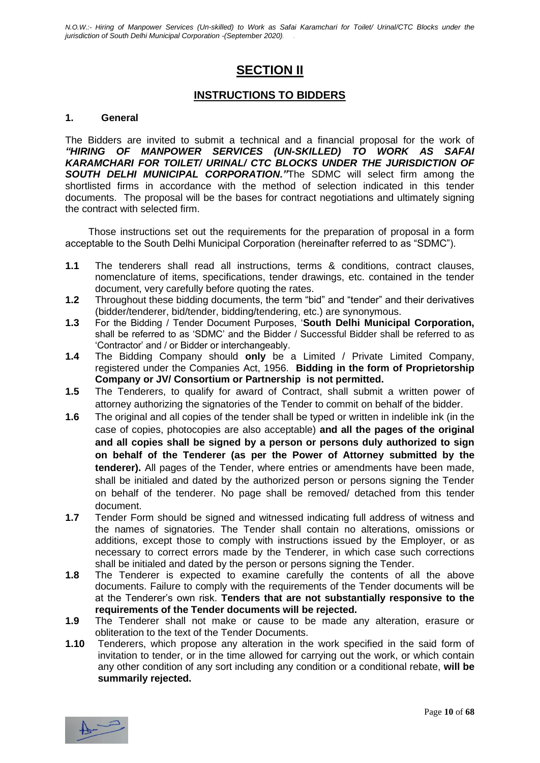### **SECTION II**

#### **INSTRUCTIONS TO BIDDERS**

#### **1. General**

The Bidders are invited to submit a technical and a financial proposal for the work of *"HIRING OF MANPOWER SERVICES (UN-SKILLED) TO WORK AS SAFAI KARAMCHARI FOR TOILET/ URINAL/ CTC BLOCKS UNDER THE JURISDICTION OF SOUTH DELHI MUNICIPAL CORPORATION."*The SDMC will select firm among the shortlisted firms in accordance with the method of selection indicated in this tender documents. The proposal will be the bases for contract negotiations and ultimately signing the contract with selected firm.

Those instructions set out the requirements for the preparation of proposal in a form acceptable to the South Delhi Municipal Corporation (hereinafter referred to as "SDMC").

- **1.1** The tenderers shall read all instructions, terms & conditions, contract clauses, nomenclature of items, specifications, tender drawings, etc. contained in the tender document, very carefully before quoting the rates.
- **1.2** Throughout these bidding documents, the term "bid" and "tender" and their derivatives (bidder/tenderer, bid/tender, bidding/tendering, etc.) are synonymous.
- **1.3** For the Bidding / Tender Document Purposes, '**South Delhi Municipal Corporation,**  shall be referred to as 'SDMC' and the Bidder / Successful Bidder shall be referred to as 'Contractor' and / or Bidder or interchangeably.
- **1.4** The Bidding Company should **only** be a Limited / Private Limited Company, registered under the Companies Act, 1956. **Bidding in the form of Proprietorship Company or JV/ Consortium or Partnership is not permitted.**
- **1.5** The Tenderers, to qualify for award of Contract, shall submit a written power of attorney authorizing the signatories of the Tender to commit on behalf of the bidder.
- **1.6** The original and all copies of the tender shall be typed or written in indelible ink (in the case of copies, photocopies are also acceptable) **and all the pages of the original and all copies shall be signed by a person or persons duly authorized to sign on behalf of the Tenderer (as per the Power of Attorney submitted by the tenderer).** All pages of the Tender, where entries or amendments have been made, shall be initialed and dated by the authorized person or persons signing the Tender on behalf of the tenderer. No page shall be removed/ detached from this tender document.
- **1.7** Tender Form should be signed and witnessed indicating full address of witness and the names of signatories. The Tender shall contain no alterations, omissions or additions, except those to comply with instructions issued by the Employer, or as necessary to correct errors made by the Tenderer, in which case such corrections shall be initialed and dated by the person or persons signing the Tender.
- **1.8** The Tenderer is expected to examine carefully the contents of all the above documents. Failure to comply with the requirements of the Tender documents will be at the Tenderer's own risk. **Tenders that are not substantially responsive to the requirements of the Tender documents will be rejected.**
- **1.9** The Tenderer shall not make or cause to be made any alteration, erasure or obliteration to the text of the Tender Documents.
- **1.10** Tenderers, which propose any alteration in the work specified in the said form of invitation to tender, or in the time allowed for carrying out the work, or which contain any other condition of any sort including any condition or a conditional rebate, **will be summarily rejected.**

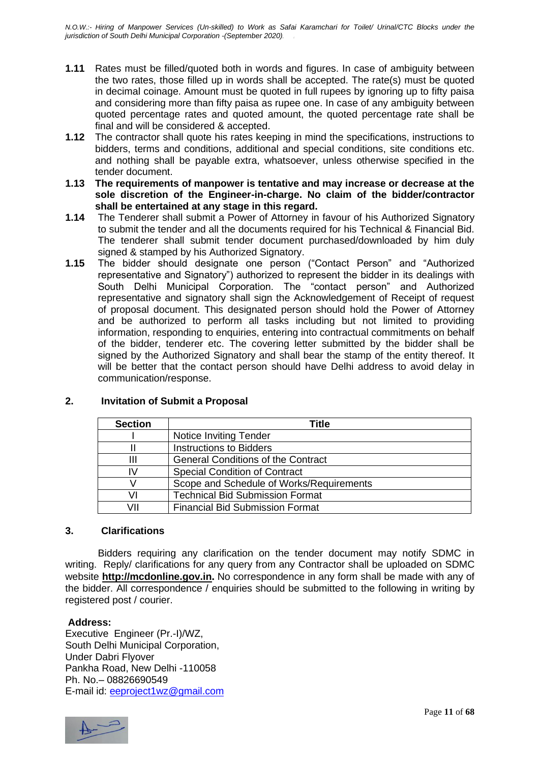- **1.11** Rates must be filled/quoted both in words and figures. In case of ambiguity between the two rates, those filled up in words shall be accepted. The rate(s) must be quoted in decimal coinage. Amount must be quoted in full rupees by ignoring up to fifty paisa and considering more than fifty paisa as rupee one. In case of any ambiguity between quoted percentage rates and quoted amount, the quoted percentage rate shall be final and will be considered & accepted.
- **1.12** The contractor shall quote his rates keeping in mind the specifications, instructions to bidders, terms and conditions, additional and special conditions, site conditions etc. and nothing shall be payable extra, whatsoever, unless otherwise specified in the tender document.
- **1.13 The requirements of manpower is tentative and may increase or decrease at the sole discretion of the Engineer-in-charge. No claim of the bidder/contractor shall be entertained at any stage in this regard.**
- **1.14** The Tenderer shall submit a Power of Attorney in favour of his Authorized Signatory to submit the tender and all the documents required for his Technical & Financial Bid. The tenderer shall submit tender document purchased/downloaded by him duly signed & stamped by his Authorized Signatory.
- **1.15** The bidder should designate one person ("Contact Person" and "Authorized representative and Signatory") authorized to represent the bidder in its dealings with South Delhi Municipal Corporation. The "contact person" and Authorized representative and signatory shall sign the Acknowledgement of Receipt of request of proposal document. This designated person should hold the Power of Attorney and be authorized to perform all tasks including but not limited to providing information, responding to enquiries, entering into contractual commitments on behalf of the bidder, tenderer etc. The covering letter submitted by the bidder shall be signed by the Authorized Signatory and shall bear the stamp of the entity thereof. It will be better that the contact person should have Delhi address to avoid delay in communication/response.

| <b>Section</b> | Title                                     |
|----------------|-------------------------------------------|
|                | Notice Inviting Tender                    |
|                | <b>Instructions to Bidders</b>            |
| Ш              | <b>General Conditions of the Contract</b> |
| IV             | <b>Special Condition of Contract</b>      |
|                | Scope and Schedule of Works/Requirements  |
| VI             | <b>Technical Bid Submission Format</b>    |
| VII            | <b>Financial Bid Submission Format</b>    |

#### **2. Invitation of Submit a Proposal**

#### **3. Clarifications**

Bidders requiring any clarification on the tender document may notify SDMC in writing. Reply/ clarifications for any query from any Contractor shall be uploaded on SDMC website **[http://mcdonline.gov.in](http://mcdonline.gov.in/).** No correspondence in any form shall be made with any of the bidder. All correspondence / enquiries should be submitted to the following in writing by registered post / courier.

#### **Address:**

Executive Engineer (Pr.-I)/WZ, South Delhi Municipal Corporation, Under Dabri Flyover Pankha Road, New Delhi -110058 Ph. No.– 08826690549 E-mail id: [eeproject1wz@gmail.com](mailto:eeproject1wz@gmail.com)

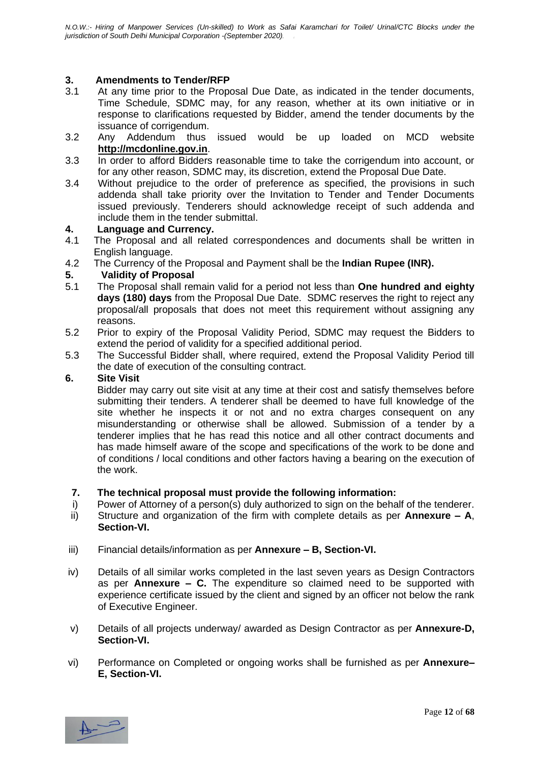#### **3. Amendments to Tender/RFP**

- 3.1 At any time prior to the Proposal Due Date, as indicated in the tender documents, Time Schedule, SDMC may, for any reason, whether at its own initiative or in response to clarifications requested by Bidder, amend the tender documents by the issuance of corrigendum.
- 3.2 Any Addendum thus issued would be up loaded on MCD website **[http://mcdonline.gov.in](http://mcdonline.gov.in/)**.
- 3.3 In order to afford Bidders reasonable time to take the corrigendum into account, or for any other reason, SDMC may, its discretion, extend the Proposal Due Date.
- 3.4 Without prejudice to the order of preference as specified, the provisions in such addenda shall take priority over the Invitation to Tender and Tender Documents issued previously. Tenderers should acknowledge receipt of such addenda and include them in the tender submittal.

#### **4. Language and Currency.**

- 4.1 The Proposal and all related correspondences and documents shall be written in English language.
- 4.2 The Currency of the Proposal and Payment shall be the **Indian Rupee (INR).**

#### **5. Validity of Proposal**

- 5.1 The Proposal shall remain valid for a period not less than **One hundred and eighty days (180) days** from the Proposal Due Date. SDMC reserves the right to reject any proposal/all proposals that does not meet this requirement without assigning any reasons.
- 5.2 Prior to expiry of the Proposal Validity Period, SDMC may request the Bidders to extend the period of validity for a specified additional period.
- 5.3 The Successful Bidder shall, where required, extend the Proposal Validity Period till the date of execution of the consulting contract.

#### **6. Site Visit**

Bidder may carry out site visit at any time at their cost and satisfy themselves before submitting their tenders. A tenderer shall be deemed to have full knowledge of the site whether he inspects it or not and no extra charges consequent on any misunderstanding or otherwise shall be allowed. Submission of a tender by a tenderer implies that he has read this notice and all other contract documents and has made himself aware of the scope and specifications of the work to be done and of conditions / local conditions and other factors having a bearing on the execution of the work.

#### **7. The technical proposal must provide the following information:**

- i) Power of Attorney of a person(s) duly authorized to sign on the behalf of the tenderer. ii) Structure and organization of the firm with complete details as per **Annexure – A**,
- **Section-VI.**
- iii) Financial details/information as per **Annexure – B, Section-VI.**
- iv) Details of all similar works completed in the last seven years as Design Contractors as per **Annexure – C.** The expenditure so claimed need to be supported with experience certificate issued by the client and signed by an officer not below the rank of Executive Engineer.
- v) Details of all projects underway/ awarded as Design Contractor as per **Annexure-D, Section-VI.**
- vi) Performance on Completed or ongoing works shall be furnished as per **Annexure– E, Section-VI.**

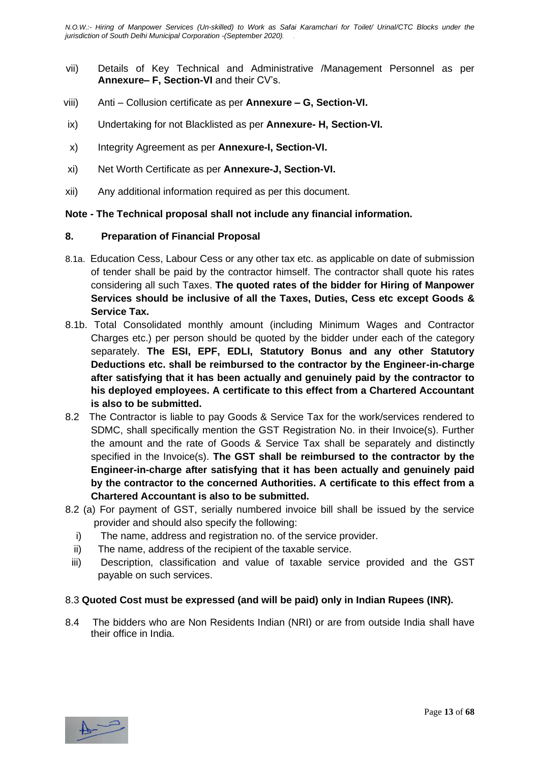- vii) Details of Key Technical and Administrative /Management Personnel as per **Annexure– F, Section-VI** and their CV's.
- viii) Anti Collusion certificate as per **Annexure – G, Section-VI.**
- ix) Undertaking for not Blacklisted as per **Annexure- H, Section-VI.**
- x) Integrity Agreement as per **Annexure-I, Section-VI.**
- xi) Net Worth Certificate as per **Annexure-J, Section-VI.**
- xii) Any additional information required as per this document.

#### **Note - The Technical proposal shall not include any financial information.**

#### **8. Preparation of Financial Proposal**

- 8.1a. Education Cess, Labour Cess or any other tax etc. as applicable on date of submission of tender shall be paid by the contractor himself. The contractor shall quote his rates considering all such Taxes. **The quoted rates of the bidder for Hiring of Manpower Services should be inclusive of all the Taxes, Duties, Cess etc except Goods & Service Tax.**
- 8.1b. Total Consolidated monthly amount (including Minimum Wages and Contractor Charges etc.) per person should be quoted by the bidder under each of the category separately. **The ESI, EPF, EDLI, Statutory Bonus and any other Statutory Deductions etc. shall be reimbursed to the contractor by the Engineer-in-charge after satisfying that it has been actually and genuinely paid by the contractor to his deployed employees. A certificate to this effect from a Chartered Accountant is also to be submitted.**
- 8.2 The Contractor is liable to pay Goods & Service Tax for the work/services rendered to SDMC, shall specifically mention the GST Registration No. in their Invoice(s). Further the amount and the rate of Goods & Service Tax shall be separately and distinctly specified in the Invoice(s). **The GST shall be reimbursed to the contractor by the Engineer-in-charge after satisfying that it has been actually and genuinely paid by the contractor to the concerned Authorities. A certificate to this effect from a Chartered Accountant is also to be submitted.**
- 8.2 (a) For payment of GST, serially numbered invoice bill shall be issued by the service provider and should also specify the following:
	- i) The name, address and registration no. of the service provider.
	- ii) The name, address of the recipient of the taxable service.
	- iii) Description, classification and value of taxable service provided and the GST payable on such services.

#### 8.3 **Quoted Cost must be expressed (and will be paid) only in Indian Rupees (INR).**

8.4 The bidders who are Non Residents Indian (NRI) or are from outside India shall have their office in India.

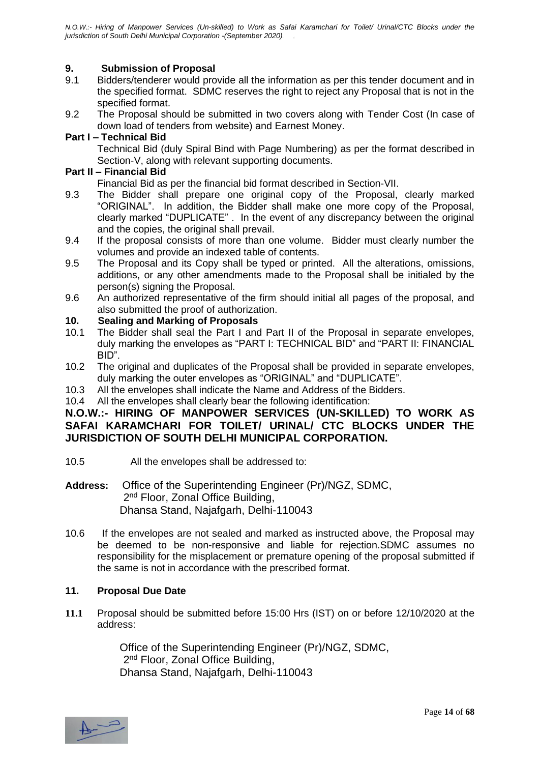#### **9. Submission of Proposal**

- 9.1 Bidders/tenderer would provide all the information as per this tender document and in the specified format. SDMC reserves the right to reject any Proposal that is not in the specified format.
- 9.2 The Proposal should be submitted in two covers along with Tender Cost (In case of down load of tenders from website) and Earnest Money.

#### **Part I – Technical Bid**

Technical Bid (duly Spiral Bind with Page Numbering) as per the format described in Section-V, along with relevant supporting documents.

#### **Part II – Financial Bid**

Financial Bid as per the financial bid format described in Section-VII.

- 9.3 The Bidder shall prepare one original copy of the Proposal, clearly marked "ORIGINAL". In addition, the Bidder shall make one more copy of the Proposal, clearly marked "DUPLICATE" . In the event of any discrepancy between the original and the copies, the original shall prevail.
- 9.4 If the proposal consists of more than one volume. Bidder must clearly number the volumes and provide an indexed table of contents.
- 9.5 The Proposal and its Copy shall be typed or printed. All the alterations, omissions, additions, or any other amendments made to the Proposal shall be initialed by the person(s) signing the Proposal.
- 9.6 An authorized representative of the firm should initial all pages of the proposal, and also submitted the proof of authorization.

# **10. Sealing and Marking of Proposals**

- The Bidder shall seal the Part I and Part II of the Proposal in separate envelopes, duly marking the envelopes as "PART I: TECHNICAL BID" and "PART II: FINANCIAL BID".
- 10.2 The original and duplicates of the Proposal shall be provided in separate envelopes, duly marking the outer envelopes as "ORIGINAL" and "DUPLICATE".
- 10.3 All the envelopes shall indicate the Name and Address of the Bidders.
- 10.4 All the envelopes shall clearly bear the following identification:

#### **N.O.W.:- HIRING OF MANPOWER SERVICES (UN-SKILLED) TO WORK AS SAFAI KARAMCHARI FOR TOILET/ URINAL/ CTC BLOCKS UNDER THE JURISDICTION OF SOUTH DELHI MUNICIPAL CORPORATION.**

- 10.5 All the envelopes shall be addressed to:
- **Address:** Office of the Superintending Engineer (Pr)/NGZ, SDMC, 2<sup>nd</sup> Floor, Zonal Office Building, Dhansa Stand, Najafgarh, Delhi-110043
- 10.6 If the envelopes are not sealed and marked as instructed above, the Proposal may be deemed to be non-responsive and liable for rejection.SDMC assumes no responsibility for the misplacement or premature opening of the proposal submitted if the same is not in accordance with the prescribed format.

#### **11. Proposal Due Date**

**11.1** Proposal should be submitted before 15:00 Hrs (IST) on or before 12/10/2020 at the address:

 Office of the Superintending Engineer (Pr)/NGZ, SDMC, 2<sup>nd</sup> Floor, Zonal Office Building, Dhansa Stand, Najafgarh, Delhi-110043

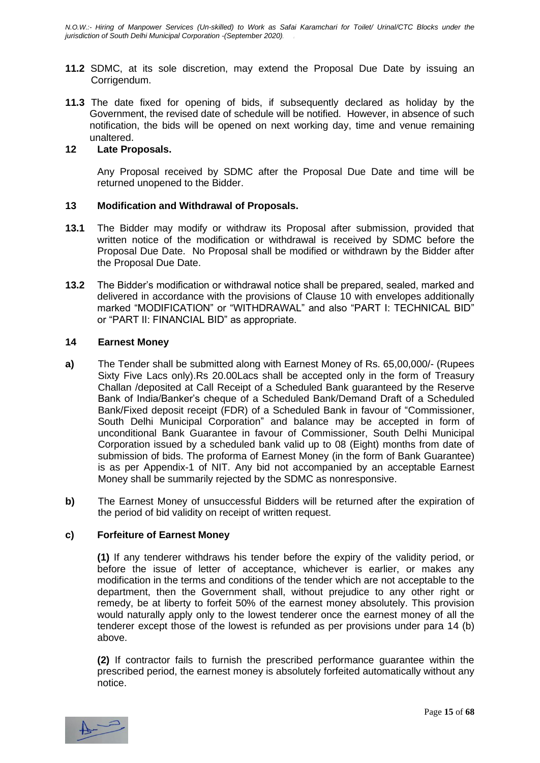- **11.2** SDMC, at its sole discretion, may extend the Proposal Due Date by issuing an Corrigendum.
- **11.3** The date fixed for opening of bids, if subsequently declared as holiday by the Government, the revised date of schedule will be notified. However, in absence of such notification, the bids will be opened on next working day, time and venue remaining unaltered.

#### **12 Late Proposals.**

Any Proposal received by SDMC after the Proposal Due Date and time will be returned unopened to the Bidder.

#### **13 Modification and Withdrawal of Proposals.**

- **13.1** The Bidder may modify or withdraw its Proposal after submission, provided that written notice of the modification or withdrawal is received by SDMC before the Proposal Due Date. No Proposal shall be modified or withdrawn by the Bidder after the Proposal Due Date.
- **13.2** The Bidder's modification or withdrawal notice shall be prepared, sealed, marked and delivered in accordance with the provisions of Clause 10 with envelopes additionally marked "MODIFICATION" or "WITHDRAWAL" and also "PART I: TECHNICAL BID" or "PART II: FINANCIAL BID" as appropriate.

#### **14 Earnest Money**

- **a)** The Tender shall be submitted along with Earnest Money of Rs. 65,00,000/- (Rupees Sixty Five Lacs only).Rs 20.00Lacs shall be accepted only in the form of Treasury Challan /deposited at Call Receipt of a Scheduled Bank guaranteed by the Reserve Bank of India/Banker's cheque of a Scheduled Bank/Demand Draft of a Scheduled Bank/Fixed deposit receipt (FDR) of a Scheduled Bank in favour of "Commissioner, South Delhi Municipal Corporation" and balance may be accepted in form of unconditional Bank Guarantee in favour of Commissioner, South Delhi Municipal Corporation issued by a scheduled bank valid up to 08 (Eight) months from date of submission of bids. The proforma of Earnest Money (in the form of Bank Guarantee) is as per Appendix-1 of NIT. Any bid not accompanied by an acceptable Earnest Money shall be summarily rejected by the SDMC as nonresponsive.
- **b)** The Earnest Money of unsuccessful Bidders will be returned after the expiration of the period of bid validity on receipt of written request.

#### **c) Forfeiture of Earnest Money**

**(1)** If any tenderer withdraws his tender before the expiry of the validity period, or before the issue of letter of acceptance, whichever is earlier, or makes any modification in the terms and conditions of the tender which are not acceptable to the department, then the Government shall, without prejudice to any other right or remedy, be at liberty to forfeit 50% of the earnest money absolutely. This provision would naturally apply only to the lowest tenderer once the earnest money of all the tenderer except those of the lowest is refunded as per provisions under para 14 (b) above.

**(2)** If contractor fails to furnish the prescribed performance guarantee within the prescribed period, the earnest money is absolutely forfeited automatically without any notice.

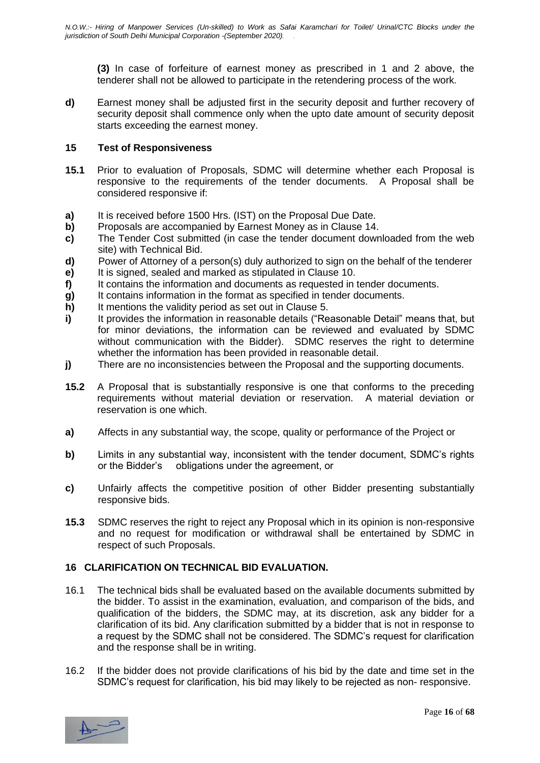**(3)** In case of forfeiture of earnest money as prescribed in 1 and 2 above, the tenderer shall not be allowed to participate in the retendering process of the work.

**d)** Earnest money shall be adjusted first in the security deposit and further recovery of security deposit shall commence only when the upto date amount of security deposit starts exceeding the earnest money.

#### **15 Test of Responsiveness**

- **15.1** Prior to evaluation of Proposals, SDMC will determine whether each Proposal is responsive to the requirements of the tender documents. A Proposal shall be considered responsive if:
- **a)** It is received before 1500 Hrs. (IST) on the Proposal Due Date.
- **b)** Proposals are accompanied by Earnest Money as in Clause 14.
- **c)** The Tender Cost submitted (in case the tender document downloaded from the web site) with Technical Bid.
- **d)** Power of Attorney of a person(s) duly authorized to sign on the behalf of the tenderer
- **e)** It is signed, sealed and marked as stipulated in Clause 10.
- **f)** It contains the information and documents as requested in tender documents.
- **g)** It contains information in the format as specified in tender documents.
- **h)** It mentions the validity period as set out in Clause 5.
- **i)** It provides the information in reasonable details ("Reasonable Detail" means that, but for minor deviations, the information can be reviewed and evaluated by SDMC without communication with the Bidder). SDMC reserves the right to determine whether the information has been provided in reasonable detail.
- **j)** There are no inconsistencies between the Proposal and the supporting documents.
- **15.2** A Proposal that is substantially responsive is one that conforms to the preceding requirements without material deviation or reservation. A material deviation or reservation is one which.
- **a)** Affects in any substantial way, the scope, quality or performance of the Project or
- **b)** Limits in any substantial way, inconsistent with the tender document, SDMC's rights or the Bidder's obligations under the agreement, or
- **c)** Unfairly affects the competitive position of other Bidder presenting substantially responsive bids.
- **15.3** SDMC reserves the right to reject any Proposal which in its opinion is non-responsive and no request for modification or withdrawal shall be entertained by SDMC in respect of such Proposals.

#### **16 CLARIFICATION ON TECHNICAL BID EVALUATION.**

- 16.1 The technical bids shall be evaluated based on the available documents submitted by the bidder. To assist in the examination, evaluation, and comparison of the bids, and qualification of the bidders, the SDMC may, at its discretion, ask any bidder for a clarification of its bid. Any clarification submitted by a bidder that is not in response to a request by the SDMC shall not be considered. The SDMC's request for clarification and the response shall be in writing.
- 16.2 If the bidder does not provide clarifications of his bid by the date and time set in the SDMC's request for clarification, his bid may likely to be rejected as non- responsive.

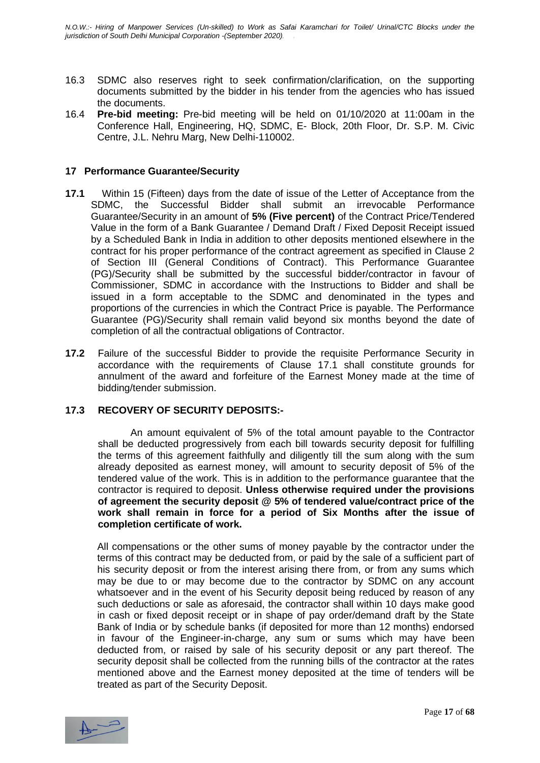- 16.3 SDMC also reserves right to seek confirmation/clarification, on the supporting documents submitted by the bidder in his tender from the agencies who has issued the documents.
- 16.4 **Pre-bid meeting:** Pre-bid meeting will be held on 01/10/2020 at 11:00am in the Conference Hall, Engineering, HQ, SDMC, E- Block, 20th Floor, Dr. S.P. M. Civic Centre, J.L. Nehru Marg, New Delhi-110002.

#### **17 Performance Guarantee/Security**

- **17.1** Within 15 (Fifteen) days from the date of issue of the Letter of Acceptance from the SDMC, the Successful Bidder shall submit an irrevocable Performance Guarantee/Security in an amount of **5% (Five percent)** of the Contract Price/Tendered Value in the form of a Bank Guarantee / Demand Draft / Fixed Deposit Receipt issued by a Scheduled Bank in India in addition to other deposits mentioned elsewhere in the contract for his proper performance of the contract agreement as specified in Clause 2 of Section III (General Conditions of Contract). This Performance Guarantee (PG)/Security shall be submitted by the successful bidder/contractor in favour of Commissioner, SDMC in accordance with the Instructions to Bidder and shall be issued in a form acceptable to the SDMC and denominated in the types and proportions of the currencies in which the Contract Price is payable. The Performance Guarantee (PG)/Security shall remain valid beyond six months beyond the date of completion of all the contractual obligations of Contractor.
- **17.2** Failure of the successful Bidder to provide the requisite Performance Security in accordance with the requirements of Clause 17.1 shall constitute grounds for annulment of the award and forfeiture of the Earnest Money made at the time of bidding/tender submission.

#### **17.3 RECOVERY OF SECURITY DEPOSITS:-**

An amount equivalent of 5% of the total amount payable to the Contractor shall be deducted progressively from each bill towards security deposit for fulfilling the terms of this agreement faithfully and diligently till the sum along with the sum already deposited as earnest money, will amount to security deposit of 5% of the tendered value of the work. This is in addition to the performance guarantee that the contractor is required to deposit. **Unless otherwise required under the provisions of agreement the security deposit @ 5% of tendered value/contract price of the work shall remain in force for a period of Six Months after the issue of completion certificate of work.**

All compensations or the other sums of money payable by the contractor under the terms of this contract may be deducted from, or paid by the sale of a sufficient part of his security deposit or from the interest arising there from, or from any sums which may be due to or may become due to the contractor by SDMC on any account whatsoever and in the event of his Security deposit being reduced by reason of any such deductions or sale as aforesaid, the contractor shall within 10 days make good in cash or fixed deposit receipt or in shape of pay order/demand draft by the State Bank of India or by schedule banks (if deposited for more than 12 months) endorsed in favour of the Engineer-in-charge, any sum or sums which may have been deducted from, or raised by sale of his security deposit or any part thereof. The security deposit shall be collected from the running bills of the contractor at the rates mentioned above and the Earnest money deposited at the time of tenders will be treated as part of the Security Deposit.

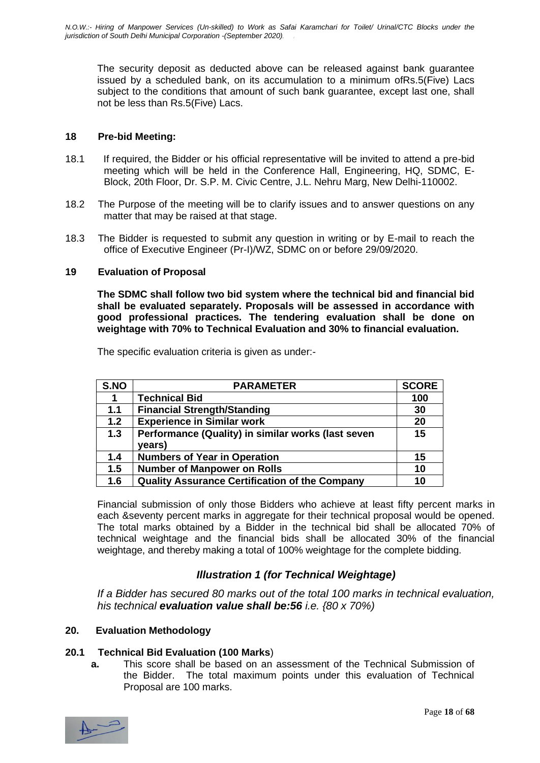The security deposit as deducted above can be released against bank guarantee issued by a scheduled bank, on its accumulation to a minimum ofRs.5(Five) Lacs subject to the conditions that amount of such bank guarantee, except last one, shall not be less than Rs.5(Five) Lacs.

#### **18 Pre-bid Meeting:**

- 18.1 If required, the Bidder or his official representative will be invited to attend a pre-bid meeting which will be held in the Conference Hall, Engineering, HQ, SDMC, E-Block, 20th Floor, Dr. S.P. M. Civic Centre, J.L. Nehru Marg, New Delhi-110002.
- 18.2 The Purpose of the meeting will be to clarify issues and to answer questions on any matter that may be raised at that stage.
- 18.3 The Bidder is requested to submit any question in writing or by E-mail to reach the office of Executive Engineer (Pr-I)/WZ, SDMC on or before 29/09/2020.

#### **19 Evaluation of Proposal**

**The SDMC shall follow two bid system where the technical bid and financial bid shall be evaluated separately. Proposals will be assessed in accordance with good professional practices. The tendering evaluation shall be done on weightage with 70% to Technical Evaluation and 30% to financial evaluation.**

The specific evaluation criteria is given as under:-

| S.NO | <b>PARAMETER</b>                                             | <b>SCORE</b> |
|------|--------------------------------------------------------------|--------------|
| 1    | <b>Technical Bid</b>                                         | 100          |
| 1.1  | <b>Financial Strength/Standing</b>                           | 30           |
| 1.2  | <b>Experience in Similar work</b>                            | 20           |
| 1.3  | Performance (Quality) in similar works (last seven<br>years) | 15           |
| 1.4  | <b>Numbers of Year in Operation</b>                          | 15           |
| 1.5  | <b>Number of Manpower on Rolls</b>                           | 10           |
| 1.6  | <b>Quality Assurance Certification of the Company</b>        | 10           |

Financial submission of only those Bidders who achieve at least fifty percent marks in each &seventy percent marks in aggregate for their technical proposal would be opened. The total marks obtained by a Bidder in the technical bid shall be allocated 70% of technical weightage and the financial bids shall be allocated 30% of the financial weightage, and thereby making a total of 100% weightage for the complete bidding.

#### *Illustration 1 (for Technical Weightage)*

*If a Bidder has secured 80 marks out of the total 100 marks in technical evaluation, his technical evaluation value shall be:56 i.e. {80 x 70%)*

#### **20. Evaluation Methodology**

#### **20.1 Technical Bid Evaluation (100 Marks**)

**a.** This score shall be based on an assessment of the Technical Submission of the Bidder. The total maximum points under this evaluation of Technical Proposal are 100 marks.

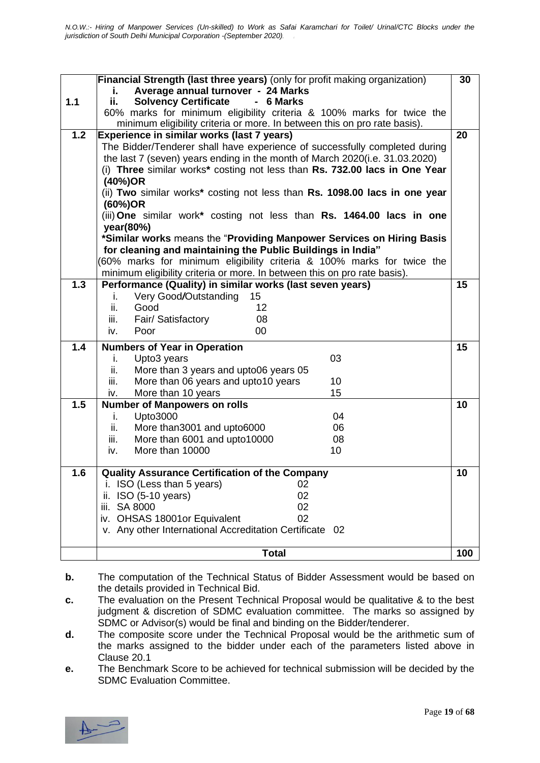|     | Financial Strength (last three years) (only for profit making organization)                                                          | 30  |
|-----|--------------------------------------------------------------------------------------------------------------------------------------|-----|
|     | Average annual turnover - 24 Marks<br>i.                                                                                             |     |
| 1.1 | ii.<br><b>Solvency Certificate</b><br>- 6 Marks                                                                                      |     |
|     | 60% marks for minimum eligibility criteria & 100% marks for twice the                                                                |     |
|     | minimum eligibility criteria or more. In between this on pro rate basis).                                                            |     |
| 1.2 | Experience in similar works (last 7 years)                                                                                           | 20  |
|     | The Bidder/Tenderer shall have experience of successfully completed during                                                           |     |
|     | the last 7 (seven) years ending in the month of March 2020(i.e. 31.03.2020)                                                          |     |
|     | (i) Three similar works* costing not less than Rs. 732.00 lacs in One Year                                                           |     |
|     | (40%)OR                                                                                                                              |     |
|     | (ii) Two similar works* costing not less than Rs. 1098.00 lacs in one year                                                           |     |
|     | (60%)OR                                                                                                                              |     |
|     | (iii) One similar work* costing not less than Rs. 1464.00 lacs in one                                                                |     |
|     | year(80%)                                                                                                                            |     |
|     | *Similar works means the "Providing Manpower Services on Hiring Basis<br>for cleaning and maintaining the Public Buildings in India" |     |
|     | 60% marks for minimum eligibility criteria & 100% marks for twice the                                                                |     |
|     | minimum eligibility criteria or more. In between this on pro rate basis).                                                            |     |
| 1.3 | Performance (Quality) in similar works (last seven years)                                                                            | 15  |
|     | Very Good/Outstanding<br>15<br>i.                                                                                                    |     |
|     | ii.<br>12<br>Good                                                                                                                    |     |
|     | iii.<br>Fair/ Satisfactory<br>08                                                                                                     |     |
|     | 00<br>iv.<br>Poor                                                                                                                    |     |
|     |                                                                                                                                      |     |
| 1.4 | <b>Numbers of Year in Operation</b>                                                                                                  | 15  |
|     | Upto3 years<br>03<br>j.                                                                                                              |     |
|     | ii.<br>More than 3 years and upto06 years 05                                                                                         |     |
|     | More than 06 years and upto10 years<br>10<br>iii.                                                                                    |     |
| 1.5 | 15<br>More than 10 years<br>iv.                                                                                                      | 10  |
|     | <b>Number of Manpowers on rolls</b><br><b>Upto3000</b><br>04                                                                         |     |
|     | i.<br>ii.<br>More than 3001 and upto 6000<br>06                                                                                      |     |
|     | iii.<br>More than 6001 and upto10000<br>08                                                                                           |     |
|     | More than 10000<br>iv.<br>10                                                                                                         |     |
|     |                                                                                                                                      |     |
| 1.6 | <b>Quality Assurance Certification of the Company</b>                                                                                | 10  |
|     | ISO (Less than 5 years)<br>02                                                                                                        |     |
|     | 02<br>ISO (5-10 years)<br>н.                                                                                                         |     |
|     | SA 8000<br>02<br>iii.                                                                                                                |     |
|     | 02<br>iv. OHSAS 18001or Equivalent                                                                                                   |     |
|     | v. Any other International Accreditation Certificate 02                                                                              |     |
|     |                                                                                                                                      |     |
|     | <b>Total</b>                                                                                                                         | 100 |

**b.** The computation of the Technical Status of Bidder Assessment would be based on the details provided in Technical Bid.

- **c.** The evaluation on the Present Technical Proposal would be qualitative & to the best judgment & discretion of SDMC evaluation committee. The marks so assigned by SDMC or Advisor(s) would be final and binding on the Bidder/tenderer.
- **d.** The composite score under the Technical Proposal would be the arithmetic sum of the marks assigned to the bidder under each of the parameters listed above in Clause 20.1
- **e.** The Benchmark Score to be achieved for technical submission will be decided by the SDMC Evaluation Committee.

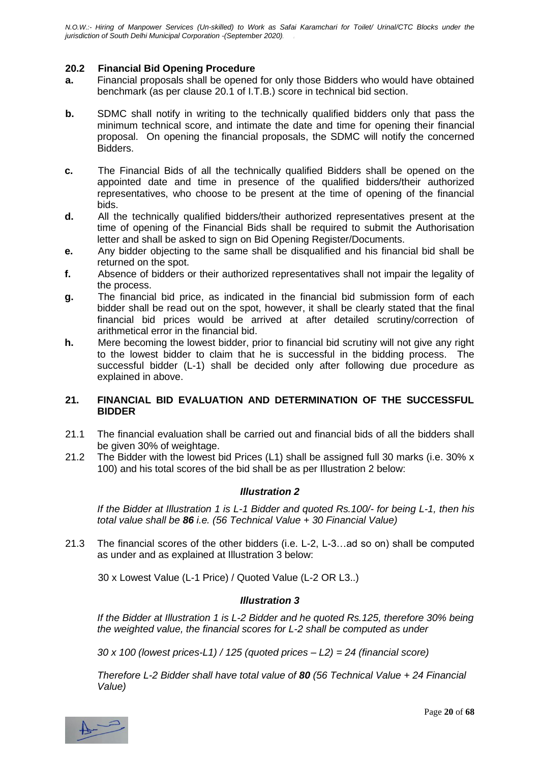#### **20.2 Financial Bid Opening Procedure**

- **a.** Financial proposals shall be opened for only those Bidders who would have obtained benchmark (as per clause 20.1 of I.T.B.) score in technical bid section.
- **b.** SDMC shall notify in writing to the technically qualified bidders only that pass the minimum technical score, and intimate the date and time for opening their financial proposal. On opening the financial proposals, the SDMC will notify the concerned Bidders.
- **c.** The Financial Bids of all the technically qualified Bidders shall be opened on the appointed date and time in presence of the qualified bidders/their authorized representatives, who choose to be present at the time of opening of the financial bids.
- **d.** All the technically qualified bidders/their authorized representatives present at the time of opening of the Financial Bids shall be required to submit the Authorisation letter and shall be asked to sign on Bid Opening Register/Documents.
- **e.** Any bidder objecting to the same shall be disqualified and his financial bid shall be returned on the spot.
- **f.** Absence of bidders or their authorized representatives shall not impair the legality of the process.
- **g.** The financial bid price, as indicated in the financial bid submission form of each bidder shall be read out on the spot, however, it shall be clearly stated that the final financial bid prices would be arrived at after detailed scrutiny/correction of arithmetical error in the financial bid.
- **h.** Mere becoming the lowest bidder, prior to financial bid scrutiny will not give any right to the lowest bidder to claim that he is successful in the bidding process. The successful bidder (L-1) shall be decided only after following due procedure as explained in above.

#### **21. FINANCIAL BID EVALUATION AND DETERMINATION OF THE SUCCESSFUL BIDDER**

- 21.1 The financial evaluation shall be carried out and financial bids of all the bidders shall be given 30% of weightage.
- 21.2 The Bidder with the lowest bid Prices (L1) shall be assigned full 30 marks (i.e. 30% x 100) and his total scores of the bid shall be as per Illustration 2 below:

#### *Illustration 2*

*If the Bidder at Illustration 1 is L-1 Bidder and quoted Rs.100/- for being L-1, then his total value shall be 86 i.e. (56 Technical Value + 30 Financial Value)*

21.3 The financial scores of the other bidders (i.e. L-2, L-3…ad so on) shall be computed as under and as explained at Illustration 3 below:

30 x Lowest Value (L-1 Price) / Quoted Value (L-2 OR L3..)

#### *Illustration 3*

*If the Bidder at Illustration 1 is L-2 Bidder and he quoted Rs.125, therefore 30% being the weighted value, the financial scores for L-2 shall be computed as under*

*30 x 100 (lowest prices-L1) / 125 (quoted prices – L2) = 24 (financial score)*

*Therefore L-2 Bidder shall have total value of 80 (56 Technical Value + 24 Financial Value)*

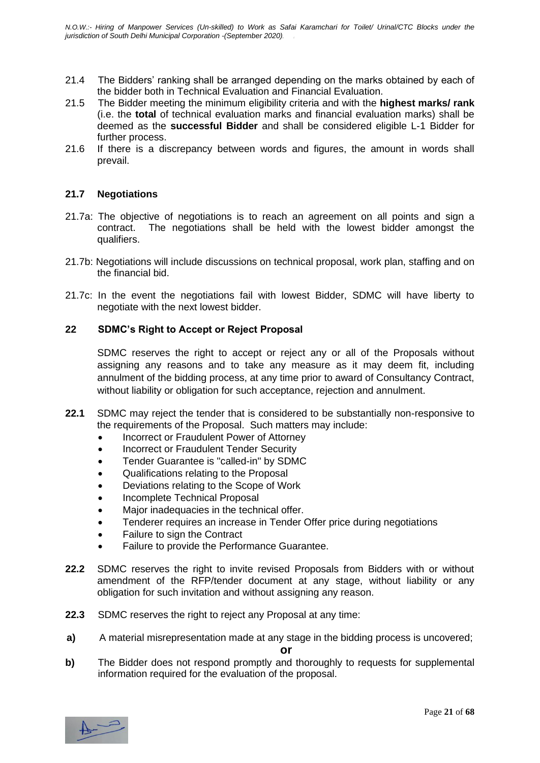- 21.4 The Bidders' ranking shall be arranged depending on the marks obtained by each of the bidder both in Technical Evaluation and Financial Evaluation.
- 21.5 The Bidder meeting the minimum eligibility criteria and with the **highest marks/ rank** (i.e. the **total** of technical evaluation marks and financial evaluation marks) shall be deemed as the **successful Bidder** and shall be considered eligible L-1 Bidder for further process.
- 21.6 If there is a discrepancy between words and figures, the amount in words shall prevail.

#### **21.7 Negotiations**

- 21.7a: The objective of negotiations is to reach an agreement on all points and sign a contract. The negotiations shall be held with the lowest bidder amongst the qualifiers.
- 21.7b: Negotiations will include discussions on technical proposal, work plan, staffing and on the financial bid.
- 21.7c: In the event the negotiations fail with lowest Bidder, SDMC will have liberty to negotiate with the next lowest bidder.

#### **22 SDMC's Right to Accept or Reject Proposal**

SDMC reserves the right to accept or reject any or all of the Proposals without assigning any reasons and to take any measure as it may deem fit, including annulment of the bidding process, at any time prior to award of Consultancy Contract, without liability or obligation for such acceptance, rejection and annulment.

- **22.1** SDMC may reject the tender that is considered to be substantially non-responsive to the requirements of the Proposal. Such matters may include:
	- Incorrect or Fraudulent Power of Attorney
	- Incorrect or Fraudulent Tender Security
	- Tender Guarantee is "called-in" by SDMC
	- Qualifications relating to the Proposal
	- Deviations relating to the Scope of Work
	- Incomplete Technical Proposal
	- Major inadequacies in the technical offer.
	- Tenderer requires an increase in Tender Offer price during negotiations
	- Failure to sign the Contract
	- Failure to provide the Performance Guarantee.
- **22.2** SDMC reserves the right to invite revised Proposals from Bidders with or without amendment of the RFP/tender document at any stage, without liability or any obligation for such invitation and without assigning any reason.
- **22.3** SDMC reserves the right to reject any Proposal at any time:
- **a)** A material misrepresentation made at any stage in the bidding process is uncovered;

**or**

**b)** The Bidder does not respond promptly and thoroughly to requests for supplemental information required for the evaluation of the proposal.

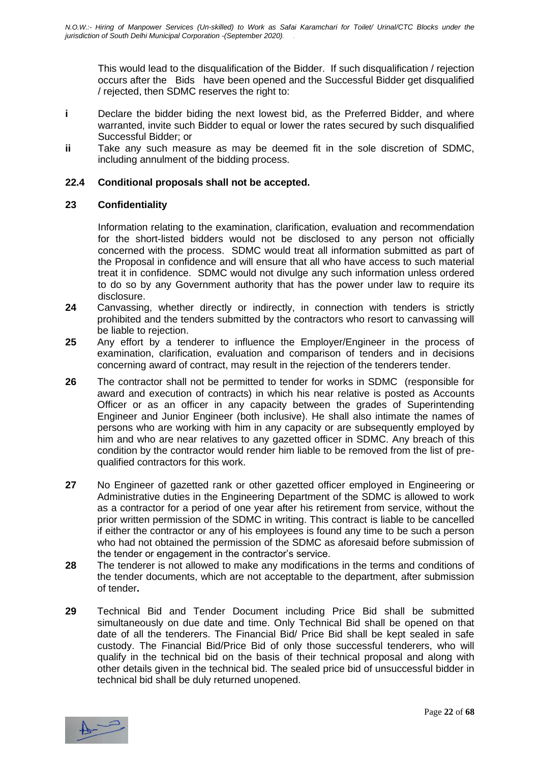This would lead to the disqualification of the Bidder. If such disqualification / rejection occurs after the Bids have been opened and the Successful Bidder get disqualified / rejected, then SDMC reserves the right to:

- **i** Declare the bidder biding the next lowest bid, as the Preferred Bidder, and where warranted, invite such Bidder to equal or lower the rates secured by such disqualified Successful Bidder; or
- **ii** Take any such measure as may be deemed fit in the sole discretion of SDMC, including annulment of the bidding process.

#### **22.4 Conditional proposals shall not be accepted.**

#### **23 Confidentiality**

Information relating to the examination, clarification, evaluation and recommendation for the short-listed bidders would not be disclosed to any person not officially concerned with the process. SDMC would treat all information submitted as part of the Proposal in confidence and will ensure that all who have access to such material treat it in confidence. SDMC would not divulge any such information unless ordered to do so by any Government authority that has the power under law to require its disclosure.

- **24** Canvassing, whether directly or indirectly, in connection with tenders is strictly prohibited and the tenders submitted by the contractors who resort to canvassing will be liable to rejection.
- **25** Any effort by a tenderer to influence the Employer/Engineer in the process of examination, clarification, evaluation and comparison of tenders and in decisions concerning award of contract, may result in the rejection of the tenderers tender.
- **26** The contractor shall not be permitted to tender for works in SDMC (responsible for award and execution of contracts) in which his near relative is posted as Accounts Officer or as an officer in any capacity between the grades of Superintending Engineer and Junior Engineer (both inclusive). He shall also intimate the names of persons who are working with him in any capacity or are subsequently employed by him and who are near relatives to any gazetted officer in SDMC. Any breach of this condition by the contractor would render him liable to be removed from the list of prequalified contractors for this work.
- **27** No Engineer of gazetted rank or other gazetted officer employed in Engineering or Administrative duties in the Engineering Department of the SDMC is allowed to work as a contractor for a period of one year after his retirement from service, without the prior written permission of the SDMC in writing. This contract is liable to be cancelled if either the contractor or any of his employees is found any time to be such a person who had not obtained the permission of the SDMC as aforesaid before submission of the tender or engagement in the contractor's service.
- **28** The tenderer is not allowed to make any modifications in the terms and conditions of the tender documents, which are not acceptable to the department, after submission of tender**.**
- **29** Technical Bid and Tender Document including Price Bid shall be submitted simultaneously on due date and time. Only Technical Bid shall be opened on that date of all the tenderers. The Financial Bid/ Price Bid shall be kept sealed in safe custody. The Financial Bid/Price Bid of only those successful tenderers, who will qualify in the technical bid on the basis of their technical proposal and along with other details given in the technical bid. The sealed price bid of unsuccessful bidder in technical bid shall be duly returned unopened.

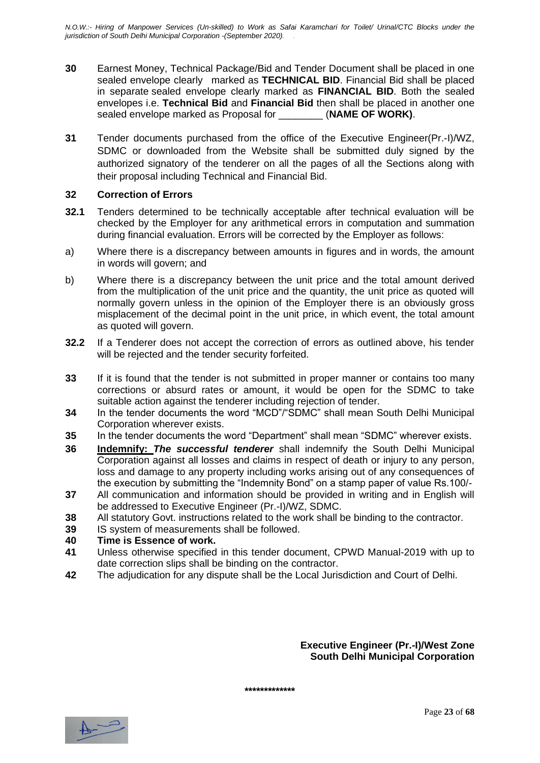- **30** Earnest Money, Technical Package/Bid and Tender Document shall be placed in one sealed envelope clearly marked as **TECHNICAL BID**. Financial Bid shall be placed in separate sealed envelope clearly marked as **FINANCIAL BID**. Both the sealed envelopes i.e. **Technical Bid** and **Financial Bid** then shall be placed in another one sealed envelope marked as Proposal for \_\_\_\_\_\_\_\_ (**NAME OF WORK)**.
- **31** Tender documents purchased from the office of the Executive Engineer(Pr.-I)/WZ, SDMC or downloaded from the Website shall be submitted duly signed by the authorized signatory of the tenderer on all the pages of all the Sections along with their proposal including Technical and Financial Bid.

#### **32 Correction of Errors**

- **32.1** Tenders determined to be technically acceptable after technical evaluation will be checked by the Employer for any arithmetical errors in computation and summation during financial evaluation. Errors will be corrected by the Employer as follows:
- a) Where there is a discrepancy between amounts in figures and in words, the amount in words will govern; and
- b) Where there is a discrepancy between the unit price and the total amount derived from the multiplication of the unit price and the quantity, the unit price as quoted will normally govern unless in the opinion of the Employer there is an obviously gross misplacement of the decimal point in the unit price, in which event, the total amount as quoted will govern.
- **32.2** If a Tenderer does not accept the correction of errors as outlined above, his tender will be rejected and the tender security forfeited.
- **33** If it is found that the tender is not submitted in proper manner or contains too many corrections or absurd rates or amount, it would be open for the SDMC to take suitable action against the tenderer including rejection of tender.
- **34** In the tender documents the word "MCD"/"SDMC" shall mean South Delhi Municipal Corporation wherever exists.
- **35** In the tender documents the word "Department" shall mean "SDMC" wherever exists.
- **36 Indemnify:** *The successful tenderer* shall indemnify the South Delhi Municipal Corporation against all losses and claims in respect of death or injury to any person, loss and damage to any property including works arising out of any consequences of the execution by submitting the "Indemnity Bond" on a stamp paper of value Rs.100/-
- **37** All communication and information should be provided in writing and in English will be addressed to Executive Engineer (Pr.-I)/WZ, SDMC.
- **38** All statutory Govt. instructions related to the work shall be binding to the contractor.
- **39** IS system of measurements shall be followed.

#### **40 Time is Essence of work.**

- **41** Unless otherwise specified in this tender document, CPWD Manual-2019 with up to date correction slips shall be binding on the contractor.
- **42** The adjudication for any dispute shall be the Local Jurisdiction and Court of Delhi.

**Executive Engineer (Pr.-I)/West Zone South Delhi Municipal Corporation**

**\*\*\*\*\*\*\*\*\*\*\*\*\***

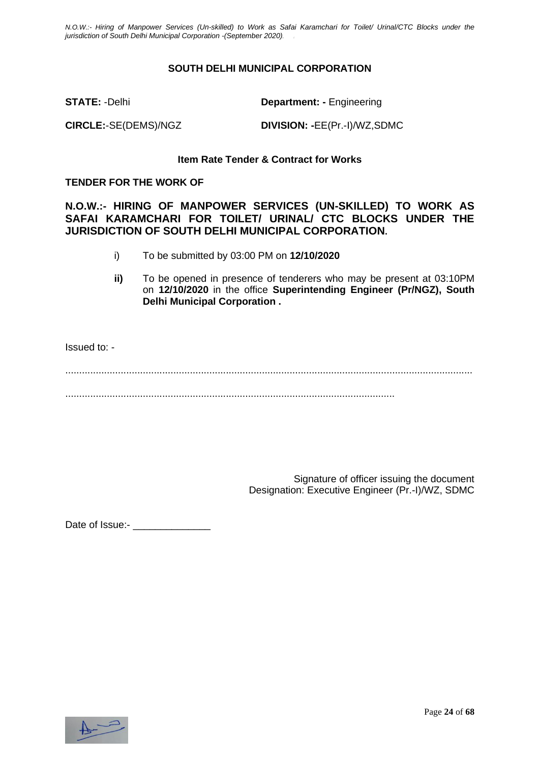#### **SOUTH DELHI MUNICIPAL CORPORATION**

**STATE:** -Delhi **Department: -** Engineering

**CIRCLE:**-SE(DEMS)/NGZ **DIVISION: -**EE(Pr.-I)/WZ,SDMC

#### **Item Rate Tender & Contract for Works**

#### **TENDER FOR THE WORK OF**

**N.O.W.:- HIRING OF MANPOWER SERVICES (UN-SKILLED) TO WORK AS SAFAI KARAMCHARI FOR TOILET/ URINAL/ CTC BLOCKS UNDER THE JURISDICTION OF SOUTH DELHI MUNICIPAL CORPORATION.**

- i) To be submitted by 03:00 PM on **12/10/2020**
- **ii)** To be opened in presence of tenderers who may be present at 03:10PM on **12/10/2020** in the office **Superintending Engineer (Pr/NGZ), South Delhi Municipal Corporation .**

Issued to: -

................................................................................................................................................... .......................................................................................................................

> Signature of officer issuing the document Designation: Executive Engineer (Pr.-I)/WZ, SDMC

Date of Issue:- \_\_\_\_\_\_\_\_\_\_\_\_\_\_

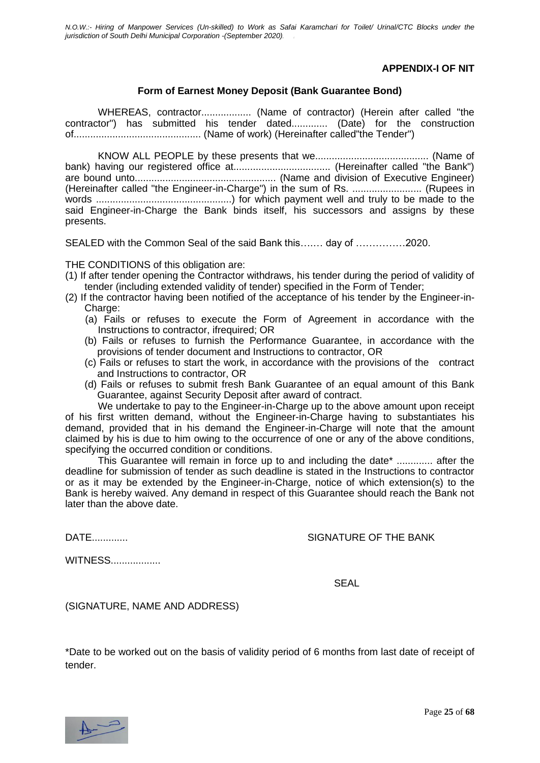#### **APPENDIX-I OF NIT**

#### **Form of Earnest Money Deposit (Bank Guarantee Bond)**

WHEREAS, contractor.................. (Name of contractor) (Herein after called "the contractor") has submitted his tender dated............. (Date) for the construction of.............................................. (Name of work) (Hereinafter called"the Tender")

KNOW ALL PEOPLE by these presents that we......................................... (Name of bank) having our registered office at................................... (Hereinafter called "the Bank") are bound unto................................................... (Name and division of Executive Engineer) (Hereinafter called "the Engineer-in-Charge") in the sum of Rs. ......................... (Rupees in words .................................................) for which payment well and truly to be made to the said Engineer-in-Charge the Bank binds itself, his successors and assigns by these presents.

SEALED with the Common Seal of the said Bank this….… day of ……………2020.

THE CONDITIONS of this obligation are:

- (1) If after tender opening the Contractor withdraws, his tender during the period of validity of tender (including extended validity of tender) specified in the Form of Tender;
- (2) If the contractor having been notified of the acceptance of his tender by the Engineer-in-Charge:
	- (a) Fails or refuses to execute the Form of Agreement in accordance with the Instructions to contractor, ifrequired; OR
	- (b) Fails or refuses to furnish the Performance Guarantee, in accordance with the provisions of tender document and Instructions to contractor, OR
	- (c) Fails or refuses to start the work, in accordance with the provisions of the contract and Instructions to contractor, OR
	- (d) Fails or refuses to submit fresh Bank Guarantee of an equal amount of this Bank Guarantee, against Security Deposit after award of contract.

We undertake to pay to the Engineer-in-Charge up to the above amount upon receipt of his first written demand, without the Engineer-in-Charge having to substantiates his demand, provided that in his demand the Engineer-in-Charge will note that the amount claimed by his is due to him owing to the occurrence of one or any of the above conditions, specifying the occurred condition or conditions.

This Guarantee will remain in force up to and including the date\* ............. after the deadline for submission of tender as such deadline is stated in the Instructions to contractor or as it may be extended by the Engineer-in-Charge, notice of which extension(s) to the Bank is hereby waived. Any demand in respect of this Guarantee should reach the Bank not later than the above date.

DATE............. SIGNATURE OF THE BANK

WITNESS..................

ing the contract of the contract of the contract of the SEAL SEAL of the contract of the contract of the contract of the contract of the contract of the contract of the contract of the contract of the contract of the contr

(SIGNATURE, NAME AND ADDRESS)

\*Date to be worked out on the basis of validity period of 6 months from last date of receipt of tender.

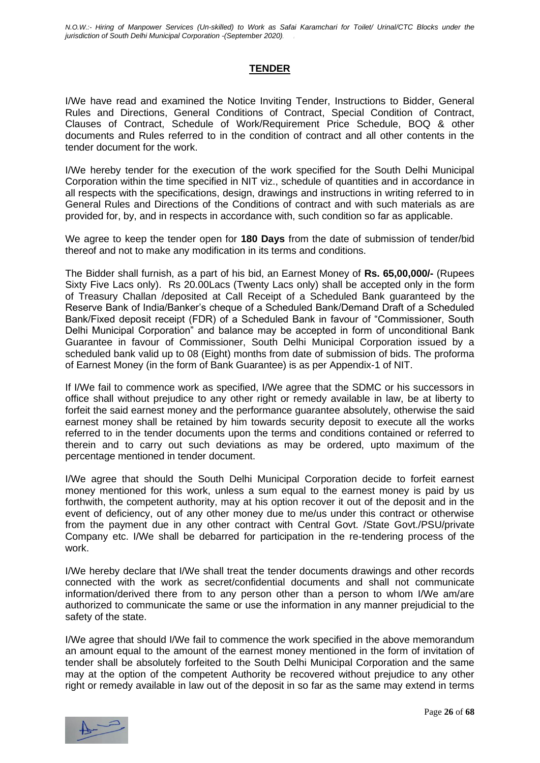#### **TENDER**

I/We have read and examined the Notice Inviting Tender, Instructions to Bidder, General Rules and Directions, General Conditions of Contract, Special Condition of Contract, Clauses of Contract, Schedule of Work/Requirement Price Schedule, BOQ & other documents and Rules referred to in the condition of contract and all other contents in the tender document for the work.

I/We hereby tender for the execution of the work specified for the South Delhi Municipal Corporation within the time specified in NIT viz., schedule of quantities and in accordance in all respects with the specifications, design, drawings and instructions in writing referred to in General Rules and Directions of the Conditions of contract and with such materials as are provided for, by, and in respects in accordance with, such condition so far as applicable.

We agree to keep the tender open for **180 Days** from the date of submission of tender/bid thereof and not to make any modification in its terms and conditions.

The Bidder shall furnish, as a part of his bid, an Earnest Money of **Rs. 65,00,000/-** (Rupees Sixty Five Lacs only). Rs 20.00Lacs (Twenty Lacs only) shall be accepted only in the form of Treasury Challan /deposited at Call Receipt of a Scheduled Bank guaranteed by the Reserve Bank of India/Banker's cheque of a Scheduled Bank/Demand Draft of a Scheduled Bank/Fixed deposit receipt (FDR) of a Scheduled Bank in favour of "Commissioner, South Delhi Municipal Corporation" and balance may be accepted in form of unconditional Bank Guarantee in favour of Commissioner, South Delhi Municipal Corporation issued by a scheduled bank valid up to 08 (Eight) months from date of submission of bids. The proforma of Earnest Money (in the form of Bank Guarantee) is as per Appendix-1 of NIT.

If I/We fail to commence work as specified, I/We agree that the SDMC or his successors in office shall without prejudice to any other right or remedy available in law, be at liberty to forfeit the said earnest money and the performance guarantee absolutely, otherwise the said earnest money shall be retained by him towards security deposit to execute all the works referred to in the tender documents upon the terms and conditions contained or referred to therein and to carry out such deviations as may be ordered, upto maximum of the percentage mentioned in tender document.

I/We agree that should the South Delhi Municipal Corporation decide to forfeit earnest money mentioned for this work, unless a sum equal to the earnest money is paid by us forthwith, the competent authority, may at his option recover it out of the deposit and in the event of deficiency, out of any other money due to me/us under this contract or otherwise from the payment due in any other contract with Central Govt. /State Govt./PSU/private Company etc. I/We shall be debarred for participation in the re-tendering process of the work.

I/We hereby declare that I/We shall treat the tender documents drawings and other records connected with the work as secret/confidential documents and shall not communicate information/derived there from to any person other than a person to whom I/We am/are authorized to communicate the same or use the information in any manner prejudicial to the safety of the state.

I/We agree that should I/We fail to commence the work specified in the above memorandum an amount equal to the amount of the earnest money mentioned in the form of invitation of tender shall be absolutely forfeited to the South Delhi Municipal Corporation and the same may at the option of the competent Authority be recovered without prejudice to any other right or remedy available in law out of the deposit in so far as the same may extend in terms

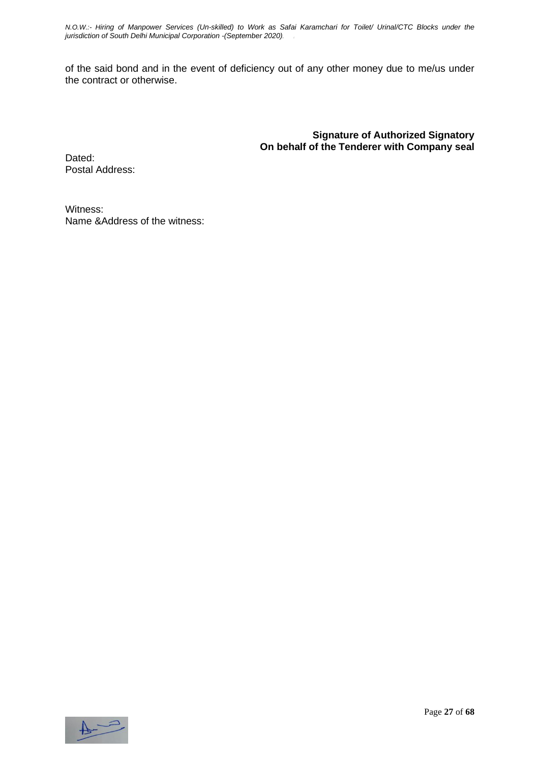of the said bond and in the event of deficiency out of any other money due to me/us under the contract or otherwise.

> **Signature of Authorized Signatory On behalf of the Tenderer with Company seal**

Dated: Postal Address:

Witness: Name &Address of the witness:

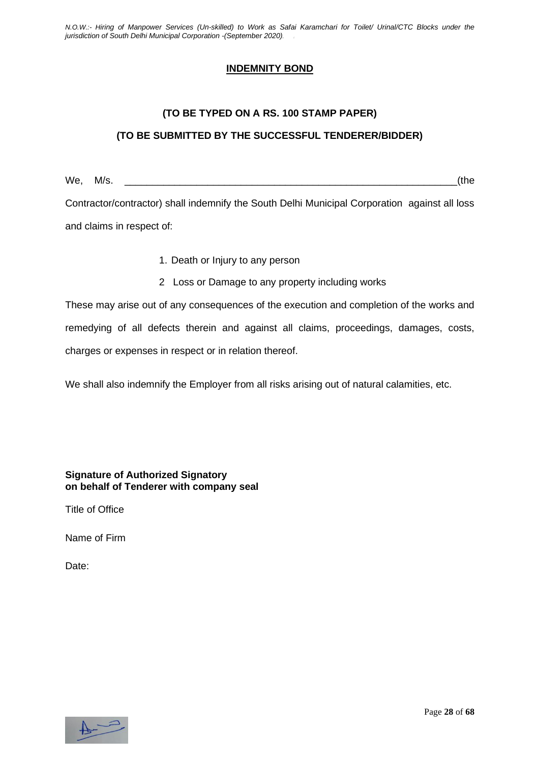#### **INDEMNITY BOND**

# **(TO BE TYPED ON A RS. 100 STAMP PAPER) (TO BE SUBMITTED BY THE SUCCESSFUL TENDERER/BIDDER)**

We, M/s. \_\_\_\_\_\_\_\_\_\_\_\_\_\_\_\_\_\_\_\_\_\_\_\_\_\_\_\_\_\_\_\_\_\_\_\_\_\_\_\_\_\_\_\_\_\_\_\_\_\_\_\_\_\_\_\_\_\_\_\_(the Contractor/contractor) shall indemnify the South Delhi Municipal Corporation against all loss and claims in respect of:

- 1. Death or Injury to any person
- 2 Loss or Damage to any property including works

These may arise out of any consequences of the execution and completion of the works and remedying of all defects therein and against all claims, proceedings, damages, costs, charges or expenses in respect or in relation thereof.

We shall also indemnify the Employer from all risks arising out of natural calamities, etc.

**Signature of Authorized Signatory on behalf of Tenderer with company seal**

Title of Office

Name of Firm

Date:

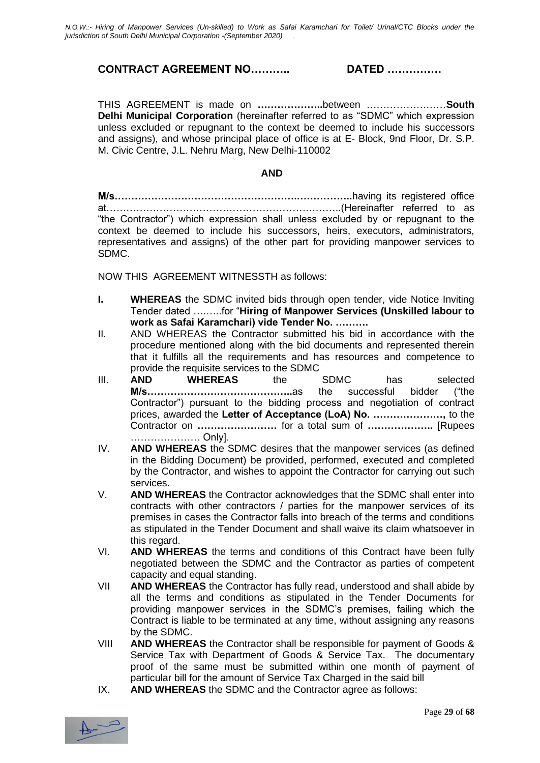#### **CONTRACT AGREEMENT NO……….. DATED ……………**

THIS AGREEMENT is made on **………………..**between ……………………**South Delhi Municipal Corporation** (hereinafter referred to as "SDMC" which expression unless excluded or repugnant to the context be deemed to include his successors and assigns), and whose principal place of office is at E- Block, 9nd Floor, Dr. S.P. M. Civic Centre, J.L. Nehru Marg, New Delhi-110002

#### **AND**

**M/s……………………………………………….……………..**having its registered office at……………………………………………………………..(Hereinafter referred to as "the Contractor") which expression shall unless excluded by or repugnant to the context be deemed to include his successors, heirs, executors, administrators, representatives and assigns) of the other part for providing manpower services to SDMC.

NOW THIS AGREEMENT WITNESSTH as follows:

- **I. WHEREAS** the SDMC invited bids through open tender, vide Notice Inviting Tender dated ….…..for "**Hiring of Manpower Services (Unskilled labour to work as Safai Karamchari) vide Tender No. ……….**
- II. AND WHEREAS the Contractor submitted his bid in accordance with the procedure mentioned along with the bid documents and represented therein that it fulfills all the requirements and has resources and competence to provide the requisite services to the SDMC
- III. **AND WHEREAS** the SDMC has selected **M/s……………………………………..**as the successful bidder ("the Contractor") pursuant to the bidding process and negotiation of contract prices, awarded the **Letter of Acceptance (LoA) No. …………………,** to the Contractor on **……………………** for a total sum of **………………..** [Rupees ………………… Only].
- IV. **AND WHEREAS** the SDMC desires that the manpower services (as defined in the Bidding Document) be provided, performed, executed and completed by the Contractor, and wishes to appoint the Contractor for carrying out such services.
- V. **AND WHEREAS** the Contractor acknowledges that the SDMC shall enter into contracts with other contractors / parties for the manpower services of its premises in cases the Contractor falls into breach of the terms and conditions as stipulated in the Tender Document and shall waive its claim whatsoever in this regard.
- VI. **AND WHEREAS** the terms and conditions of this Contract have been fully negotiated between the SDMC and the Contractor as parties of competent capacity and equal standing.
- VII **AND WHEREAS** the Contractor has fully read, understood and shall abide by all the terms and conditions as stipulated in the Tender Documents for providing manpower services in the SDMC's premises, failing which the Contract is liable to be terminated at any time, without assigning any reasons by the SDMC.
- VIII **AND WHEREAS** the Contractor shall be responsible for payment of Goods & Service Tax with Department of Goods & Service Tax. The documentary proof of the same must be submitted within one month of payment of particular bill for the amount of Service Tax Charged in the said bill
- IX. **AND WHEREAS** the SDMC and the Contractor agree as follows:

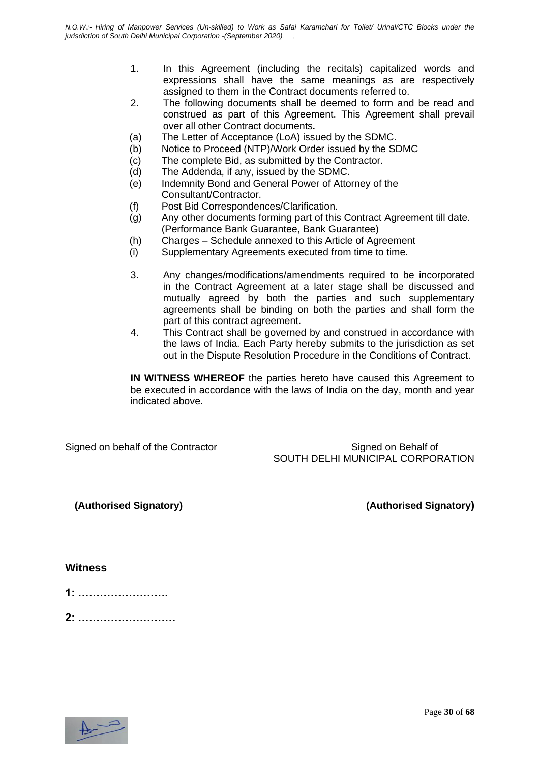- 1. In this Agreement (including the recitals) capitalized words and expressions shall have the same meanings as are respectively assigned to them in the Contract documents referred to.
- 2. The following documents shall be deemed to form and be read and construed as part of this Agreement. This Agreement shall prevail over all other Contract documents*.*
- (a) The Letter of Acceptance (LoA) issued by the SDMC.
- (b) Notice to Proceed (NTP)/Work Order issued by the SDMC
- (c) The complete Bid, as submitted by the Contractor.
- (d) The Addenda, if any, issued by the SDMC.
- (e) Indemnity Bond and General Power of Attorney of the Consultant/Contractor.
- (f) Post Bid Correspondences/Clarification.
- (g) Any other documents forming part of this Contract Agreement till date. (Performance Bank Guarantee, Bank Guarantee)
- (h) Charges Schedule annexed to this Article of Agreement
- (i) Supplementary Agreements executed from time to time.
- 3. Any changes/modifications/amendments required to be incorporated in the Contract Agreement at a later stage shall be discussed and mutually agreed by both the parties and such supplementary agreements shall be binding on both the parties and shall form the part of this contract agreement.
- 4. This Contract shall be governed by and construed in accordance with the laws of India. Each Party hereby submits to the jurisdiction as set out in the Dispute Resolution Procedure in the Conditions of Contract.

**IN WITNESS WHEREOF** the parties hereto have caused this Agreement to be executed in accordance with the laws of India on the day, month and year indicated above.

Signed on behalf of the Contractor Signed on Behalf of the Contractor School Signed on Behalf of SOUTH DELHI MUNICIPAL CORPORATION

**(Authorised Signatory) (Authorised Signatory)**

#### **Witness**

| <b>A.</b><br>. . |  |  |  |  |  |  |
|------------------|--|--|--|--|--|--|
|                  |  |  |  |  |  |  |

**2: ………………………**

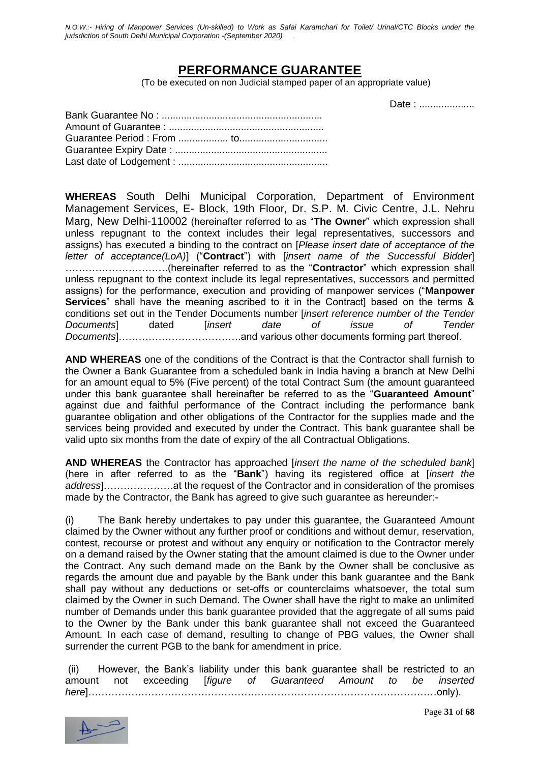### **PERFORMANCE GUARANTEE**

(To be executed on non Judicial stamped paper of an appropriate value)

Date : ....................

**WHEREAS** South Delhi Municipal Corporation, Department of Environment Management Services, E- Block, 19th Floor, Dr. S.P. M. Civic Centre, J.L. Nehru Marg, New Delhi-110002 (hereinafter referred to as "**The Owner**" which expression shall unless repugnant to the context includes their legal representatives, successors and assigns) has executed a binding to the contract on [*Please insert date of acceptance of the letter of acceptance(LoA)*] ("**Contract**") with [*insert name of the Successful Bidder*] ………………………….(hereinafter referred to as the "**Contractor**" which expression shall unless repugnant to the context include its legal representatives, successors and permitted assigns) for the performance, execution and providing of manpower services ("**Manpower Services**" shall have the meaning ascribed to it in the Contract] based on the terms & conditions set out in the Tender Documents number [*insert reference number of the Tender Documents*] dated [*insert date of issue of Tender Documents*]……………………………….and various other documents forming part thereof.

**AND WHEREAS** one of the conditions of the Contract is that the Contractor shall furnish to the Owner a Bank Guarantee from a scheduled bank in India having a branch at New Delhi for an amount equal to 5% (Five percent) of the total Contract Sum (the amount guaranteed under this bank guarantee shall hereinafter be referred to as the "**Guaranteed Amount**" against due and faithful performance of the Contract including the performance bank guarantee obligation and other obligations of the Contractor for the supplies made and the services being provided and executed by under the Contract. This bank guarantee shall be valid upto six months from the date of expiry of the all Contractual Obligations.

**AND WHEREAS** the Contractor has approached [*insert the name of the scheduled bank*] (here in after referred to as the "**Bank**") having its registered office at [*insert the address*]…………………at the request of the Contractor and in consideration of the promises made by the Contractor, the Bank has agreed to give such guarantee as hereunder:-

(i) The Bank hereby undertakes to pay under this guarantee, the Guaranteed Amount claimed by the Owner without any further proof or conditions and without demur, reservation, contest, recourse or protest and without any enquiry or notification to the Contractor merely on a demand raised by the Owner stating that the amount claimed is due to the Owner under the Contract. Any such demand made on the Bank by the Owner shall be conclusive as regards the amount due and payable by the Bank under this bank guarantee and the Bank shall pay without any deductions or set-offs or counterclaims whatsoever, the total sum claimed by the Owner in such Demand. The Owner shall have the right to make an unlimited number of Demands under this bank guarantee provided that the aggregate of all sums paid to the Owner by the Bank under this bank guarantee shall not exceed the Guaranteed Amount. In each case of demand, resulting to change of PBG values, the Owner shall surrender the current PGB to the bank for amendment in price.

(ii) However, the Bank's liability under this bank guarantee shall be restricted to an amount not exceeding [*figure of Guaranteed Amount to be inserted here*]……………………………………………………………………………………………only).

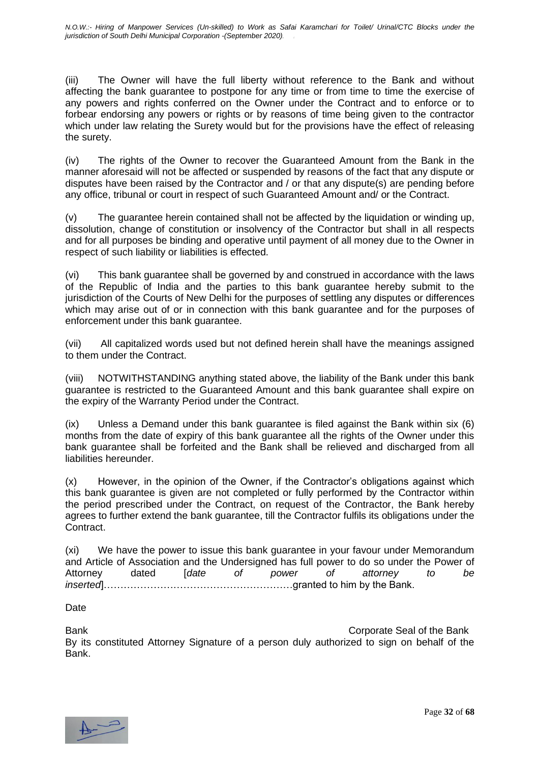(iii) The Owner will have the full liberty without reference to the Bank and without affecting the bank guarantee to postpone for any time or from time to time the exercise of any powers and rights conferred on the Owner under the Contract and to enforce or to forbear endorsing any powers or rights or by reasons of time being given to the contractor which under law relating the Surety would but for the provisions have the effect of releasing the surety.

(iv) The rights of the Owner to recover the Guaranteed Amount from the Bank in the manner aforesaid will not be affected or suspended by reasons of the fact that any dispute or disputes have been raised by the Contractor and / or that any dispute(s) are pending before any office, tribunal or court in respect of such Guaranteed Amount and/ or the Contract.

(v) The guarantee herein contained shall not be affected by the liquidation or winding up, dissolution, change of constitution or insolvency of the Contractor but shall in all respects and for all purposes be binding and operative until payment of all money due to the Owner in respect of such liability or liabilities is effected.

(vi) This bank guarantee shall be governed by and construed in accordance with the laws of the Republic of India and the parties to this bank guarantee hereby submit to the jurisdiction of the Courts of New Delhi for the purposes of settling any disputes or differences which may arise out of or in connection with this bank guarantee and for the purposes of enforcement under this bank guarantee.

(vii) All capitalized words used but not defined herein shall have the meanings assigned to them under the Contract.

(viii) NOTWITHSTANDING anything stated above, the liability of the Bank under this bank guarantee is restricted to the Guaranteed Amount and this bank guarantee shall expire on the expiry of the Warranty Period under the Contract.

(ix) Unless a Demand under this bank guarantee is filed against the Bank within six (6) months from the date of expiry of this bank guarantee all the rights of the Owner under this bank guarantee shall be forfeited and the Bank shall be relieved and discharged from all liabilities hereunder.

(x) However, in the opinion of the Owner, if the Contractor's obligations against which this bank guarantee is given are not completed or fully performed by the Contractor within the period prescribed under the Contract, on request of the Contractor, the Bank hereby agrees to further extend the bank guarantee, till the Contractor fulfils its obligations under the Contract.

(xi) We have the power to issue this bank guarantee in your favour under Memorandum and Article of Association and the Undersigned has full power to do so under the Power of Attorney dated [*date of power of attorney to be inserted*]…………………………………………………granted to him by the Bank.

Date

Bank Corporate Seal of the Bank By its constituted Attorney Signature of a person duly authorized to sign on behalf of the Bank.

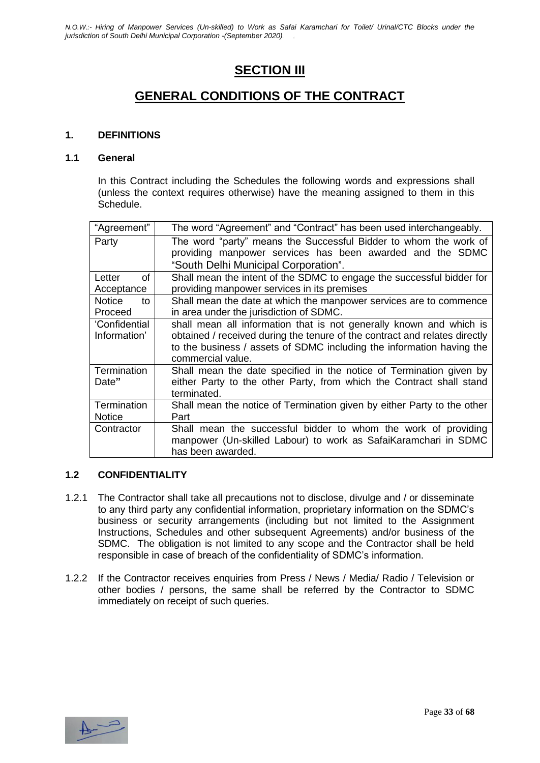### **SECTION III**

### **GENERAL CONDITIONS OF THE CONTRACT**

#### **1. DEFINITIONS**

#### **1.1 General**

In this Contract including the Schedules the following words and expressions shall (unless the context requires otherwise) have the meaning assigned to them in this Schedule.

| "Agreement"                    | The word "Agreement" and "Contract" has been used interchangeably.                                                                                                                                                                              |
|--------------------------------|-------------------------------------------------------------------------------------------------------------------------------------------------------------------------------------------------------------------------------------------------|
| Party                          | The word "party" means the Successful Bidder to whom the work of<br>providing manpower services has been awarded and the SDMC<br>"South Delhi Municipal Corporation".                                                                           |
| οf<br>Letter<br>Acceptance     | Shall mean the intent of the SDMC to engage the successful bidder for<br>providing manpower services in its premises                                                                                                                            |
| <b>Notice</b><br>to<br>Proceed | Shall mean the date at which the manpower services are to commence<br>in area under the jurisdiction of SDMC.                                                                                                                                   |
| 'Confidential<br>Information'  | shall mean all information that is not generally known and which is<br>obtained / received during the tenure of the contract and relates directly<br>to the business / assets of SDMC including the information having the<br>commercial value. |
| Termination<br>Date"           | Shall mean the date specified in the notice of Termination given by<br>either Party to the other Party, from which the Contract shall stand<br>terminated.                                                                                      |
| Termination<br><b>Notice</b>   | Shall mean the notice of Termination given by either Party to the other<br>Part                                                                                                                                                                 |
| Contractor                     | Shall mean the successful bidder to whom the work of providing<br>manpower (Un-skilled Labour) to work as SafaiKaramchari in SDMC<br>has been awarded.                                                                                          |

#### **1.2 CONFIDENTIALITY**

- 1.2.1 The Contractor shall take all precautions not to disclose, divulge and / or disseminate to any third party any confidential information, proprietary information on the SDMC's business or security arrangements (including but not limited to the Assignment Instructions, Schedules and other subsequent Agreements) and/or business of the SDMC. The obligation is not limited to any scope and the Contractor shall be held responsible in case of breach of the confidentiality of SDMC's information.
- 1.2.2 If the Contractor receives enquiries from Press / News / Media/ Radio / Television or other bodies / persons, the same shall be referred by the Contractor to SDMC immediately on receipt of such queries.

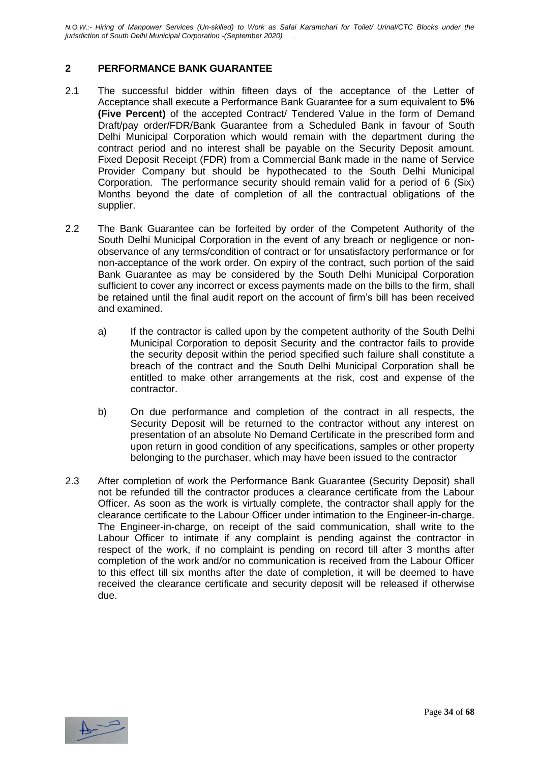#### **2 PERFORMANCE BANK GUARANTEE**

- 2.1 The successful bidder within fifteen days of the acceptance of the Letter of Acceptance shall execute a Performance Bank Guarantee for a sum equivalent to **5% (Five Percent)** of the accepted Contract/ Tendered Value in the form of Demand Draft/pay order/FDR/Bank Guarantee from a Scheduled Bank in favour of South Delhi Municipal Corporation which would remain with the department during the contract period and no interest shall be payable on the Security Deposit amount. Fixed Deposit Receipt (FDR) from a Commercial Bank made in the name of Service Provider Company but should be hypothecated to the South Delhi Municipal Corporation. The performance security should remain valid for a period of 6 (Six) Months beyond the date of completion of all the contractual obligations of the supplier.
- 2.2 The Bank Guarantee can be forfeited by order of the Competent Authority of the South Delhi Municipal Corporation in the event of any breach or negligence or nonobservance of any terms/condition of contract or for unsatisfactory performance or for non-acceptance of the work order. On expiry of the contract, such portion of the said Bank Guarantee as may be considered by the South Delhi Municipal Corporation sufficient to cover any incorrect or excess payments made on the bills to the firm, shall be retained until the final audit report on the account of firm's bill has been received and examined.
	- a) If the contractor is called upon by the competent authority of the South Delhi Municipal Corporation to deposit Security and the contractor fails to provide the security deposit within the period specified such failure shall constitute a breach of the contract and the South Delhi Municipal Corporation shall be entitled to make other arrangements at the risk, cost and expense of the contractor.
	- b) On due performance and completion of the contract in all respects, the Security Deposit will be returned to the contractor without any interest on presentation of an absolute No Demand Certificate in the prescribed form and upon return in good condition of any specifications, samples or other property belonging to the purchaser, which may have been issued to the contractor
- 2.3 After completion of work the Performance Bank Guarantee (Security Deposit) shall not be refunded till the contractor produces a clearance certificate from the Labour Officer. As soon as the work is virtually complete, the contractor shall apply for the clearance certificate to the Labour Officer under intimation to the Engineer-in-charge. The Engineer-in-charge, on receipt of the said communication, shall write to the Labour Officer to intimate if any complaint is pending against the contractor in respect of the work, if no complaint is pending on record till after 3 months after completion of the work and/or no communication is received from the Labour Officer to this effect till six months after the date of completion, it will be deemed to have received the clearance certificate and security deposit will be released if otherwise due.

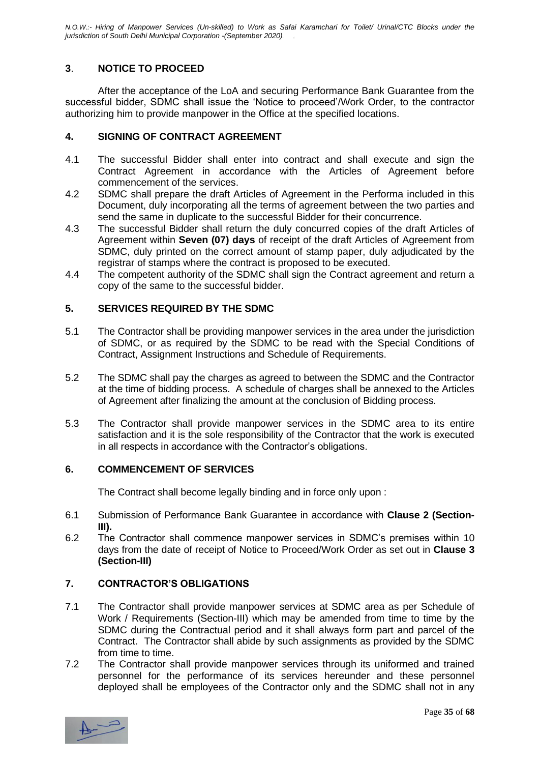#### **3**. **NOTICE TO PROCEED**

After the acceptance of the LoA and securing Performance Bank Guarantee from the successful bidder, SDMC shall issue the 'Notice to proceed'/Work Order, to the contractor authorizing him to provide manpower in the Office at the specified locations.

#### **4. SIGNING OF CONTRACT AGREEMENT**

- 4.1 The successful Bidder shall enter into contract and shall execute and sign the Contract Agreement in accordance with the Articles of Agreement before commencement of the services.
- 4.2 SDMC shall prepare the draft Articles of Agreement in the Performa included in this Document, duly incorporating all the terms of agreement between the two parties and send the same in duplicate to the successful Bidder for their concurrence.
- 4.3 The successful Bidder shall return the duly concurred copies of the draft Articles of Agreement within **Seven (07) days** of receipt of the draft Articles of Agreement from SDMC, duly printed on the correct amount of stamp paper, duly adjudicated by the registrar of stamps where the contract is proposed to be executed.
- 4.4 The competent authority of the SDMC shall sign the Contract agreement and return a copy of the same to the successful bidder.

#### **5. SERVICES REQUIRED BY THE SDMC**

- 5.1 The Contractor shall be providing manpower services in the area under the jurisdiction of SDMC, or as required by the SDMC to be read with the Special Conditions of Contract, Assignment Instructions and Schedule of Requirements.
- 5.2 The SDMC shall pay the charges as agreed to between the SDMC and the Contractor at the time of bidding process. A schedule of charges shall be annexed to the Articles of Agreement after finalizing the amount at the conclusion of Bidding process.
- 5.3 The Contractor shall provide manpower services in the SDMC area to its entire satisfaction and it is the sole responsibility of the Contractor that the work is executed in all respects in accordance with the Contractor's obligations.

#### **6. COMMENCEMENT OF SERVICES**

The Contract shall become legally binding and in force only upon :

- 6.1 Submission of Performance Bank Guarantee in accordance with **Clause 2 (Section-III).**
- 6.2 The Contractor shall commence manpower services in SDMC's premises within 10 days from the date of receipt of Notice to Proceed/Work Order as set out in **Clause 3 (Section-III)**

#### **7. CONTRACTOR'S OBLIGATIONS**

- 7.1 The Contractor shall provide manpower services at SDMC area as per Schedule of Work / Requirements (Section-III) which may be amended from time to time by the SDMC during the Contractual period and it shall always form part and parcel of the Contract. The Contractor shall abide by such assignments as provided by the SDMC from time to time.
- 7.2 The Contractor shall provide manpower services through its uniformed and trained personnel for the performance of its services hereunder and these personnel deployed shall be employees of the Contractor only and the SDMC shall not in any

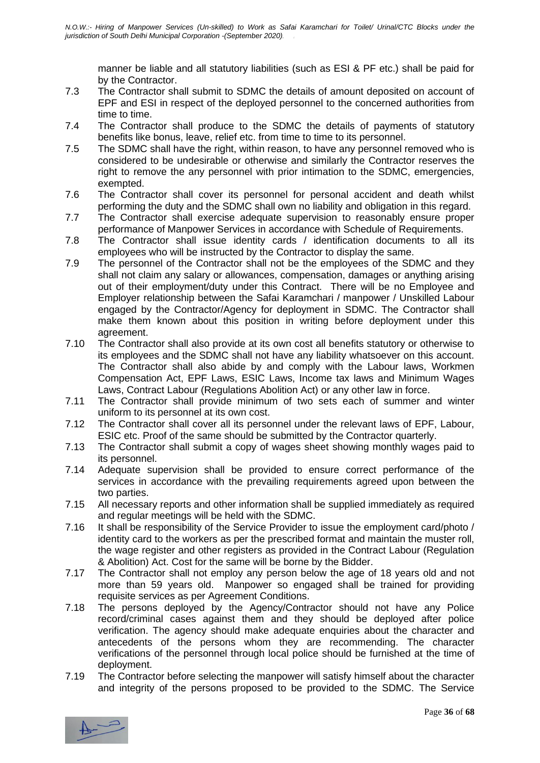manner be liable and all statutory liabilities (such as ESI & PF etc.) shall be paid for by the Contractor.

- 7.3 The Contractor shall submit to SDMC the details of amount deposited on account of EPF and ESI in respect of the deployed personnel to the concerned authorities from time to time.
- 7.4 The Contractor shall produce to the SDMC the details of payments of statutory benefits like bonus, leave, relief etc. from time to time to its personnel.
- 7.5 The SDMC shall have the right, within reason, to have any personnel removed who is considered to be undesirable or otherwise and similarly the Contractor reserves the right to remove the any personnel with prior intimation to the SDMC, emergencies, exempted.
- 7.6 The Contractor shall cover its personnel for personal accident and death whilst performing the duty and the SDMC shall own no liability and obligation in this regard.
- 7.7 The Contractor shall exercise adequate supervision to reasonably ensure proper performance of Manpower Services in accordance with Schedule of Requirements.
- 7.8 The Contractor shall issue identity cards / identification documents to all its employees who will be instructed by the Contractor to display the same.
- 7.9 The personnel of the Contractor shall not be the employees of the SDMC and they shall not claim any salary or allowances, compensation, damages or anything arising out of their employment/duty under this Contract. There will be no Employee and Employer relationship between the Safai Karamchari / manpower / Unskilled Labour engaged by the Contractor/Agency for deployment in SDMC. The Contractor shall make them known about this position in writing before deployment under this agreement.
- 7.10 The Contractor shall also provide at its own cost all benefits statutory or otherwise to its employees and the SDMC shall not have any liability whatsoever on this account. The Contractor shall also abide by and comply with the Labour laws, Workmen Compensation Act, EPF Laws, ESIC Laws, Income tax laws and Minimum Wages Laws, Contract Labour (Regulations Abolition Act) or any other law in force.
- 7.11 The Contractor shall provide minimum of two sets each of summer and winter uniform to its personnel at its own cost.
- 7.12 The Contractor shall cover all its personnel under the relevant laws of EPF, Labour, ESIC etc. Proof of the same should be submitted by the Contractor quarterly.
- 7.13 The Contractor shall submit a copy of wages sheet showing monthly wages paid to its personnel.
- 7.14 Adequate supervision shall be provided to ensure correct performance of the services in accordance with the prevailing requirements agreed upon between the two parties.
- 7.15 All necessary reports and other information shall be supplied immediately as required and regular meetings will be held with the SDMC.
- 7.16 It shall be responsibility of the Service Provider to issue the employment card/photo / identity card to the workers as per the prescribed format and maintain the muster roll, the wage register and other registers as provided in the Contract Labour (Regulation & Abolition) Act. Cost for the same will be borne by the Bidder.
- 7.17 The Contractor shall not employ any person below the age of 18 years old and not more than 59 years old. Manpower so engaged shall be trained for providing requisite services as per Agreement Conditions.
- 7.18 The persons deployed by the Agency/Contractor should not have any Police record/criminal cases against them and they should be deployed after police verification. The agency should make adequate enquiries about the character and antecedents of the persons whom they are recommending. The character verifications of the personnel through local police should be furnished at the time of deployment.
- 7.19 The Contractor before selecting the manpower will satisfy himself about the character and integrity of the persons proposed to be provided to the SDMC. The Service

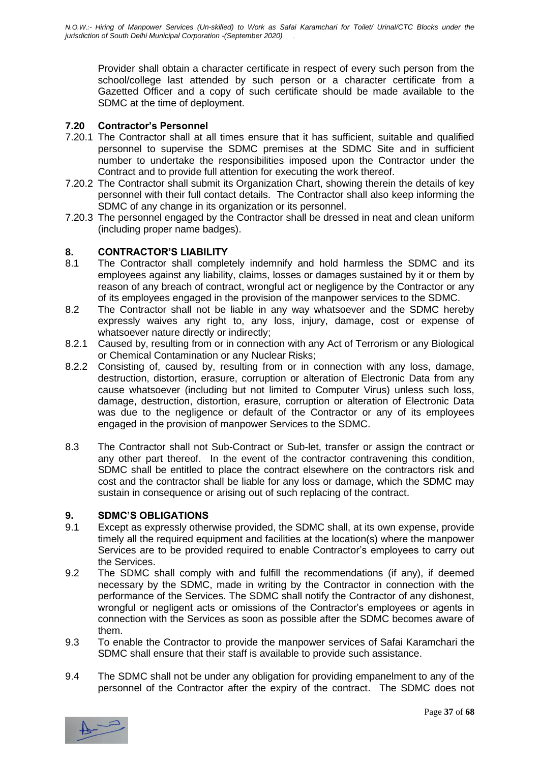Provider shall obtain a character certificate in respect of every such person from the school/college last attended by such person or a character certificate from a Gazetted Officer and a copy of such certificate should be made available to the SDMC at the time of deployment.

#### **7.20 Contractor's Personnel**

- 7.20.1 The Contractor shall at all times ensure that it has sufficient, suitable and qualified personnel to supervise the SDMC premises at the SDMC Site and in sufficient number to undertake the responsibilities imposed upon the Contractor under the Contract and to provide full attention for executing the work thereof.
- 7.20.2 The Contractor shall submit its Organization Chart, showing therein the details of key personnel with their full contact details. The Contractor shall also keep informing the SDMC of any change in its organization or its personnel.
- 7.20.3 The personnel engaged by the Contractor shall be dressed in neat and clean uniform (including proper name badges).

# **8. CONTRACTOR'S LIABILITY**

- The Contractor shall completely indemnify and hold harmless the SDMC and its employees against any liability, claims, losses or damages sustained by it or them by reason of any breach of contract, wrongful act or negligence by the Contractor or any of its employees engaged in the provision of the manpower services to the SDMC.
- 8.2 The Contractor shall not be liable in any way whatsoever and the SDMC hereby expressly waives any right to, any loss, injury, damage, cost or expense of whatsoever nature directly or indirectly;
- 8.2.1 Caused by, resulting from or in connection with any Act of Terrorism or any Biological or Chemical Contamination or any Nuclear Risks;
- 8.2.2 Consisting of, caused by, resulting from or in connection with any loss, damage, destruction, distortion, erasure, corruption or alteration of Electronic Data from any cause whatsoever (including but not limited to Computer Virus) unless such loss, damage, destruction, distortion, erasure, corruption or alteration of Electronic Data was due to the negligence or default of the Contractor or any of its employees engaged in the provision of manpower Services to the SDMC.
- 8.3 The Contractor shall not Sub-Contract or Sub-let, transfer or assign the contract or any other part thereof. In the event of the contractor contravening this condition, SDMC shall be entitled to place the contract elsewhere on the contractors risk and cost and the contractor shall be liable for any loss or damage, which the SDMC may sustain in consequence or arising out of such replacing of the contract.

#### **9. SDMC'S OBLIGATIONS**

- 9.1 Except as expressly otherwise provided, the SDMC shall, at its own expense, provide timely all the required equipment and facilities at the location(s) where the manpower Services are to be provided required to enable Contractor's employees to carry out the Services.
- 9.2 The SDMC shall comply with and fulfill the recommendations (if any), if deemed necessary by the SDMC, made in writing by the Contractor in connection with the performance of the Services. The SDMC shall notify the Contractor of any dishonest, wrongful or negligent acts or omissions of the Contractor's employees or agents in connection with the Services as soon as possible after the SDMC becomes aware of them.
- 9.3 To enable the Contractor to provide the manpower services of Safai Karamchari the SDMC shall ensure that their staff is available to provide such assistance.
- 9.4 The SDMC shall not be under any obligation for providing empanelment to any of the personnel of the Contractor after the expiry of the contract. The SDMC does not

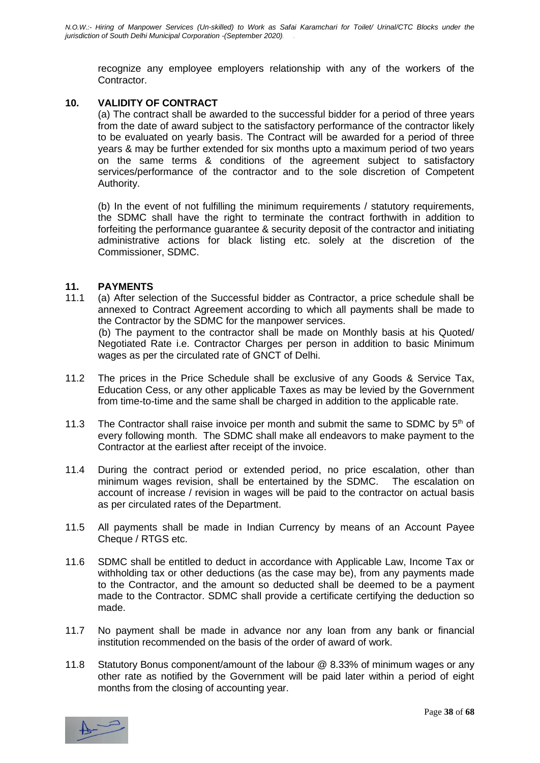recognize any employee employers relationship with any of the workers of the Contractor.

#### **10. VALIDITY OF CONTRACT**

(a) The contract shall be awarded to the successful bidder for a period of three years from the date of award subject to the satisfactory performance of the contractor likely to be evaluated on yearly basis. The Contract will be awarded for a period of three years & may be further extended for six months upto a maximum period of two years on the same terms & conditions of the agreement subject to satisfactory services/performance of the contractor and to the sole discretion of Competent Authority.

(b) In the event of not fulfilling the minimum requirements / statutory requirements, the SDMC shall have the right to terminate the contract forthwith in addition to forfeiting the performance guarantee & security deposit of the contractor and initiating administrative actions for black listing etc. solely at the discretion of the Commissioner, SDMC.

#### **11. PAYMENTS**

- 11.1 (a) After selection of the Successful bidder as Contractor, a price schedule shall be annexed to Contract Agreement according to which all payments shall be made to the Contractor by the SDMC for the manpower services. (b) The payment to the contractor shall be made on Monthly basis at his Quoted/ Negotiated Rate i.e. Contractor Charges per person in addition to basic Minimum wages as per the circulated rate of GNCT of Delhi.
- 11.2 The prices in the Price Schedule shall be exclusive of any Goods & Service Tax, Education Cess, or any other applicable Taxes as may be levied by the Government from time-to-time and the same shall be charged in addition to the applicable rate.
- 11.3 The Contractor shall raise invoice per month and submit the same to SDMC by 5<sup>th</sup> of every following month. The SDMC shall make all endeavors to make payment to the Contractor at the earliest after receipt of the invoice.
- 11.4 During the contract period or extended period, no price escalation, other than minimum wages revision, shall be entertained by the SDMC. The escalation on account of increase / revision in wages will be paid to the contractor on actual basis as per circulated rates of the Department.
- 11.5 All payments shall be made in Indian Currency by means of an Account Payee Cheque / RTGS etc.
- 11.6 SDMC shall be entitled to deduct in accordance with Applicable Law, Income Tax or withholding tax or other deductions (as the case may be), from any payments made to the Contractor, and the amount so deducted shall be deemed to be a payment made to the Contractor. SDMC shall provide a certificate certifying the deduction so made.
- 11.7 No payment shall be made in advance nor any loan from any bank or financial institution recommended on the basis of the order of award of work.
- 11.8 Statutory Bonus component/amount of the labour @ 8.33% of minimum wages or any other rate as notified by the Government will be paid later within a period of eight months from the closing of accounting year.

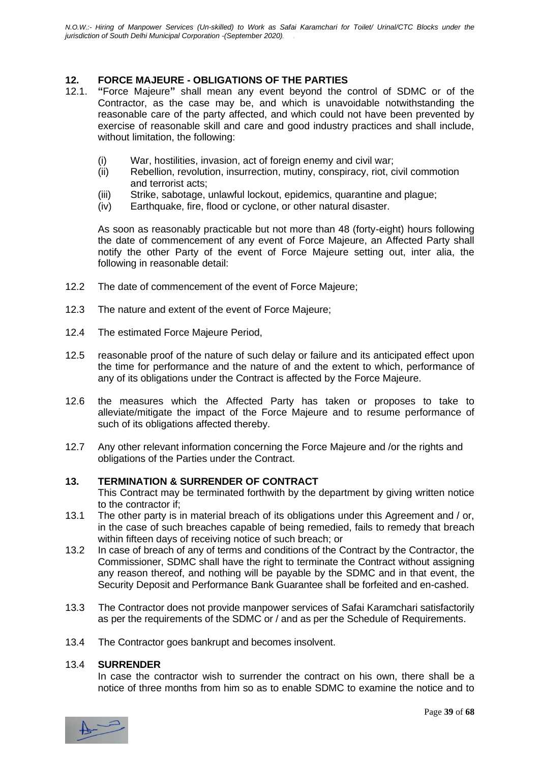#### **12. FORCE MAJEURE - OBLIGATIONS OF THE PARTIES**

- 12.1. **"**Force Majeure**"** shall mean any event beyond the control of SDMC or of the Contractor, as the case may be, and which is unavoidable notwithstanding the reasonable care of the party affected, and which could not have been prevented by exercise of reasonable skill and care and good industry practices and shall include, without limitation, the following:
	- (i) War, hostilities, invasion, act of foreign enemy and civil war;
	- (ii) Rebellion, revolution, insurrection, mutiny, conspiracy, riot, civil commotion and terrorist acts;
	- (iii) Strike, sabotage, unlawful lockout, epidemics, quarantine and plague;
	- (iv) Earthquake, fire, flood or cyclone, or other natural disaster.

As soon as reasonably practicable but not more than 48 (forty-eight) hours following the date of commencement of any event of Force Majeure, an Affected Party shall notify the other Party of the event of Force Majeure setting out, inter alia, the following in reasonable detail:

- 12.2 The date of commencement of the event of Force Majeure;
- 12.3 The nature and extent of the event of Force Majeure;
- 12.4 The estimated Force Majeure Period,
- 12.5 reasonable proof of the nature of such delay or failure and its anticipated effect upon the time for performance and the nature of and the extent to which, performance of any of its obligations under the Contract is affected by the Force Majeure.
- 12.6 the measures which the Affected Party has taken or proposes to take to alleviate/mitigate the impact of the Force Majeure and to resume performance of such of its obligations affected thereby.
- 12.7 Any other relevant information concerning the Force Majeure and /or the rights and obligations of the Parties under the Contract.

#### **13. TERMINATION & SURRENDER OF CONTRACT**

This Contract may be terminated forthwith by the department by giving written notice to the contractor if;

- 13.1 The other party is in material breach of its obligations under this Agreement and / or, in the case of such breaches capable of being remedied, fails to remedy that breach within fifteen days of receiving notice of such breach; or
- 13.2 In case of breach of any of terms and conditions of the Contract by the Contractor, the Commissioner, SDMC shall have the right to terminate the Contract without assigning any reason thereof, and nothing will be payable by the SDMC and in that event, the Security Deposit and Performance Bank Guarantee shall be forfeited and en-cashed.
- 13.3 The Contractor does not provide manpower services of Safai Karamchari satisfactorily as per the requirements of the SDMC or / and as per the Schedule of Requirements.
- 13.4 The Contractor goes bankrupt and becomes insolvent.

#### 13.4 **SURRENDER**

In case the contractor wish to surrender the contract on his own, there shall be a notice of three months from him so as to enable SDMC to examine the notice and to

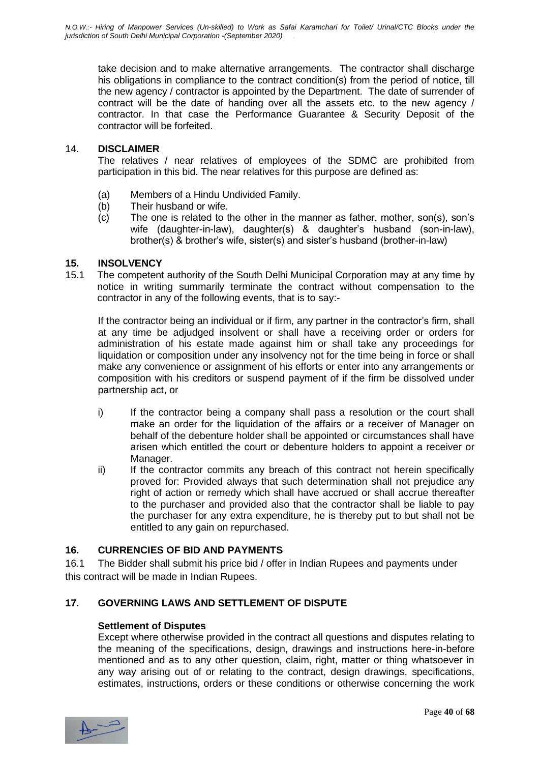take decision and to make alternative arrangements. The contractor shall discharge his obligations in compliance to the contract condition(s) from the period of notice, till the new agency / contractor is appointed by the Department. The date of surrender of contract will be the date of handing over all the assets etc. to the new agency / contractor. In that case the Performance Guarantee & Security Deposit of the contractor will be forfeited.

#### 14. **DISCLAIMER**

The relatives / near relatives of employees of the SDMC are prohibited from participation in this bid. The near relatives for this purpose are defined as:

- (a) Members of a Hindu Undivided Family.
- (b) Their husband or wife.
- (c) The one is related to the other in the manner as father, mother, son(s), son's wife (daughter-in-law), daughter(s) & daughter's husband (son-in-law), brother(s) & brother's wife, sister(s) and sister's husband (brother-in-law)

#### **15. INSOLVENCY**

15.1 The competent authority of the South Delhi Municipal Corporation may at any time by notice in writing summarily terminate the contract without compensation to the contractor in any of the following events, that is to say:-

If the contractor being an individual or if firm, any partner in the contractor's firm, shall at any time be adjudged insolvent or shall have a receiving order or orders for administration of his estate made against him or shall take any proceedings for liquidation or composition under any insolvency not for the time being in force or shall make any convenience or assignment of his efforts or enter into any arrangements or composition with his creditors or suspend payment of if the firm be dissolved under partnership act, or

- i) If the contractor being a company shall pass a resolution or the court shall make an order for the liquidation of the affairs or a receiver of Manager on behalf of the debenture holder shall be appointed or circumstances shall have arisen which entitled the court or debenture holders to appoint a receiver or Manager.
- ii) If the contractor commits any breach of this contract not herein specifically proved for: Provided always that such determination shall not prejudice any right of action or remedy which shall have accrued or shall accrue thereafter to the purchaser and provided also that the contractor shall be liable to pay the purchaser for any extra expenditure, he is thereby put to but shall not be entitled to any gain on repurchased.

#### **16. CURRENCIES OF BID AND PAYMENTS**

16.1 The Bidder shall submit his price bid / offer in Indian Rupees and payments under this contract will be made in Indian Rupees.

#### **17. GOVERNING LAWS AND SETTLEMENT OF DISPUTE**

#### **Settlement of Disputes**

Except where otherwise provided in the contract all questions and disputes relating to the meaning of the specifications, design, drawings and instructions here-in-before mentioned and as to any other question, claim, right, matter or thing whatsoever in any way arising out of or relating to the contract, design drawings, specifications, estimates, instructions, orders or these conditions or otherwise concerning the work

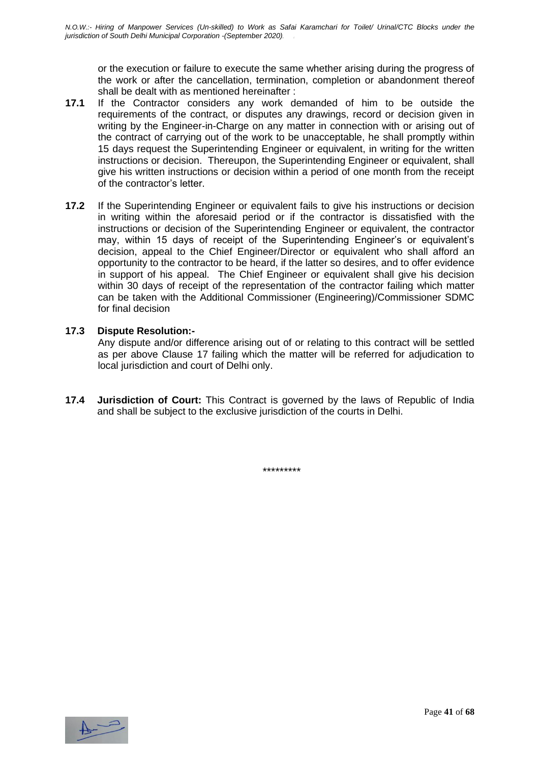or the execution or failure to execute the same whether arising during the progress of the work or after the cancellation, termination, completion or abandonment thereof shall be dealt with as mentioned hereinafter :

- **17.1** If the Contractor considers any work demanded of him to be outside the requirements of the contract, or disputes any drawings, record or decision given in writing by the Engineer-in-Charge on any matter in connection with or arising out of the contract of carrying out of the work to be unacceptable, he shall promptly within 15 days request the Superintending Engineer or equivalent, in writing for the written instructions or decision. Thereupon, the Superintending Engineer or equivalent, shall give his written instructions or decision within a period of one month from the receipt of the contractor's letter.
- **17.2** If the Superintending Engineer or equivalent fails to give his instructions or decision in writing within the aforesaid period or if the contractor is dissatisfied with the instructions or decision of the Superintending Engineer or equivalent, the contractor may, within 15 days of receipt of the Superintending Engineer's or equivalent's decision, appeal to the Chief Engineer/Director or equivalent who shall afford an opportunity to the contractor to be heard, if the latter so desires, and to offer evidence in support of his appeal. The Chief Engineer or equivalent shall give his decision within 30 days of receipt of the representation of the contractor failing which matter can be taken with the Additional Commissioner (Engineering)/Commissioner SDMC for final decision

#### **17.3 Dispute Resolution:-**

Any dispute and/or difference arising out of or relating to this contract will be settled as per above Clause 17 failing which the matter will be referred for adjudication to local jurisdiction and court of Delhi only.

**17.4 Jurisdiction of Court:** This Contract is governed by the laws of Republic of India and shall be subject to the exclusive jurisdiction of the courts in Delhi.

\*\*\*\*\*\*\*\*\*

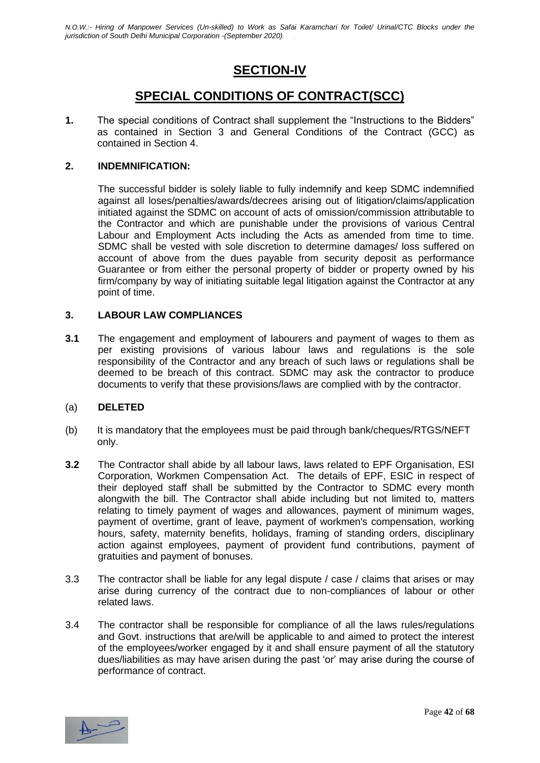### **SECTION-IV**

### **SPECIAL CONDITIONS OF CONTRACT(SCC)**

**1.** The special conditions of Contract shall supplement the "Instructions to the Bidders" as contained in Section 3 and General Conditions of the Contract (GCC) as contained in Section 4.

#### **2. INDEMNIFICATION:**

The successful bidder is solely liable to fully indemnify and keep SDMC indemnified against all loses/penalties/awards/decrees arising out of litigation/claims/application initiated against the SDMC on account of acts of omission/commission attributable to the Contractor and which are punishable under the provisions of various Central Labour and Employment Acts including the Acts as amended from time to time. SDMC shall be vested with sole discretion to determine damages/ loss suffered on account of above from the dues payable from security deposit as performance Guarantee or from either the personal property of bidder or property owned by his firm/company by way of initiating suitable legal litigation against the Contractor at any point of time.

#### **3. LABOUR LAW COMPLIANCES**

**3.1** The engagement and employment of labourers and payment of wages to them as per existing provisions of various labour laws and regulations is the sole responsibility of the Contractor and any breach of such laws or regulations shall be deemed to be breach of this contract. SDMC may ask the contractor to produce documents to verify that these provisions/laws are complied with by the contractor.

#### (a) **DELETED**

- (b) It is mandatory that the employees must be paid through bank/cheques/RTGS/NEFT only.
- **3.2** The Contractor shall abide by all labour laws, laws related to EPF Organisation, ESI Corporation, Workmen Compensation Act. The details of EPF, ESIC in respect of their deployed staff shall be submitted by the Contractor to SDMC every month alongwith the bill. The Contractor shall abide including but not limited to, matters relating to timely payment of wages and allowances, payment of minimum wages, payment of overtime, grant of leave, payment of workmen's compensation, working hours, safety, maternity benefits, holidays, framing of standing orders, disciplinary action against employees, payment of provident fund contributions, payment of gratuities and payment of bonuses.
- 3.3 The contractor shall be liable for any legal dispute / case / claims that arises or may arise during currency of the contract due to non-compliances of labour or other related laws.
- 3.4 The contractor shall be responsible for compliance of all the laws rules/regulations and Govt. instructions that are/will be applicable to and aimed to protect the interest of the employees/worker engaged by it and shall ensure payment of all the statutory dues/liabilities as may have arisen during the past 'or' may arise during the course of performance of contract.

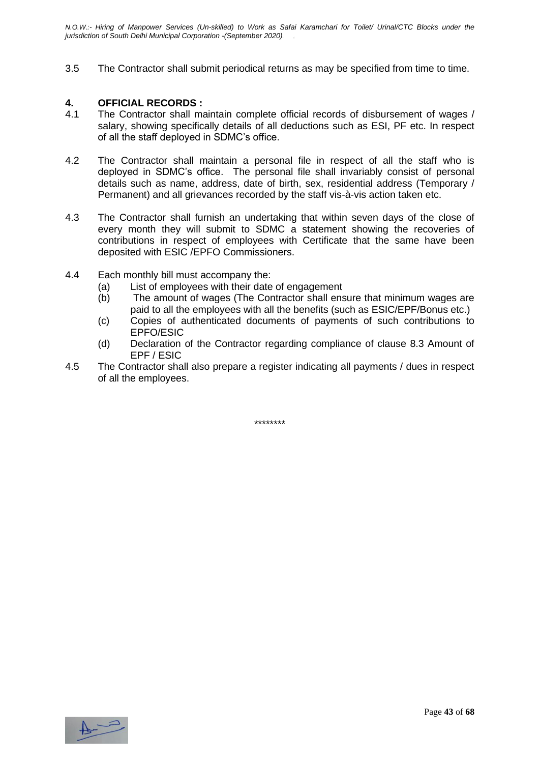3.5 The Contractor shall submit periodical returns as may be specified from time to time.

#### **4. OFFICIAL RECORDS :**

- 4.1 The Contractor shall maintain complete official records of disbursement of wages / salary, showing specifically details of all deductions such as ESI, PF etc. In respect of all the staff deployed in SDMC's office.
- 4.2 The Contractor shall maintain a personal file in respect of all the staff who is deployed in SDMC's office. The personal file shall invariably consist of personal details such as name, address, date of birth, sex, residential address (Temporary / Permanent) and all grievances recorded by the staff vis-à-vis action taken etc.
- 4.3 The Contractor shall furnish an undertaking that within seven days of the close of every month they will submit to SDMC a statement showing the recoveries of contributions in respect of employees with Certificate that the same have been deposited with ESIC /EPFO Commissioners.
- 4.4 Each monthly bill must accompany the:
	- (a) List of employees with their date of engagement
	- (b) The amount of wages (The Contractor shall ensure that minimum wages are paid to all the employees with all the benefits (such as ESIC/EPF/Bonus etc.)
	- (c) Copies of authenticated documents of payments of such contributions to EPFO/ESIC
	- (d) Declaration of the Contractor regarding compliance of clause 8.3 Amount of EPF / ESIC
- 4.5 The Contractor shall also prepare a register indicating all payments / dues in respect of all the employees.

\*\*\*\*\*\*\*\*

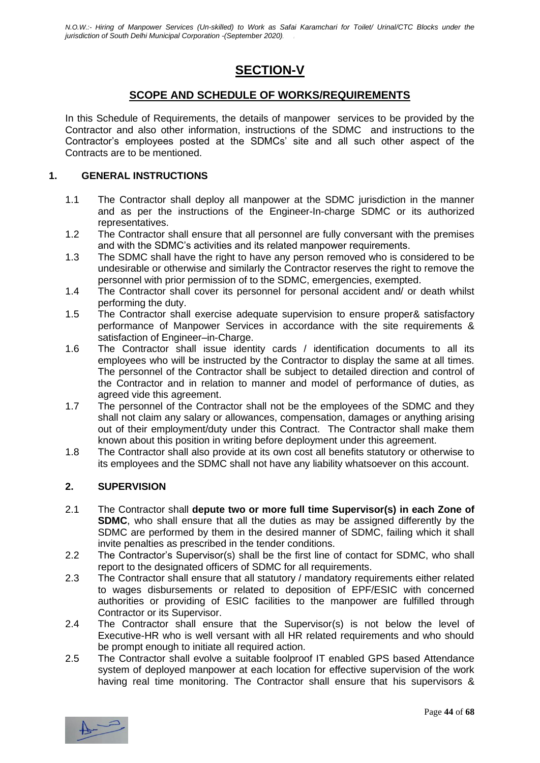### **SECTION-V**

#### **SCOPE AND SCHEDULE OF WORKS/REQUIREMENTS**

In this Schedule of Requirements, the details of manpower services to be provided by the Contractor and also other information, instructions of the SDMC and instructions to the Contractor's employees posted at the SDMCs' site and all such other aspect of the Contracts are to be mentioned.

#### **1. GENERAL INSTRUCTIONS**

- 1.1 The Contractor shall deploy all manpower at the SDMC jurisdiction in the manner and as per the instructions of the Engineer-In-charge SDMC or its authorized representatives.
- 1.2 The Contractor shall ensure that all personnel are fully conversant with the premises and with the SDMC's activities and its related manpower requirements.
- 1.3 The SDMC shall have the right to have any person removed who is considered to be undesirable or otherwise and similarly the Contractor reserves the right to remove the personnel with prior permission of to the SDMC, emergencies, exempted.
- 1.4 The Contractor shall cover its personnel for personal accident and/ or death whilst performing the duty.
- 1.5 The Contractor shall exercise adequate supervision to ensure proper& satisfactory performance of Manpower Services in accordance with the site requirements & satisfaction of Engineer–in-Charge.
- 1.6 The Contractor shall issue identity cards / identification documents to all its employees who will be instructed by the Contractor to display the same at all times. The personnel of the Contractor shall be subject to detailed direction and control of the Contractor and in relation to manner and model of performance of duties, as agreed vide this agreement.
- 1.7 The personnel of the Contractor shall not be the employees of the SDMC and they shall not claim any salary or allowances, compensation, damages or anything arising out of their employment/duty under this Contract. The Contractor shall make them known about this position in writing before deployment under this agreement.
- 1.8 The Contractor shall also provide at its own cost all benefits statutory or otherwise to its employees and the SDMC shall not have any liability whatsoever on this account.

#### **2. SUPERVISION**

- 2.1 The Contractor shall **depute two or more full time Supervisor(s) in each Zone of SDMC**, who shall ensure that all the duties as may be assigned differently by the SDMC are performed by them in the desired manner of SDMC, failing which it shall invite penalties as prescribed in the tender conditions.
- 2.2 The Contractor's Supervisor(s) shall be the first line of contact for SDMC, who shall report to the designated officers of SDMC for all requirements.
- 2.3 The Contractor shall ensure that all statutory / mandatory requirements either related to wages disbursements or related to deposition of EPF/ESIC with concerned authorities or providing of ESIC facilities to the manpower are fulfilled through Contractor or its Supervisor.
- 2.4 The Contractor shall ensure that the Supervisor(s) is not below the level of Executive-HR who is well versant with all HR related requirements and who should be prompt enough to initiate all required action.
- 2.5 The Contractor shall evolve a suitable foolproof IT enabled GPS based Attendance system of deployed manpower at each location for effective supervision of the work having real time monitoring. The Contractor shall ensure that his supervisors &

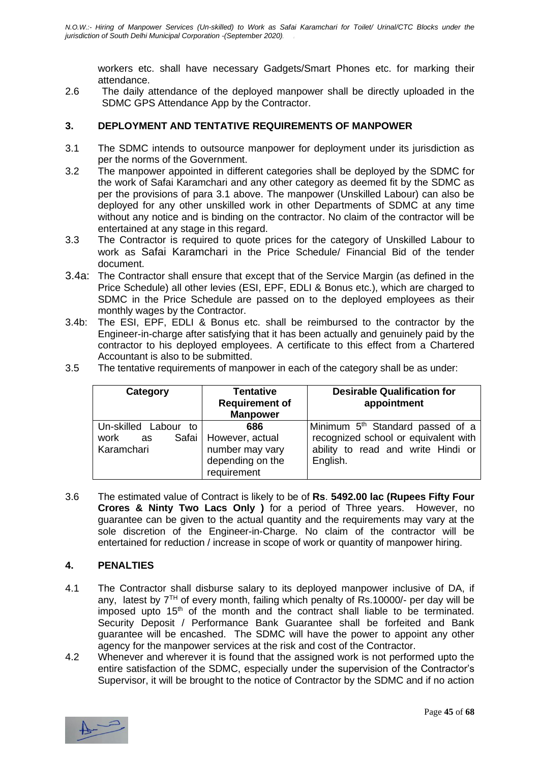workers etc. shall have necessary Gadgets/Smart Phones etc. for marking their attendance.

2.6 The daily attendance of the deployed manpower shall be directly uploaded in the SDMC GPS Attendance App by the Contractor.

#### **3. DEPLOYMENT AND TENTATIVE REQUIREMENTS OF MANPOWER**

- 3.1 The SDMC intends to outsource manpower for deployment under its jurisdiction as per the norms of the Government.
- 3.2 The manpower appointed in different categories shall be deployed by the SDMC for the work of Safai Karamchari and any other category as deemed fit by the SDMC as per the provisions of para 3.1 above. The manpower (Unskilled Labour) can also be deployed for any other unskilled work in other Departments of SDMC at any time without any notice and is binding on the contractor. No claim of the contractor will be entertained at any stage in this regard.
- 3.3 The Contractor is required to quote prices for the category of Unskilled Labour to work as Safai Karamchari in the Price Schedule/ Financial Bid of the tender document.
- 3.4a: The Contractor shall ensure that except that of the Service Margin (as defined in the Price Schedule) all other levies (ESI, EPF, EDLI & Bonus etc.), which are charged to SDMC in the Price Schedule are passed on to the deployed employees as their monthly wages by the Contractor.
- 3.4b: The ESI, EPF, EDLI & Bonus etc. shall be reimbursed to the contractor by the Engineer-in-charge after satisfying that it has been actually and genuinely paid by the contractor to his deployed employees. A certificate to this effect from a Chartered Accountant is also to be submitted.

| The tentative requirements of manpower in each of the category shall be as under: | 3.5 |  |  |  |  |  |
|-----------------------------------------------------------------------------------|-----|--|--|--|--|--|
|-----------------------------------------------------------------------------------|-----|--|--|--|--|--|

| Category                                            | <b>Tentative</b><br><b>Requirement of</b><br><b>Manpower</b>                         | <b>Desirable Qualification for</b><br>appointment                                                                                      |
|-----------------------------------------------------|--------------------------------------------------------------------------------------|----------------------------------------------------------------------------------------------------------------------------------------|
| Un-skilled Labour<br>to<br>work<br>as<br>Karamchari | 686<br>Safai   However, actual<br>number may vary<br>depending on the<br>requirement | Minimum 5 <sup>th</sup> Standard passed of a<br>recognized school or equivalent with<br>ability to read and write Hindi or<br>English. |

3.6 The estimated value of Contract is likely to be of **Rs**. **5492.00 lac (Rupees Fifty Four Crores & Ninty Two Lacs Only )** for a period of Three years. However, no guarantee can be given to the actual quantity and the requirements may vary at the sole discretion of the Engineer-in-Charge. No claim of the contractor will be entertained for reduction / increase in scope of work or quantity of manpower hiring.

#### **4. PENALTIES**

- 4.1 The Contractor shall disburse salary to its deployed manpower inclusive of DA, if any, latest by  $7<sup>TH</sup>$  of every month, failing which penalty of Rs.10000/- per day will be imposed upto  $15<sup>th</sup>$  of the month and the contract shall liable to be terminated. Security Deposit / Performance Bank Guarantee shall be forfeited and Bank guarantee will be encashed. The SDMC will have the power to appoint any other agency for the manpower services at the risk and cost of the Contractor.
- 4.2 Whenever and wherever it is found that the assigned work is not performed upto the entire satisfaction of the SDMC, especially under the supervision of the Contractor's Supervisor, it will be brought to the notice of Contractor by the SDMC and if no action

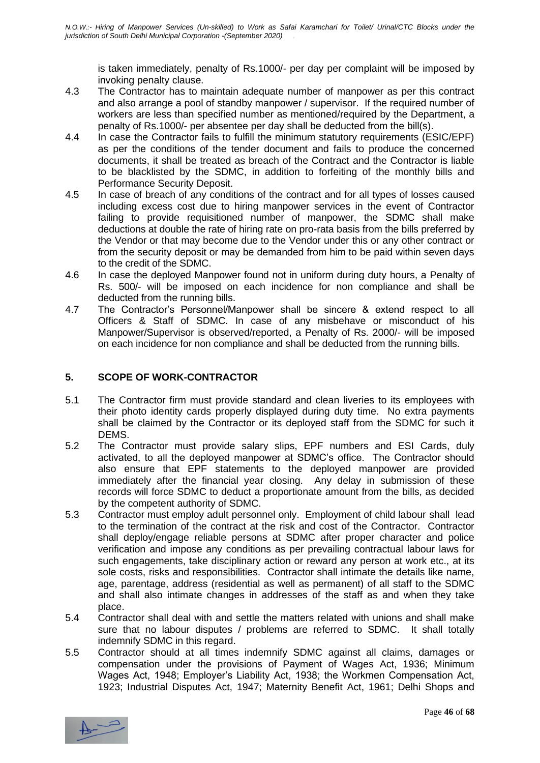is taken immediately, penalty of Rs.1000/- per day per complaint will be imposed by invoking penalty clause.

- 4.3 The Contractor has to maintain adequate number of manpower as per this contract and also arrange a pool of standby manpower / supervisor. If the required number of workers are less than specified number as mentioned/required by the Department, a penalty of Rs.1000/- per absentee per day shall be deducted from the bill(s).
- 4.4 In case the Contractor fails to fulfill the minimum statutory requirements (ESIC/EPF) as per the conditions of the tender document and fails to produce the concerned documents, it shall be treated as breach of the Contract and the Contractor is liable to be blacklisted by the SDMC, in addition to forfeiting of the monthly bills and Performance Security Deposit.
- 4.5 In case of breach of any conditions of the contract and for all types of losses caused including excess cost due to hiring manpower services in the event of Contractor failing to provide requisitioned number of manpower, the SDMC shall make deductions at double the rate of hiring rate on pro-rata basis from the bills preferred by the Vendor or that may become due to the Vendor under this or any other contract or from the security deposit or may be demanded from him to be paid within seven days to the credit of the SDMC.
- 4.6 In case the deployed Manpower found not in uniform during duty hours, a Penalty of Rs. 500/- will be imposed on each incidence for non compliance and shall be deducted from the running bills.
- 4.7 The Contractor's Personnel/Manpower shall be sincere & extend respect to all Officers & Staff of SDMC. In case of any misbehave or misconduct of his Manpower/Supervisor is observed/reported, a Penalty of Rs. 2000/- will be imposed on each incidence for non compliance and shall be deducted from the running bills.

#### **5. SCOPE OF WORK-CONTRACTOR**

- 5.1 The Contractor firm must provide standard and clean liveries to its employees with their photo identity cards properly displayed during duty time. No extra payments shall be claimed by the Contractor or its deployed staff from the SDMC for such it DEMS.
- 5.2 The Contractor must provide salary slips, EPF numbers and ESI Cards, duly activated, to all the deployed manpower at SDMC's office. The Contractor should also ensure that EPF statements to the deployed manpower are provided immediately after the financial year closing. Any delay in submission of these records will force SDMC to deduct a proportionate amount from the bills, as decided by the competent authority of SDMC.
- 5.3 Contractor must employ adult personnel only. Employment of child labour shall lead to the termination of the contract at the risk and cost of the Contractor. Contractor shall deploy/engage reliable persons at SDMC after proper character and police verification and impose any conditions as per prevailing contractual labour laws for such engagements, take disciplinary action or reward any person at work etc., at its sole costs, risks and responsibilities. Contractor shall intimate the details like name, age, parentage, address (residential as well as permanent) of all staff to the SDMC and shall also intimate changes in addresses of the staff as and when they take place.
- 5.4 Contractor shall deal with and settle the matters related with unions and shall make sure that no labour disputes / problems are referred to SDMC. It shall totally indemnify SDMC in this regard.
- 5.5 Contractor should at all times indemnify SDMC against all claims, damages or compensation under the provisions of Payment of Wages Act, 1936; Minimum Wages Act, 1948; Employer's Liability Act, 1938; the Workmen Compensation Act, 1923; Industrial Disputes Act, 1947; Maternity Benefit Act, 1961; Delhi Shops and

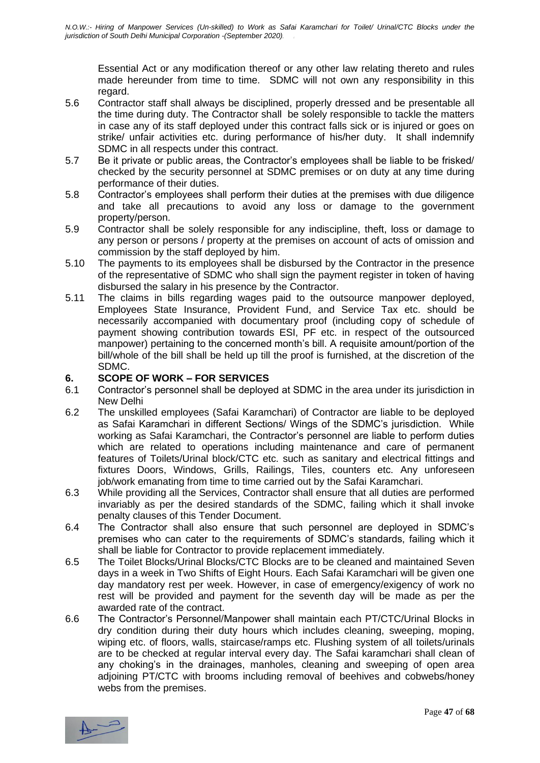Essential Act or any modification thereof or any other law relating thereto and rules made hereunder from time to time. SDMC will not own any responsibility in this regard.

- 5.6 Contractor staff shall always be disciplined, properly dressed and be presentable all the time during duty. The Contractor shall be solely responsible to tackle the matters in case any of its staff deployed under this contract falls sick or is injured or goes on strike/ unfair activities etc. during performance of his/her duty. It shall indemnify SDMC in all respects under this contract.
- 5.7 Be it private or public areas, the Contractor's employees shall be liable to be frisked/ checked by the security personnel at SDMC premises or on duty at any time during performance of their duties.
- 5.8 Contractor's employees shall perform their duties at the premises with due diligence and take all precautions to avoid any loss or damage to the government property/person.
- 5.9 Contractor shall be solely responsible for any indiscipline, theft, loss or damage to any person or persons / property at the premises on account of acts of omission and commission by the staff deployed by him.
- 5.10 The payments to its employees shall be disbursed by the Contractor in the presence of the representative of SDMC who shall sign the payment register in token of having disbursed the salary in his presence by the Contractor.
- 5.11 The claims in bills regarding wages paid to the outsource manpower deployed, Employees State Insurance, Provident Fund, and Service Tax etc. should be necessarily accompanied with documentary proof (including copy of schedule of payment showing contribution towards ESI, PF etc. in respect of the outsourced manpower) pertaining to the concerned month's bill. A requisite amount/portion of the bill/whole of the bill shall be held up till the proof is furnished, at the discretion of the SDMC.

#### **6. SCOPE OF WORK – FOR SERVICES**

- 6.1 Contractor's personnel shall be deployed at SDMC in the area under its jurisdiction in New Delhi
- 6.2 The unskilled employees (Safai Karamchari) of Contractor are liable to be deployed as Safai Karamchari in different Sections/ Wings of the SDMC's jurisdiction. While working as Safai Karamchari, the Contractor's personnel are liable to perform duties which are related to operations including maintenance and care of permanent features of Toilets/Urinal block/CTC etc. such as sanitary and electrical fittings and fixtures Doors, Windows, Grills, Railings, Tiles, counters etc. Any unforeseen job/work emanating from time to time carried out by the Safai Karamchari.
- 6.3 While providing all the Services, Contractor shall ensure that all duties are performed invariably as per the desired standards of the SDMC, failing which it shall invoke penalty clauses of this Tender Document.
- 6.4 The Contractor shall also ensure that such personnel are deployed in SDMC's premises who can cater to the requirements of SDMC's standards, failing which it shall be liable for Contractor to provide replacement immediately.
- 6.5 The Toilet Blocks/Urinal Blocks/CTC Blocks are to be cleaned and maintained Seven days in a week in Two Shifts of Eight Hours. Each Safai Karamchari will be given one day mandatory rest per week. However, in case of emergency/exigency of work no rest will be provided and payment for the seventh day will be made as per the awarded rate of the contract.
- 6.6 The Contractor's Personnel/Manpower shall maintain each PT/CTC/Urinal Blocks in dry condition during their duty hours which includes cleaning, sweeping, moping, wiping etc. of floors, walls, staircase/ramps etc. Flushing system of all toilets/urinals are to be checked at regular interval every day. The Safai karamchari shall clean of any choking's in the drainages, manholes, cleaning and sweeping of open area adjoining PT/CTC with brooms including removal of beehives and cobwebs/honey webs from the premises.

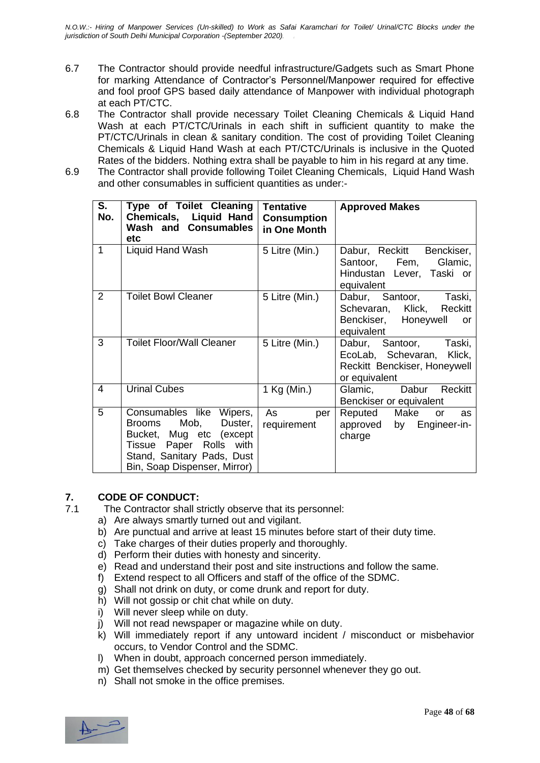- 6.7 The Contractor should provide needful infrastructure/Gadgets such as Smart Phone for marking Attendance of Contractor's Personnel/Manpower required for effective and fool proof GPS based daily attendance of Manpower with individual photograph at each PT/CTC.
- 6.8 The Contractor shall provide necessary Toilet Cleaning Chemicals & Liquid Hand Wash at each PT/CTC/Urinals in each shift in sufficient quantity to make the PT/CTC/Urinals in clean & sanitary condition. The cost of providing Toilet Cleaning Chemicals & Liquid Hand Wash at each PT/CTC/Urinals is inclusive in the Quoted Rates of the bidders. Nothing extra shall be payable to him in his regard at any time.
- 6.9 The Contractor shall provide following Toilet Cleaning Chemicals, Liquid Hand Wash and other consumables in sufficient quantities as under:-

| S.<br>No. | Type of Toilet Cleaning<br>Chemicals, Liquid Hand<br><b>Wash and Consumables</b><br>etc                                                                                | <b>Tentative</b><br><b>Consumption</b><br>in One Month | <b>Approved Makes</b>                                                                                |
|-----------|------------------------------------------------------------------------------------------------------------------------------------------------------------------------|--------------------------------------------------------|------------------------------------------------------------------------------------------------------|
| 1         | Liquid Hand Wash                                                                                                                                                       | 5 Litre (Min.)                                         | Dabur, Reckitt Benckiser,<br>Santoor, Fem, Glamic,<br>Hindustan Lever, Taski or<br>equivalent        |
| 2         | <b>Toilet Bowl Cleaner</b>                                                                                                                                             | 5 Litre (Min.)                                         | Dabur, Santoor, Taski,<br>Schevaran, Klick, Reckitt<br>Benckiser, Honeywell<br>or<br>equivalent      |
| 3         | <b>Toilet Floor/Wall Cleaner</b>                                                                                                                                       | 5 Litre (Min.)                                         | Dabur, Santoor, Taski,<br>EcoLab, Schevaran, Klick,<br>Reckitt Benckiser, Honeywell<br>or equivalent |
| 4         | <b>Urinal Cubes</b>                                                                                                                                                    | 1 Kg (Min.)                                            | Glamic,<br>Dabur<br>Reckitt<br>Benckiser or equivalent                                               |
| 5         | Consumables like Wipers,<br>Mob, Duster,<br>Brooms<br>Bucket, Mug etc (except<br>Tissue Paper Rolls with<br>Stand, Sanitary Pads, Dust<br>Bin, Soap Dispenser, Mirror) | As<br>per<br>requirement                               | Reputed Make<br>as<br>or<br>approved by Engineer-in-<br>charge                                       |

#### **7. CODE OF CONDUCT:**

- 7.1 The Contractor shall strictly observe that its personnel:
	- a) Are always smartly turned out and vigilant.
	- b) Are punctual and arrive at least 15 minutes before start of their duty time.
	- c) Take charges of their duties properly and thoroughly.
	- d) Perform their duties with honesty and sincerity.
	- e) Read and understand their post and site instructions and follow the same.
	- f) Extend respect to all Officers and staff of the office of the SDMC.
	- g) Shall not drink on duty, or come drunk and report for duty.
	- h) Will not gossip or chit chat while on duty.
	- i) Will never sleep while on duty.
	- j) Will not read newspaper or magazine while on duty.
	- k) Will immediately report if any untoward incident / misconduct or misbehavior occurs, to Vendor Control and the SDMC.
	- l) When in doubt, approach concerned person immediately.
	- m) Get themselves checked by security personnel whenever they go out.
	- n) Shall not smoke in the office premises.

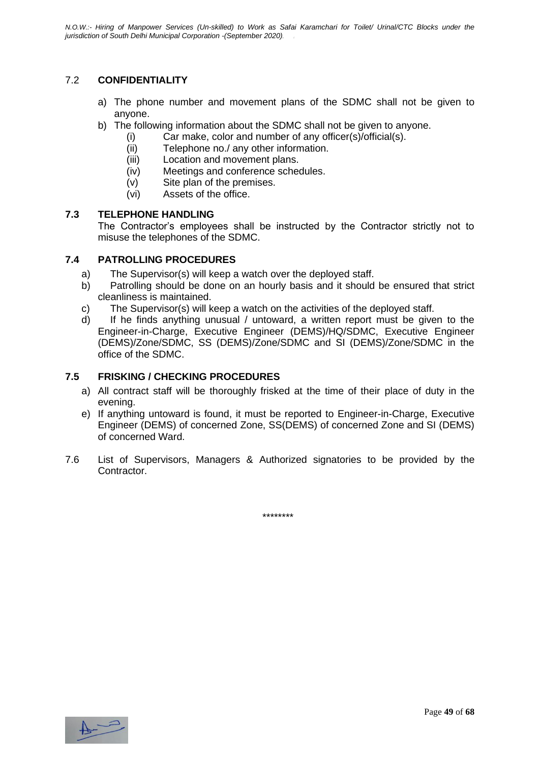#### 7.2 **CONFIDENTIALITY**

- a) The phone number and movement plans of the SDMC shall not be given to anyone.
- b) The following information about the SDMC shall not be given to anyone.
	- (i) Car make, color and number of any officer(s)/official(s).
		- (ii) Telephone no./ any other information.
		- (iii) Location and movement plans.
		- (iv) Meetings and conference schedules.
	- (v) Site plan of the premises.
	- (vi) Assets of the office.

#### **7.3 TELEPHONE HANDLING**

The Contractor's employees shall be instructed by the Contractor strictly not to misuse the telephones of the SDMC.

#### **7.4 PATROLLING PROCEDURES**

- a) The Supervisor(s) will keep a watch over the deployed staff.
- b) Patrolling should be done on an hourly basis and it should be ensured that strict cleanliness is maintained.
- c) The Supervisor(s) will keep a watch on the activities of the deployed staff.
- d) If he finds anything unusual / untoward, a written report must be given to the Engineer-in-Charge, Executive Engineer (DEMS)/HQ/SDMC, Executive Engineer (DEMS)/Zone/SDMC, SS (DEMS)/Zone/SDMC and SI (DEMS)/Zone/SDMC in the office of the SDMC.

#### **7.5 FRISKING / CHECKING PROCEDURES**

- a) All contract staff will be thoroughly frisked at the time of their place of duty in the evening.
- e) If anything untoward is found, it must be reported to Engineer-in-Charge, Executive Engineer (DEMS) of concerned Zone, SS(DEMS) of concerned Zone and SI (DEMS) of concerned Ward.
- 7.6 List of Supervisors, Managers & Authorized signatories to be provided by the Contractor.

\*\*\*\*\*\*\*\*

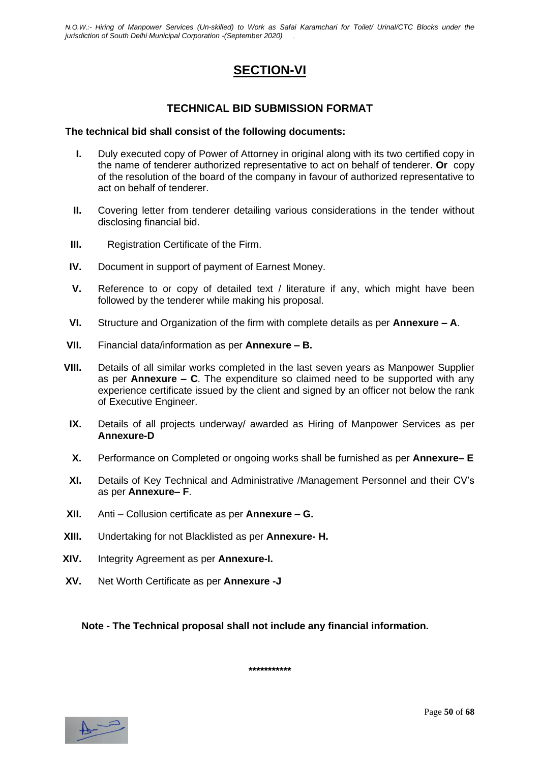### **SECTION-VI**

#### **TECHNICAL BID SUBMISSION FORMAT**

#### **The technical bid shall consist of the following documents:**

- **I.** Duly executed copy of Power of Attorney in original along with its two certified copy in the name of tenderer authorized representative to act on behalf of tenderer. **Or** copy of the resolution of the board of the company in favour of authorized representative to act on behalf of tenderer.
- **II.** Covering letter from tenderer detailing various considerations in the tender without disclosing financial bid.
- **III.** Registration Certificate of the Firm.
- **IV.** Document in support of payment of Earnest Money.
- **V.** Reference to or copy of detailed text / literature if any, which might have been followed by the tenderer while making his proposal.
- **VI.** Structure and Organization of the firm with complete details as per **Annexure – A**.
- **VII.** Financial data/information as per **Annexure – B.**
- **VIII.** Details of all similar works completed in the last seven years as Manpower Supplier as per **Annexure – C**. The expenditure so claimed need to be supported with any experience certificate issued by the client and signed by an officer not below the rank of Executive Engineer.
- **IX.** Details of all projects underway/ awarded as Hiring of Manpower Services as per **Annexure-D**
- **X.** Performance on Completed or ongoing works shall be furnished as per **Annexure– E**
- **XI.** Details of Key Technical and Administrative /Management Personnel and their CV's as per **Annexure– F**.
- **XII.** Anti Collusion certificate as per **Annexure – G.**
- **XIII.** Undertaking for not Blacklisted as per **Annexure- H.**
- **XIV.** Integrity Agreement as per **Annexure-I.**
- **XV.** Net Worth Certificate as per **Annexure -J**

**Note - The Technical proposal shall not include any financial information.** 

**\*\*\*\*\*\*\*\*\*\*\***

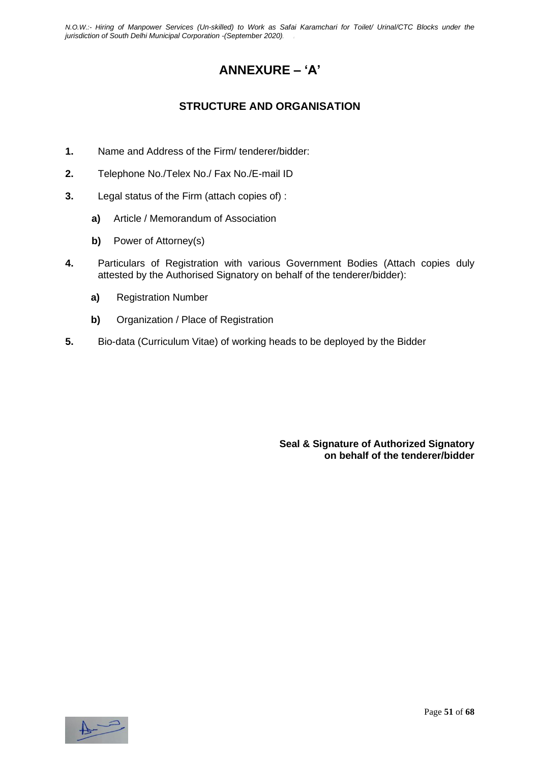### **ANNEXURE – 'A'**

### **STRUCTURE AND ORGANISATION**

- **1.** Name and Address of the Firm/ tenderer/bidder:
- **2.** Telephone No./Telex No./ Fax No./E-mail ID
- **3.** Legal status of the Firm (attach copies of) :
	- **a)** Article / Memorandum of Association
	- **b)** Power of Attorney(s)
- **4.** Particulars of Registration with various Government Bodies (Attach copies duly attested by the Authorised Signatory on behalf of the tenderer/bidder):
	- **a)** Registration Number
	- **b)** Organization / Place of Registration
- **5.** Bio-data (Curriculum Vitae) of working heads to be deployed by the Bidder

**Seal & Signature of Authorized Signatory on behalf of the tenderer/bidder**

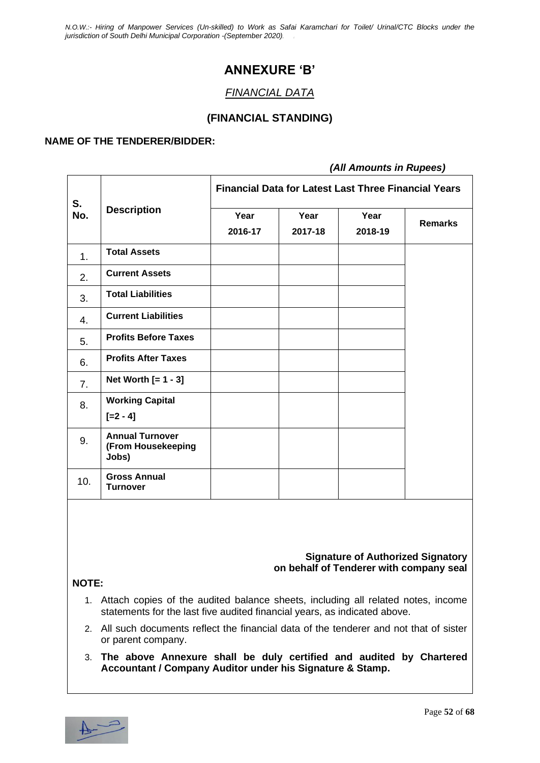### **ANNEXURE 'B'**

#### *FINANCIAL DATA*

#### **(FINANCIAL STANDING)**

#### **NAME OF THE TENDERER/BIDDER:**

#### *(All Amounts in Rupees)*

| S.             | <b>Description</b>                                    | <b>Financial Data for Latest Last Three Financial Years</b> |                 |                 |                |  |  |
|----------------|-------------------------------------------------------|-------------------------------------------------------------|-----------------|-----------------|----------------|--|--|
| No.            |                                                       | Year<br>2016-17                                             | Year<br>2017-18 | Year<br>2018-19 | <b>Remarks</b> |  |  |
| 1.             | <b>Total Assets</b>                                   |                                                             |                 |                 |                |  |  |
| 2.             | <b>Current Assets</b>                                 |                                                             |                 |                 |                |  |  |
| 3.             | <b>Total Liabilities</b>                              |                                                             |                 |                 |                |  |  |
| 4.             | <b>Current Liabilities</b>                            |                                                             |                 |                 |                |  |  |
| 5.             | <b>Profits Before Taxes</b>                           |                                                             |                 |                 |                |  |  |
| 6.             | <b>Profits After Taxes</b>                            |                                                             |                 |                 |                |  |  |
| 7 <sub>1</sub> | Net Worth $[= 1 - 3]$                                 |                                                             |                 |                 |                |  |  |
| 8.             | <b>Working Capital</b><br>$[-2 - 4]$                  |                                                             |                 |                 |                |  |  |
| 9.             | <b>Annual Turnover</b><br>(From Housekeeping<br>Jobs) |                                                             |                 |                 |                |  |  |
| 10.            | <b>Gross Annual</b><br><b>Turnover</b>                |                                                             |                 |                 |                |  |  |

#### **Signature of Authorized Signatory on behalf of Tenderer with company seal**

#### **NOTE:**

- 1. Attach copies of the audited balance sheets, including all related notes, income statements for the last five audited financial years, as indicated above.
- 2. All such documents reflect the financial data of the tenderer and not that of sister or parent company.
- 3. **The above Annexure shall be duly certified and audited by Chartered Accountant / Company Auditor under his Signature & Stamp.**

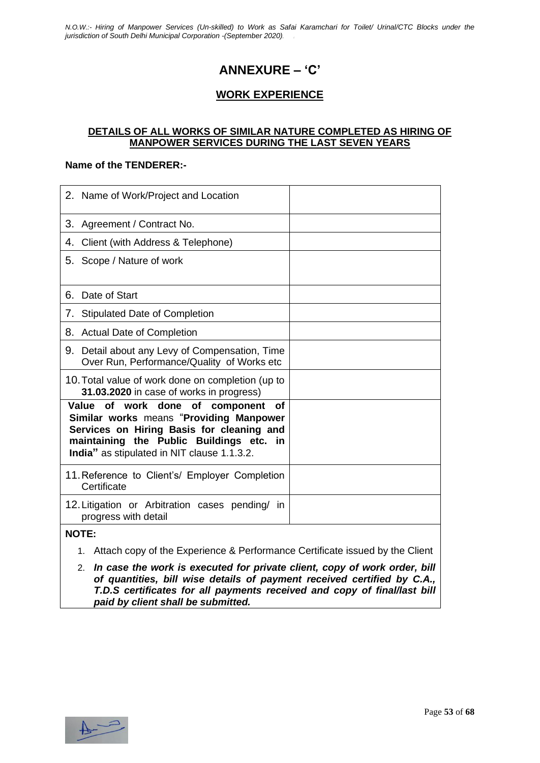### **ANNEXURE – 'C'**

#### **WORK EXPERIENCE**

#### **DETAILS OF ALL WORKS OF SIMILAR NATURE COMPLETED AS HIRING OF MANPOWER SERVICES DURING THE LAST SEVEN YEARS**

#### **Name of the TENDERER:-**

| 2. Name of Work/Project and Location                                                                                                                                                                                                  |  |
|---------------------------------------------------------------------------------------------------------------------------------------------------------------------------------------------------------------------------------------|--|
| 3.<br>Agreement / Contract No.                                                                                                                                                                                                        |  |
| Client (with Address & Telephone)<br>4.                                                                                                                                                                                               |  |
| 5. Scope / Nature of work                                                                                                                                                                                                             |  |
| Date of Start<br>6.                                                                                                                                                                                                                   |  |
| <b>Stipulated Date of Completion</b><br>7.                                                                                                                                                                                            |  |
| 8.<br><b>Actual Date of Completion</b>                                                                                                                                                                                                |  |
| Detail about any Levy of Compensation, Time<br>9.<br>Over Run, Performance/Quality of Works etc                                                                                                                                       |  |
| 10. Total value of work done on completion (up to<br>31.03.2020 in case of works in progress)                                                                                                                                         |  |
| of work done of<br>Value<br>component<br><b>of</b><br>Similar works means "Providing Manpower<br>Services on Hiring Basis for cleaning and<br>maintaining the Public Buildings etc. in<br>India" as stipulated in NIT clause 1.1.3.2. |  |
| 11. Reference to Client's/ Employer Completion<br>Certificate                                                                                                                                                                         |  |
| 12. Litigation or Arbitration cases pending/ in<br>progress with detail                                                                                                                                                               |  |
| <b>NOTE:</b>                                                                                                                                                                                                                          |  |

- 1. Attach copy of the Experience & Performance Certificate issued by the Client
- 2. *In case the work is executed for private client, copy of work order, bill of quantities, bill wise details of payment received certified by C.A., T.D.S certificates for all payments received and copy of final/last bill paid by client shall be submitted.*

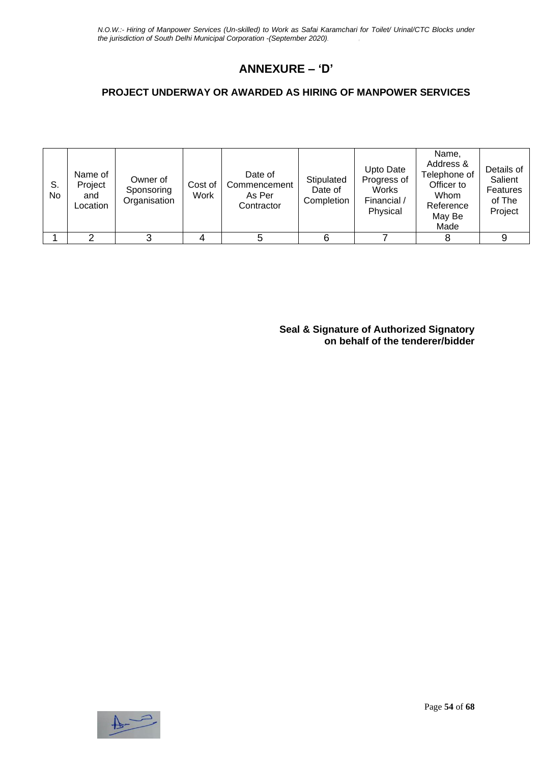### **ANNEXURE – 'D'**

#### **PROJECT UNDERWAY OR AWARDED AS HIRING OF MANPOWER SERVICES**

| S.<br>No | Name of<br>Project<br>and<br>Location | Owner of<br>Sponsoring<br>Organisation | Cost of<br>Work | Date of<br>Commencement<br>As Per<br>Contractor | Stipulated<br>Date of<br>Completion | Upto Date<br>Progress of<br>Works<br>Financial /<br>Physical | Name,<br>Address &<br>Telephone of<br>Officer to<br>Whom<br>Reference<br>May Be<br>Made | Details of<br>Salient<br>Features<br>of The<br>Project |
|----------|---------------------------------------|----------------------------------------|-----------------|-------------------------------------------------|-------------------------------------|--------------------------------------------------------------|-----------------------------------------------------------------------------------------|--------------------------------------------------------|
|          |                                       |                                        |                 |                                                 | 6                                   |                                                              |                                                                                         |                                                        |

**Seal & Signature of Authorized Signatory on behalf of the tenderer/bidder**

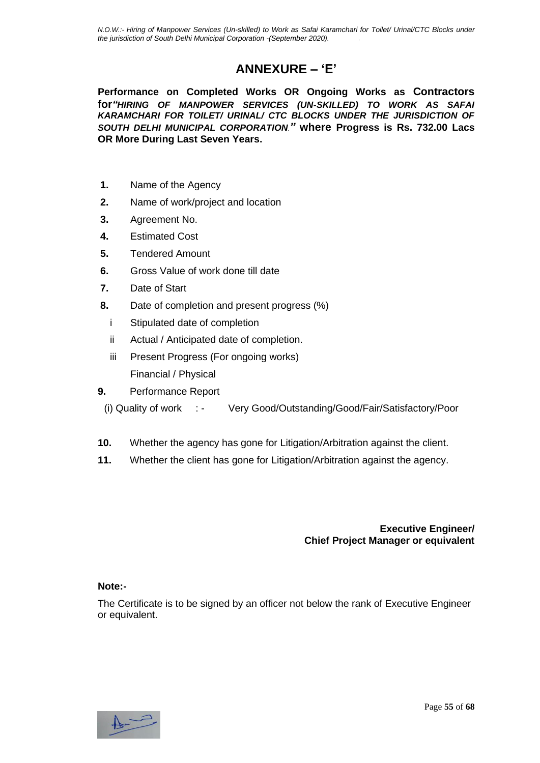### **ANNEXURE – 'E'**

**Performance on Completed Works OR Ongoing Works as Contractors for***"HIRING OF MANPOWER SERVICES (UN-SKILLED) TO WORK AS SAFAI KARAMCHARI FOR TOILET/ URINAL/ CTC BLOCKS UNDER THE JURISDICTION OF SOUTH DELHI MUNICIPAL CORPORATION."* **where Progress is Rs. 732.00 Lacs OR More During Last Seven Years.**

- **1.** Name of the Agency
- **2.** Name of work/project and location
- **3.** Agreement No.
- **4.** Estimated Cost
- **5.** Tendered Amount
- **6.** Gross Value of work done till date
- **7.** Date of Start
- **8.** Date of completion and present progress (%)
	- i Stipulated date of completion
	- ii Actual / Anticipated date of completion.
	- iii Present Progress (For ongoing works) Financial / Physical
- **9.** Performance Report
	- (i) Quality of work : Very Good/Outstanding/Good/Fair/Satisfactory/Poor
- **10.** Whether the agency has gone for Litigation/Arbitration against the client.
- **11.** Whether the client has gone for Litigation/Arbitration against the agency.

**Executive Engineer/ Chief Project Manager or equivalent**

#### **Note:-**

The Certificate is to be signed by an officer not below the rank of Executive Engineer or equivalent.

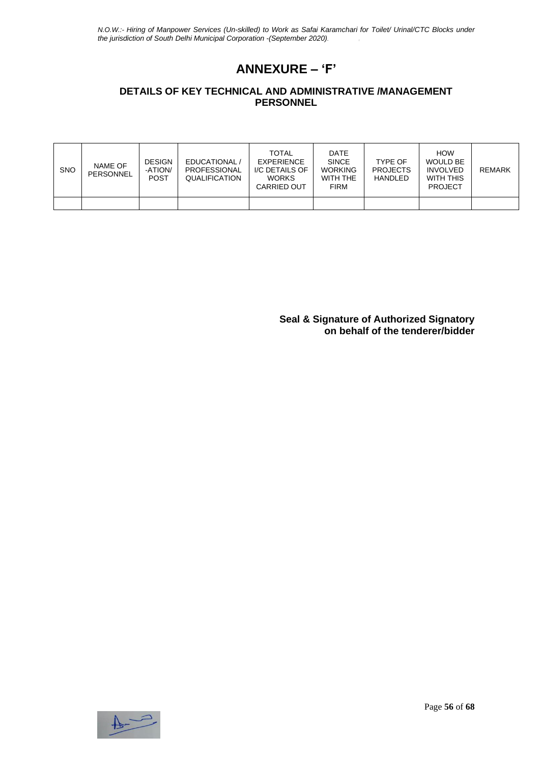## **ANNEXURE – 'F'**

#### **DETAILS OF KEY TECHNICAL AND ADMINISTRATIVE /MANAGEMENT PERSONNEL**

| <b>SNO</b> | NAME OF<br>PERSONNEL | <b>DESIGN</b><br>-ATION/<br><b>POST</b> | EDUCATIONAL /<br><b>PROFESSIONAL</b><br>QUALIFICATION | <b>TOTAL</b><br><b>EXPERIENCE</b><br>I/C DETAILS OF<br><b>WORKS</b><br>CARRIED OUT | <b>DATE</b><br><b>SINCE</b><br><b>WORKING</b><br>WITH THE<br><b>FIRM</b> | <b>TYPF OF</b><br><b>PROJECTS</b><br><b>HANDLED</b> | <b>HOW</b><br><b>WOULD BE</b><br><b>INVOLVED</b><br>WITH THIS<br><b>PROJECT</b> | REMARK |
|------------|----------------------|-----------------------------------------|-------------------------------------------------------|------------------------------------------------------------------------------------|--------------------------------------------------------------------------|-----------------------------------------------------|---------------------------------------------------------------------------------|--------|
|            |                      |                                         |                                                       |                                                                                    |                                                                          |                                                     |                                                                                 |        |

**Seal & Signature of Authorized Signatory on behalf of the tenderer/bidder**

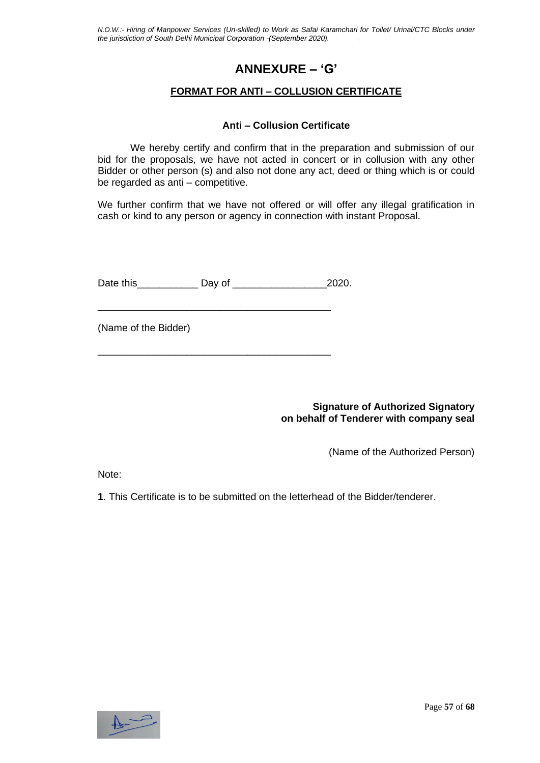### **ANNEXURE – 'G'**

#### **FORMAT FOR ANTI – COLLUSION CERTIFICATE**

#### **Anti – Collusion Certificate**

We hereby certify and confirm that in the preparation and submission of our bid for the proposals, we have not acted in concert or in collusion with any other Bidder or other person (s) and also not done any act, deed or thing which is or could be regarded as anti – competitive.

We further confirm that we have not offered or will offer any illegal gratification in cash or kind to any person or agency in connection with instant Proposal.

Date this **Day of** 2020.

\_\_\_\_\_\_\_\_\_\_\_\_\_\_\_\_\_\_\_\_\_\_\_\_\_\_\_\_\_\_\_\_\_\_\_\_\_\_\_\_\_\_

\_\_\_\_\_\_\_\_\_\_\_\_\_\_\_\_\_\_\_\_\_\_\_\_\_\_\_\_\_\_\_\_\_\_\_\_\_\_\_\_\_\_

(Name of the Bidder)

**Signature of Authorized Signatory on behalf of Tenderer with company seal**

(Name of the Authorized Person)

Note:

**1**. This Certificate is to be submitted on the letterhead of the Bidder/tenderer.

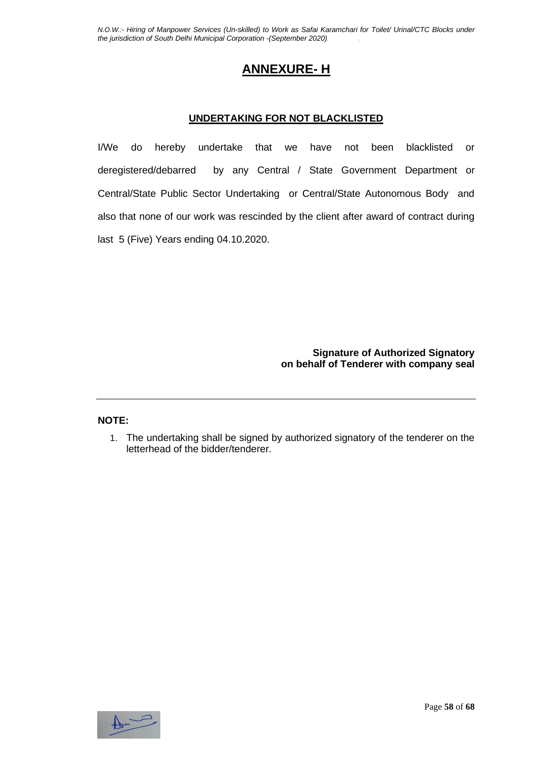### **ANNEXURE- H**

#### **UNDERTAKING FOR NOT BLACKLISTED**

I/We do hereby undertake that we have not been blacklisted or deregistered/debarred by any Central / State Government Department or Central/State Public Sector Undertaking or Central/State Autonomous Body and also that none of our work was rescinded by the client after award of contract during last 5 (Five) Years ending 04.10.2020.

> **Signature of Authorized Signatory on behalf of Tenderer with company seal**

#### **NOTE:**

1. The undertaking shall be signed by authorized signatory of the tenderer on the letterhead of the bidder/tenderer.

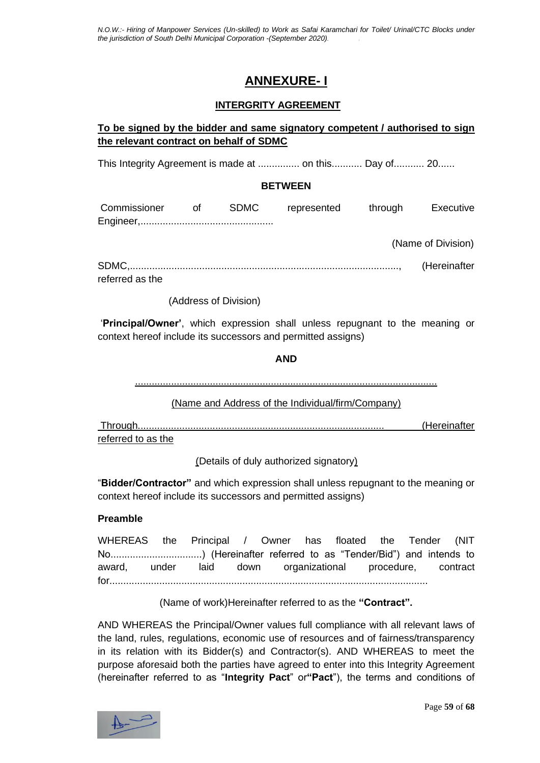### **ANNEXURE- I**

#### **INTERGRITY AGREEMENT**

#### **To be signed by the bidder and same signatory competent / authorised to sign the relevant contract on behalf of SDMC**

This Integrity Agreement is made at ....................... Day of........... 20......

#### **BETWEEN**

| Commissioner | n of the original of the set of the set of the set of the set of the set of the set of the set of the set of t | SDMC | represented | through | Executive |
|--------------|----------------------------------------------------------------------------------------------------------------|------|-------------|---------|-----------|
|              |                                                                                                                |      |             |         |           |

(Name of Division)

SDMC,................................................................................................., (Hereinafter referred as the

(Address of Division)

'**Principal/Owner'**, which expression shall unless repugnant to the meaning or context hereof include its successors and permitted assigns)

**AND**

.............................................................................................................

(Name and Address of the Individual/firm/Company)

Through......................................................................................... (Hereinafter referred to as the

(Details of duly authorized signatory)

"**Bidder/Contractor"** and which expression shall unless repugnant to the meaning or context hereof include its successors and permitted assigns)

#### **Preamble**

WHEREAS the Principal / Owner has floated the Tender (NIT No.................................) (Hereinafter referred to as "Tender/Bid") and intends to award, under laid down organizational procedure, contract for...................................................................................................................

(Name of work)Hereinafter referred to as the **"Contract".**

AND WHEREAS the Principal/Owner values full compliance with all relevant laws of the land, rules, regulations, economic use of resources and of fairness/transparency in its relation with its Bidder(s) and Contractor(s). AND WHEREAS to meet the purpose aforesaid both the parties have agreed to enter into this Integrity Agreement (hereinafter referred to as "**Integrity Pact**" or**"Pact**"), the terms and conditions of

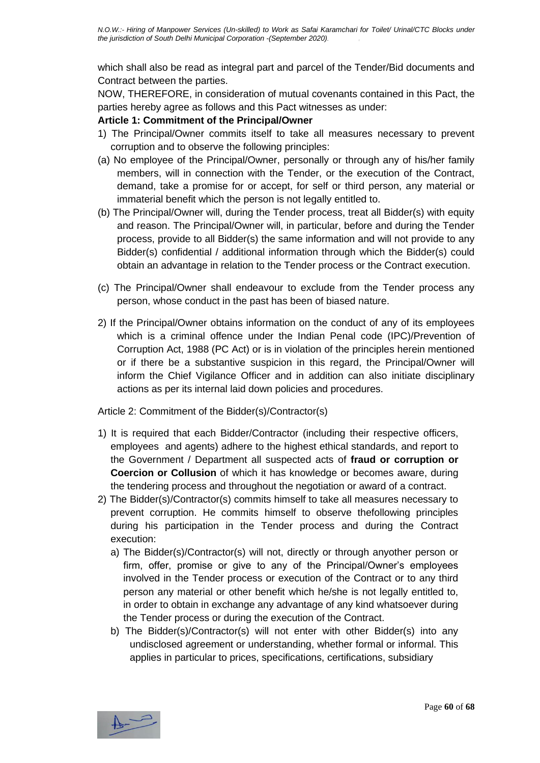which shall also be read as integral part and parcel of the Tender/Bid documents and Contract between the parties.

NOW, THEREFORE, in consideration of mutual covenants contained in this Pact, the parties hereby agree as follows and this Pact witnesses as under:

#### **Article 1: Commitment of the Principal/Owner**

- 1) The Principal/Owner commits itself to take all measures necessary to prevent corruption and to observe the following principles:
- (a) No employee of the Principal/Owner, personally or through any of his/her family members, will in connection with the Tender, or the execution of the Contract, demand, take a promise for or accept, for self or third person, any material or immaterial benefit which the person is not legally entitled to.
- (b) The Principal/Owner will, during the Tender process, treat all Bidder(s) with equity and reason. The Principal/Owner will, in particular, before and during the Tender process, provide to all Bidder(s) the same information and will not provide to any Bidder(s) confidential / additional information through which the Bidder(s) could obtain an advantage in relation to the Tender process or the Contract execution.
- (c) The Principal/Owner shall endeavour to exclude from the Tender process any person, whose conduct in the past has been of biased nature.
- 2) If the Principal/Owner obtains information on the conduct of any of its employees which is a criminal offence under the Indian Penal code (IPC)/Prevention of Corruption Act, 1988 (PC Act) or is in violation of the principles herein mentioned or if there be a substantive suspicion in this regard, the Principal/Owner will inform the Chief Vigilance Officer and in addition can also initiate disciplinary actions as per its internal laid down policies and procedures.

Article 2: Commitment of the Bidder(s)/Contractor(s)

- 1) It is required that each Bidder/Contractor (including their respective officers, employees and agents) adhere to the highest ethical standards, and report to the Government / Department all suspected acts of **fraud or corruption or Coercion or Collusion** of which it has knowledge or becomes aware, during the tendering process and throughout the negotiation or award of a contract.
- 2) The Bidder(s)/Contractor(s) commits himself to take all measures necessary to prevent corruption. He commits himself to observe thefollowing principles during his participation in the Tender process and during the Contract execution:
	- a) The Bidder(s)/Contractor(s) will not, directly or through anyother person or firm, offer, promise or give to any of the Principal/Owner's employees involved in the Tender process or execution of the Contract or to any third person any material or other benefit which he/she is not legally entitled to, in order to obtain in exchange any advantage of any kind whatsoever during the Tender process or during the execution of the Contract.
	- b) The Bidder(s)/Contractor(s) will not enter with other Bidder(s) into any undisclosed agreement or understanding, whether formal or informal. This applies in particular to prices, specifications, certifications, subsidiary

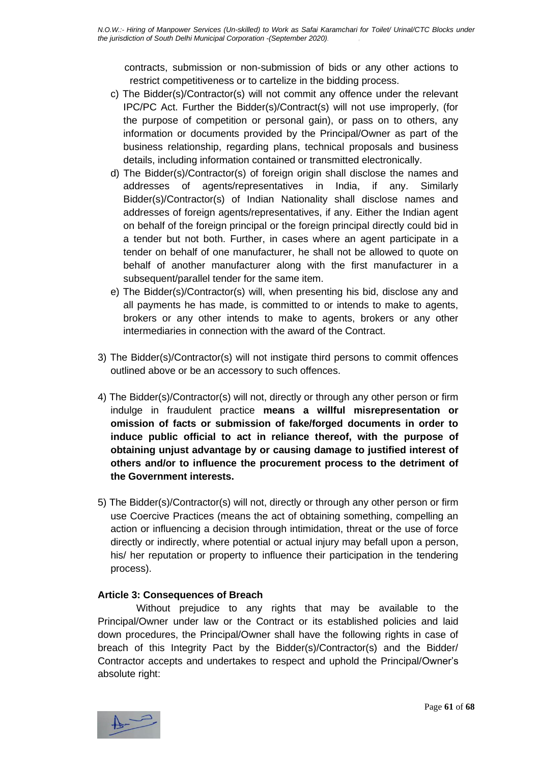contracts, submission or non-submission of bids or any other actions to restrict competitiveness or to cartelize in the bidding process.

- c) The Bidder(s)/Contractor(s) will not commit any offence under the relevant IPC/PC Act. Further the Bidder(s)/Contract(s) will not use improperly, (for the purpose of competition or personal gain), or pass on to others, any information or documents provided by the Principal/Owner as part of the business relationship, regarding plans, technical proposals and business details, including information contained or transmitted electronically.
- d) The Bidder(s)/Contractor(s) of foreign origin shall disclose the names and addresses of agents/representatives in India, if any. Similarly Bidder(s)/Contractor(s) of Indian Nationality shall disclose names and addresses of foreign agents/representatives, if any. Either the Indian agent on behalf of the foreign principal or the foreign principal directly could bid in a tender but not both. Further, in cases where an agent participate in a tender on behalf of one manufacturer, he shall not be allowed to quote on behalf of another manufacturer along with the first manufacturer in a subsequent/parallel tender for the same item.
- e) The Bidder(s)/Contractor(s) will, when presenting his bid, disclose any and all payments he has made, is committed to or intends to make to agents, brokers or any other intends to make to agents, brokers or any other intermediaries in connection with the award of the Contract.
- 3) The Bidder(s)/Contractor(s) will not instigate third persons to commit offences outlined above or be an accessory to such offences.
- 4) The Bidder(s)/Contractor(s) will not, directly or through any other person or firm indulge in fraudulent practice **means a willful misrepresentation or omission of facts or submission of fake/forged documents in order to induce public official to act in reliance thereof, with the purpose of obtaining unjust advantage by or causing damage to justified interest of others and/or to influence the procurement process to the detriment of the Government interests.**
- 5) The Bidder(s)/Contractor(s) will not, directly or through any other person or firm use Coercive Practices (means the act of obtaining something, compelling an action or influencing a decision through intimidation, threat or the use of force directly or indirectly, where potential or actual injury may befall upon a person, his/ her reputation or property to influence their participation in the tendering process).

#### **Article 3: Consequences of Breach**

Without prejudice to any rights that may be available to the Principal/Owner under law or the Contract or its established policies and laid down procedures, the Principal/Owner shall have the following rights in case of breach of this Integrity Pact by the Bidder(s)/Contractor(s) and the Bidder/ Contractor accepts and undertakes to respect and uphold the Principal/Owner's absolute right:

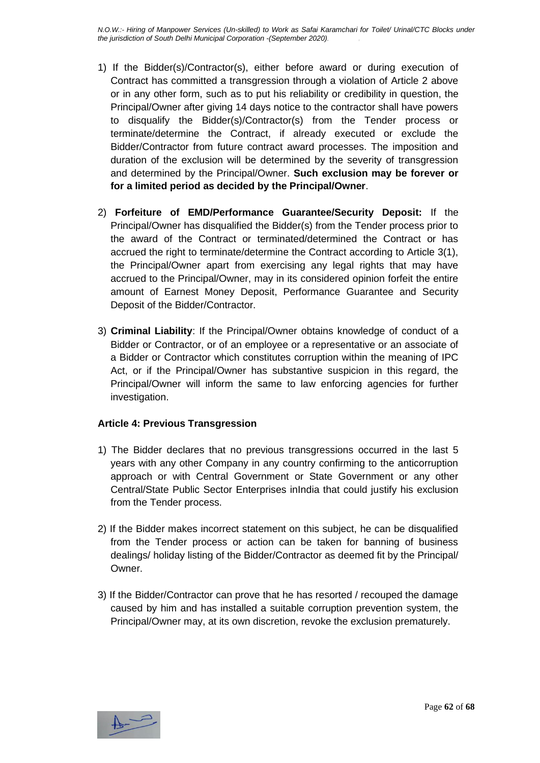- 1) If the Bidder(s)/Contractor(s), either before award or during execution of Contract has committed a transgression through a violation of Article 2 above or in any other form, such as to put his reliability or credibility in question, the Principal/Owner after giving 14 days notice to the contractor shall have powers to disqualify the Bidder(s)/Contractor(s) from the Tender process or terminate/determine the Contract, if already executed or exclude the Bidder/Contractor from future contract award processes. The imposition and duration of the exclusion will be determined by the severity of transgression and determined by the Principal/Owner. **Such exclusion may be forever or for a limited period as decided by the Principal/Owner**.
- 2) **Forfeiture of EMD/Performance Guarantee/Security Deposit:** If the Principal/Owner has disqualified the Bidder(s) from the Tender process prior to the award of the Contract or terminated/determined the Contract or has accrued the right to terminate/determine the Contract according to Article 3(1), the Principal/Owner apart from exercising any legal rights that may have accrued to the Principal/Owner, may in its considered opinion forfeit the entire amount of Earnest Money Deposit, Performance Guarantee and Security Deposit of the Bidder/Contractor.
- 3) **Criminal Liability**: If the Principal/Owner obtains knowledge of conduct of a Bidder or Contractor, or of an employee or a representative or an associate of a Bidder or Contractor which constitutes corruption within the meaning of IPC Act, or if the Principal/Owner has substantive suspicion in this regard, the Principal/Owner will inform the same to law enforcing agencies for further investigation.

#### **Article 4: Previous Transgression**

- 1) The Bidder declares that no previous transgressions occurred in the last 5 years with any other Company in any country confirming to the anticorruption approach or with Central Government or State Government or any other Central/State Public Sector Enterprises inIndia that could justify his exclusion from the Tender process.
- 2) If the Bidder makes incorrect statement on this subject, he can be disqualified from the Tender process or action can be taken for banning of business dealings/ holiday listing of the Bidder/Contractor as deemed fit by the Principal/ Owner.
- 3) If the Bidder/Contractor can prove that he has resorted / recouped the damage caused by him and has installed a suitable corruption prevention system, the Principal/Owner may, at its own discretion, revoke the exclusion prematurely.

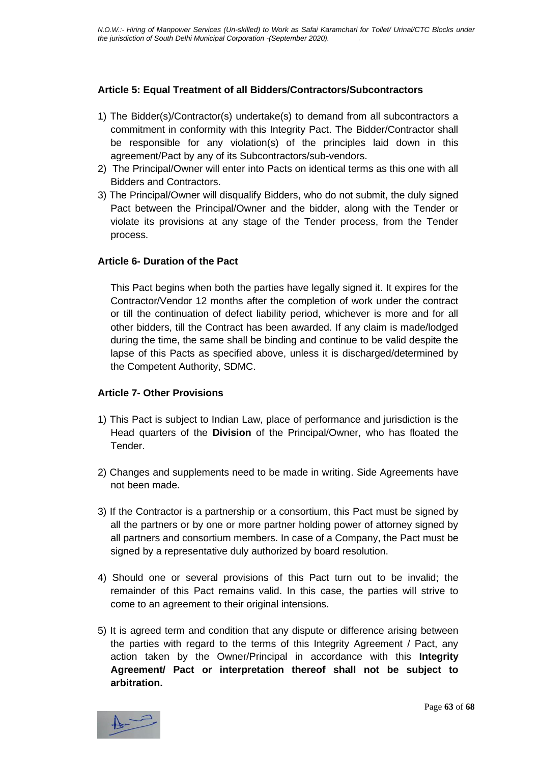#### **Article 5: Equal Treatment of all Bidders/Contractors/Subcontractors**

- 1) The Bidder(s)/Contractor(s) undertake(s) to demand from all subcontractors a commitment in conformity with this Integrity Pact. The Bidder/Contractor shall be responsible for any violation(s) of the principles laid down in this agreement/Pact by any of its Subcontractors/sub-vendors.
- 2) The Principal/Owner will enter into Pacts on identical terms as this one with all Bidders and Contractors.
- 3) The Principal/Owner will disqualify Bidders, who do not submit, the duly signed Pact between the Principal/Owner and the bidder, along with the Tender or violate its provisions at any stage of the Tender process, from the Tender process.

#### **Article 6- Duration of the Pact**

This Pact begins when both the parties have legally signed it. It expires for the Contractor/Vendor 12 months after the completion of work under the contract or till the continuation of defect liability period, whichever is more and for all other bidders, till the Contract has been awarded. If any claim is made/lodged during the time, the same shall be binding and continue to be valid despite the lapse of this Pacts as specified above, unless it is discharged/determined by the Competent Authority, SDMC.

#### **Article 7- Other Provisions**

- 1) This Pact is subject to Indian Law, place of performance and jurisdiction is the Head quarters of the **Division** of the Principal/Owner, who has floated the **Tender**
- 2) Changes and supplements need to be made in writing. Side Agreements have not been made.
- 3) If the Contractor is a partnership or a consortium, this Pact must be signed by all the partners or by one or more partner holding power of attorney signed by all partners and consortium members. In case of a Company, the Pact must be signed by a representative duly authorized by board resolution.
- 4) Should one or several provisions of this Pact turn out to be invalid; the remainder of this Pact remains valid. In this case, the parties will strive to come to an agreement to their original intensions.
- 5) It is agreed term and condition that any dispute or difference arising between the parties with regard to the terms of this Integrity Agreement / Pact, any action taken by the Owner/Principal in accordance with this **Integrity Agreement/ Pact or interpretation thereof shall not be subject to arbitration.**

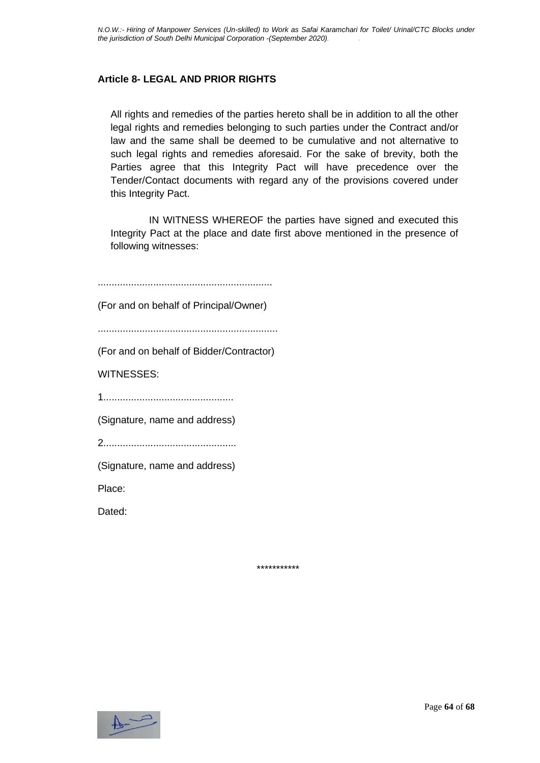#### **Article 8- LEGAL AND PRIOR RIGHTS**

All rights and remedies of the parties hereto shall be in addition to all the other legal rights and remedies belonging to such parties under the Contract and/or law and the same shall be deemed to be cumulative and not alternative to such legal rights and remedies aforesaid. For the sake of brevity, both the Parties agree that this Integrity Pact will have precedence over the Tender/Contact documents with regard any of the provisions covered under this Integrity Pact.

IN WITNESS WHEREOF the parties have signed and executed this Integrity Pact at the place and date first above mentioned in the presence of following witnesses:

............................................................... (For and on behalf of Principal/Owner) ................................................................. (For and on behalf of Bidder/Contractor) WITNESSES: 1............................................... (Signature, name and address) 2................................................ (Signature, name and address) Place: Dated:

\*\*\*\*\*\*\*\*\*\*\*

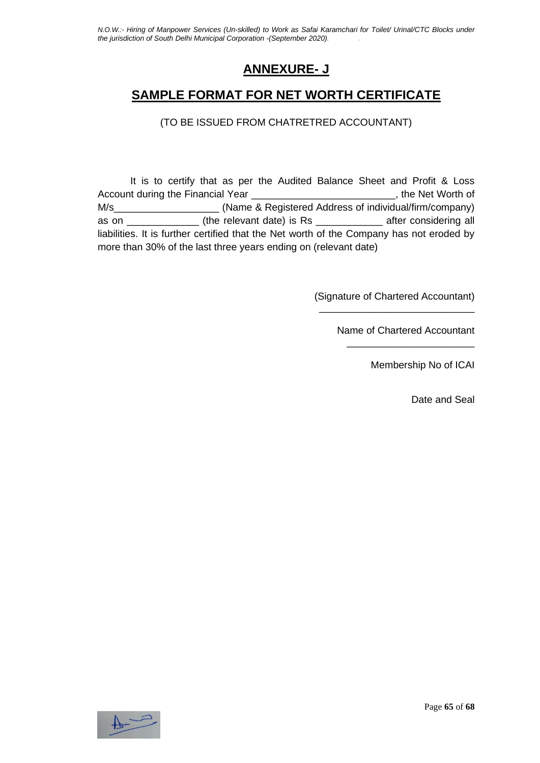### **ANNEXURE- J**

### **SAMPLE FORMAT FOR NET WORTH CERTIFICATE**

(TO BE ISSUED FROM CHATRETRED ACCOUNTANT)

It is to certify that as per the Audited Balance Sheet and Profit & Loss Account during the Financial Year **Net Account of the Net Worth of** M/s\_\_\_\_\_\_\_\_\_\_\_\_\_\_\_\_\_\_\_ (Name & Registered Address of individual/firm/company) as on \_\_\_\_\_\_\_\_\_\_\_\_\_ (the relevant date) is Rs \_\_\_\_\_\_\_\_\_\_\_\_ after considering all liabilities. It is further certified that the Net worth of the Company has not eroded by more than 30% of the last three years ending on (relevant date)

> (Signature of Chartered Accountant) \_\_\_\_\_\_\_\_\_\_\_\_\_\_\_\_\_\_\_\_\_\_\_\_\_\_\_\_

> > Name of Chartered Accountant \_\_\_\_\_\_\_\_\_\_\_\_\_\_\_\_\_\_\_\_\_\_\_

> > > Membership No of ICAI

Date and Seal

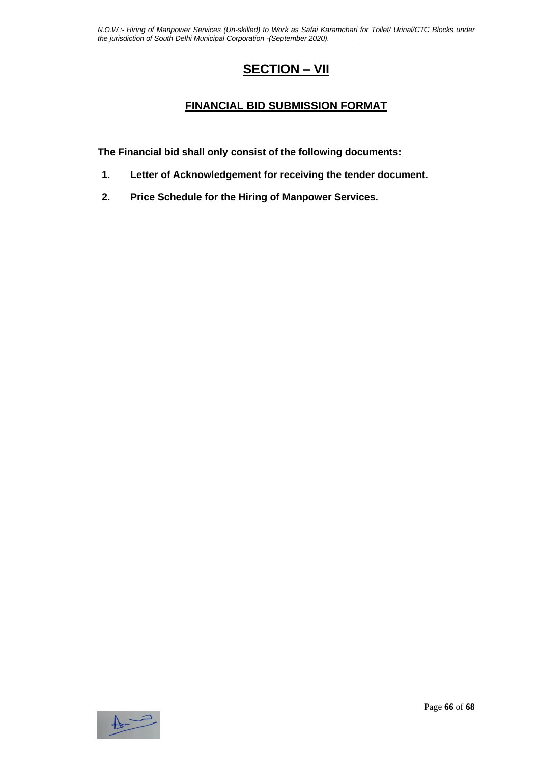### **SECTION – VII**

#### **FINANCIAL BID SUBMISSION FORMAT**

**The Financial bid shall only consist of the following documents:**

- **1. Letter of Acknowledgement for receiving the tender document.**
- **2. Price Schedule for the Hiring of Manpower Services.**

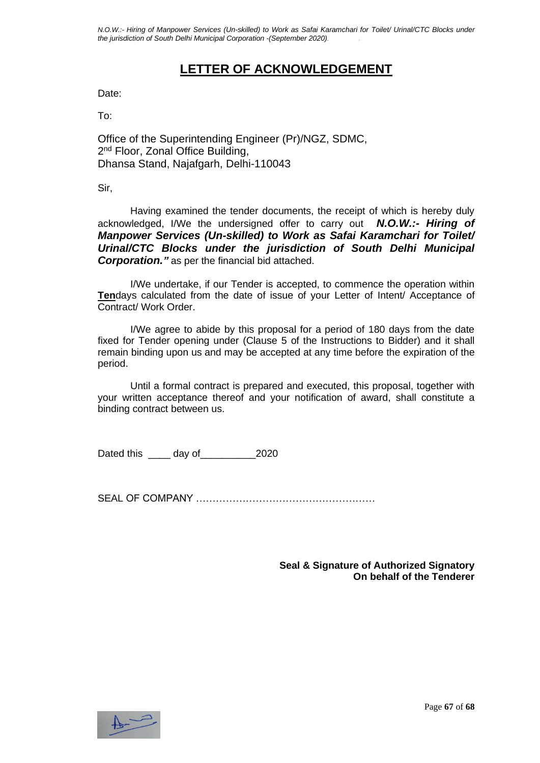### **LETTER OF ACKNOWLEDGEMENT**

Date:

To:

Office of the Superintending Engineer (Pr)/NGZ, SDMC, 2<sup>nd</sup> Floor, Zonal Office Building, Dhansa Stand, Najafgarh, Delhi-110043

Sir,

Having examined the tender documents, the receipt of which is hereby duly acknowledged, I/We the undersigned offer to carry out *N.O.W.:- Hiring of Manpower Services (Un-skilled) to Work as Safai Karamchari for Toilet/ Urinal/CTC Blocks under the jurisdiction of South Delhi Municipal Corporation."* as per the financial bid attached.

I/We undertake, if our Tender is accepted, to commence the operation within **Ten**days calculated from the date of issue of your Letter of Intent/ Acceptance of Contract/ Work Order.

I/We agree to abide by this proposal for a period of 180 days from the date fixed for Tender opening under (Clause 5 of the Instructions to Bidder) and it shall remain binding upon us and may be accepted at any time before the expiration of the period.

Until a formal contract is prepared and executed, this proposal, together with your written acceptance thereof and your notification of award, shall constitute a binding contract between us.

Dated this day of 2020

SEAL OF COMPANY ………………………………………………

**Seal & Signature of Authorized Signatory On behalf of the Tenderer**